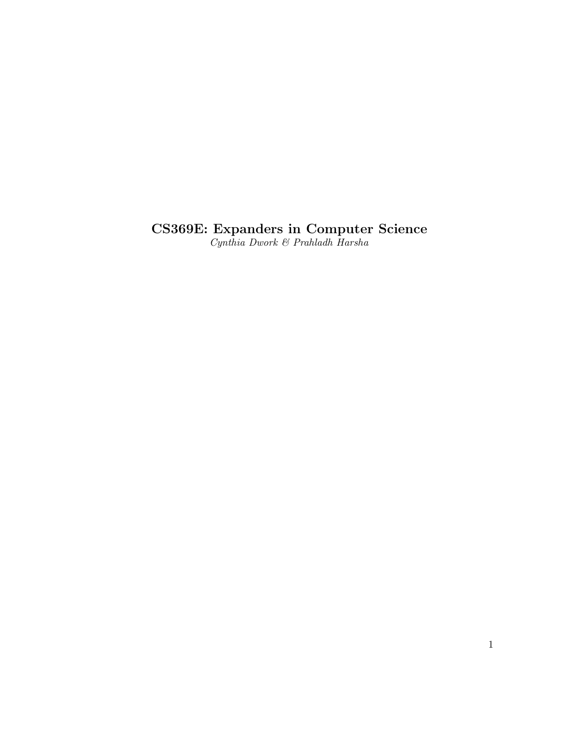## CS369E: Expanders in Computer Science

Cynthia Dwork & Prahladh Harsha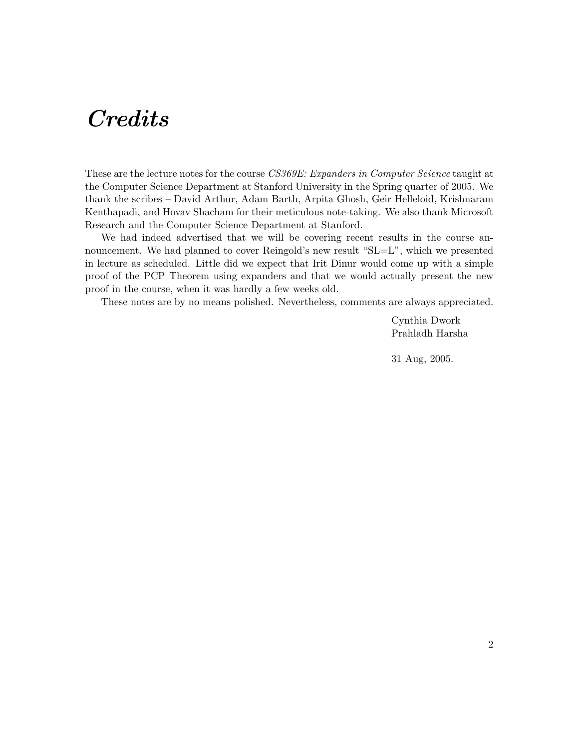# **Credits**

These are the lecture notes for the course CS369E: Expanders in Computer Science taught at the Computer Science Department at Stanford University in the Spring quarter of 2005. We thank the scribes – David Arthur, Adam Barth, Arpita Ghosh, Geir Helleloid, Krishnaram Kenthapadi, and Hovav Shacham for their meticulous note-taking. We also thank Microsoft Research and the Computer Science Department at Stanford.

We had indeed advertised that we will be covering recent results in the course announcement. We had planned to cover Reingold's new result "SL=L", which we presented in lecture as scheduled. Little did we expect that Irit Dinur would come up with a simple proof of the PCP Theorem using expanders and that we would actually present the new proof in the course, when it was hardly a few weeks old.

These notes are by no means polished. Nevertheless, comments are always appreciated.

Cynthia Dwork Prahladh Harsha

31 Aug, 2005.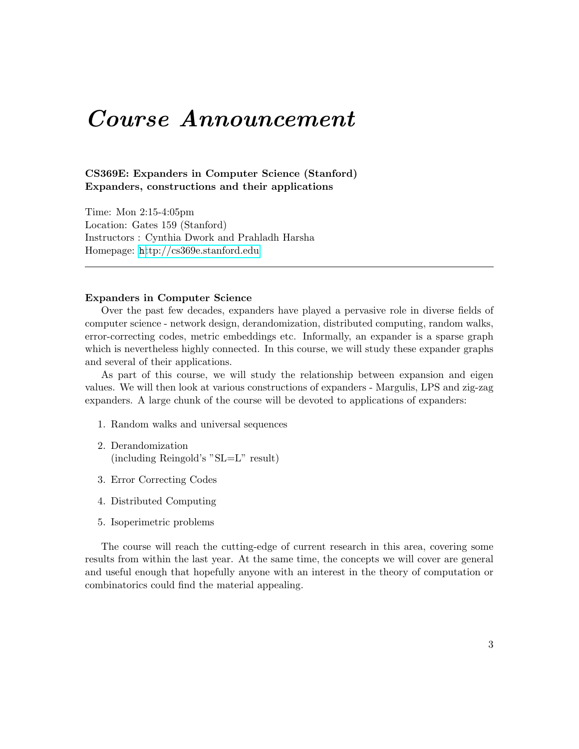## Course Announcement

#### CS369E: Expanders in Computer Science (Stanford) Expanders, constructions and their applications

Time: Mon 2:15-4:05pm Location: Gates 159 (Stanford) Instructors : Cynthia Dwork and Prahladh Harsha Homepage: <h>[ttp://cs369e.stanford.edu](http://cs369e.stanford.edu)

#### Expanders in Computer Science

Over the past few decades, expanders have played a pervasive role in diverse fields of computer science - network design, derandomization, distributed computing, random walks, error-correcting codes, metric embeddings etc. Informally, an expander is a sparse graph which is nevertheless highly connected. In this course, we will study these expander graphs and several of their applications.

As part of this course, we will study the relationship between expansion and eigen values. We will then look at various constructions of expanders - Margulis, LPS and zig-zag expanders. A large chunk of the course will be devoted to applications of expanders:

- 1. Random walks and universal sequences
- 2. Derandomization (including Reingold's "SL=L" result)
- 3. Error Correcting Codes
- 4. Distributed Computing
- 5. Isoperimetric problems

The course will reach the cutting-edge of current research in this area, covering some results from within the last year. At the same time, the concepts we will cover are general and useful enough that hopefully anyone with an interest in the theory of computation or combinatorics could find the material appealing.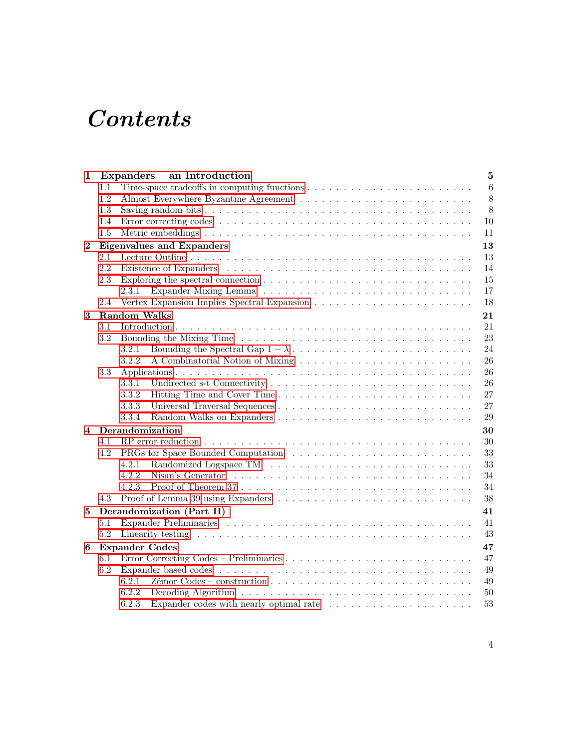# Contents

| 1              |                       | Expanders $-$ an Introduction<br>$5\phantom{.0}$                                                                                                                                                                                     |  |  |  |  |
|----------------|-----------------------|--------------------------------------------------------------------------------------------------------------------------------------------------------------------------------------------------------------------------------------|--|--|--|--|
|                | 1.1                   | 6                                                                                                                                                                                                                                    |  |  |  |  |
|                | 1.2                   | $8\,$                                                                                                                                                                                                                                |  |  |  |  |
|                | 1.3                   | $8\,$                                                                                                                                                                                                                                |  |  |  |  |
|                | 1.4                   | 10                                                                                                                                                                                                                                   |  |  |  |  |
|                | 1.5                   | 11                                                                                                                                                                                                                                   |  |  |  |  |
| $\mathbf{2}$   |                       | <b>Eigenvalues and Expanders</b><br>13                                                                                                                                                                                               |  |  |  |  |
|                | 2.1                   | 13                                                                                                                                                                                                                                   |  |  |  |  |
|                | 2.2                   | 14                                                                                                                                                                                                                                   |  |  |  |  |
|                | 2.3                   | Exploring the spectral connection $\ldots \ldots \ldots \ldots \ldots \ldots \ldots \ldots \ldots \ldots$<br>15                                                                                                                      |  |  |  |  |
|                |                       | 17<br>2.3.1                                                                                                                                                                                                                          |  |  |  |  |
|                | 2.4                   | 18                                                                                                                                                                                                                                   |  |  |  |  |
| 3              |                       | <b>Random Walks</b><br>21                                                                                                                                                                                                            |  |  |  |  |
|                | 3.1                   | 21                                                                                                                                                                                                                                   |  |  |  |  |
|                | 3.2                   | 23                                                                                                                                                                                                                                   |  |  |  |  |
|                |                       | 24<br>3.2.1                                                                                                                                                                                                                          |  |  |  |  |
|                |                       | 3.2.2<br>26                                                                                                                                                                                                                          |  |  |  |  |
|                | 3.3                   | 26                                                                                                                                                                                                                                   |  |  |  |  |
|                |                       | 3.3.1<br>26                                                                                                                                                                                                                          |  |  |  |  |
|                |                       | 27<br>3.3.2                                                                                                                                                                                                                          |  |  |  |  |
|                |                       | 3.3.3<br>27                                                                                                                                                                                                                          |  |  |  |  |
|                |                       | 3.3.4<br>29                                                                                                                                                                                                                          |  |  |  |  |
| $\overline{4}$ | Derandomization<br>30 |                                                                                                                                                                                                                                      |  |  |  |  |
|                | 4.1                   | 30                                                                                                                                                                                                                                   |  |  |  |  |
|                | 4.2                   | 33                                                                                                                                                                                                                                   |  |  |  |  |
|                |                       | 33<br>4.2.1                                                                                                                                                                                                                          |  |  |  |  |
|                |                       | 4.2.2<br>34                                                                                                                                                                                                                          |  |  |  |  |
|                |                       | 4.2.3<br>34                                                                                                                                                                                                                          |  |  |  |  |
|                | 4.3                   | 38                                                                                                                                                                                                                                   |  |  |  |  |
| 5              |                       | Derandomization (Part II)<br>41                                                                                                                                                                                                      |  |  |  |  |
|                | 5.1                   | 41                                                                                                                                                                                                                                   |  |  |  |  |
|                | 5.2                   | 43<br>Linearity testing research is a series of the series of the series of the series of the series of the series of the series of the series of the series of the series of the series of the series of the series of the series o |  |  |  |  |
| 6              |                       | <b>Expander Codes</b><br>47                                                                                                                                                                                                          |  |  |  |  |
|                | 6.1                   | 47                                                                                                                                                                                                                                   |  |  |  |  |
|                | 6.2                   | 49                                                                                                                                                                                                                                   |  |  |  |  |
|                |                       | 6.2.1<br>49                                                                                                                                                                                                                          |  |  |  |  |
|                |                       | 6.2.2<br>50                                                                                                                                                                                                                          |  |  |  |  |
|                |                       | 6.2.3<br>Expander codes with nearly optimal rate $\dots \dots \dots \dots \dots \dots \dots$<br>53                                                                                                                                   |  |  |  |  |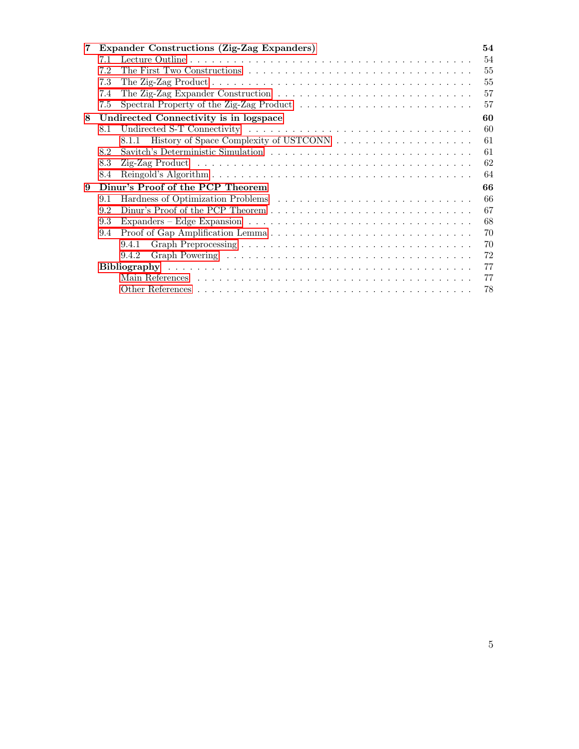| 7 |                                        | Expander Constructions (Zig-Zag Expanders) | 54 |  |  |
|---|----------------------------------------|--------------------------------------------|----|--|--|
|   | 7.1                                    |                                            | 54 |  |  |
|   | 7.2                                    |                                            | 55 |  |  |
|   | 7.3                                    |                                            | 55 |  |  |
|   | 7.4                                    |                                            | 57 |  |  |
|   | 7.5                                    |                                            | 57 |  |  |
| 8 | Undirected Connectivity is in logspace |                                            |    |  |  |
|   | 8.1                                    |                                            | 60 |  |  |
|   |                                        | 8.1.1                                      | 61 |  |  |
|   | 8.2                                    |                                            | 61 |  |  |
|   | 8.3                                    |                                            | 62 |  |  |
|   | 8.4                                    |                                            | 64 |  |  |
| 9 | Dinur's Proof of the PCP Theorem       |                                            |    |  |  |
|   | 9.1                                    |                                            | 66 |  |  |
|   | 9.2                                    |                                            | 67 |  |  |
|   | 9.3                                    |                                            | 68 |  |  |
|   | 9.4                                    |                                            | 70 |  |  |
|   |                                        | 9.4.1                                      | 70 |  |  |
|   |                                        | 9.4.2                                      | 72 |  |  |
|   |                                        |                                            | 77 |  |  |
|   |                                        |                                            | 77 |  |  |
|   |                                        |                                            | 78 |  |  |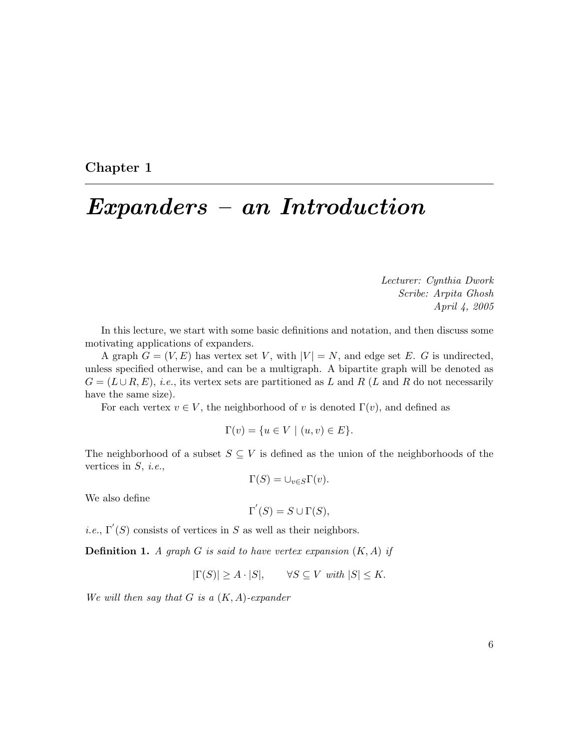<span id="page-5-0"></span>Chapter 1

# Expanders – an Introduction

Lecturer: Cynthia Dwork Scribe: Arpita Ghosh April 4, 2005

In this lecture, we start with some basic definitions and notation, and then discuss some motivating applications of expanders.

A graph  $G = (V, E)$  has vertex set V, with  $|V| = N$ , and edge set E. G is undirected, unless specified otherwise, and can be a multigraph. A bipartite graph will be denoted as  $G = (L \cup R, E), i.e.,$  its vertex sets are partitioned as L and R (L and R do not necessarily have the same size).

For each vertex  $v \in V$ , the neighborhood of v is denoted  $\Gamma(v)$ , and defined as

$$
\Gamma(v) = \{ u \in V \mid (u, v) \in E \}.
$$

The neighborhood of a subset  $S \subseteq V$  is defined as the union of the neighborhoods of the vertices in  $S$ , *i.e.*,

 $\Gamma(S) = \cup_{v \in S} \Gamma(v).$ 

We also define

$$
\Gamma'(S) = S \cup \Gamma(S),
$$

*i.e.*,  $\Gamma'(S)$  consists of vertices in S as well as their neighbors.

**Definition 1.** A graph G is said to have vertex expansion  $(K, A)$  if

 $|\Gamma(S)| \ge A \cdot |S|, \quad \forall S \subseteq V \text{ with } |S| \le K.$ 

We will then say that  $G$  is a  $(K, A)$ -expander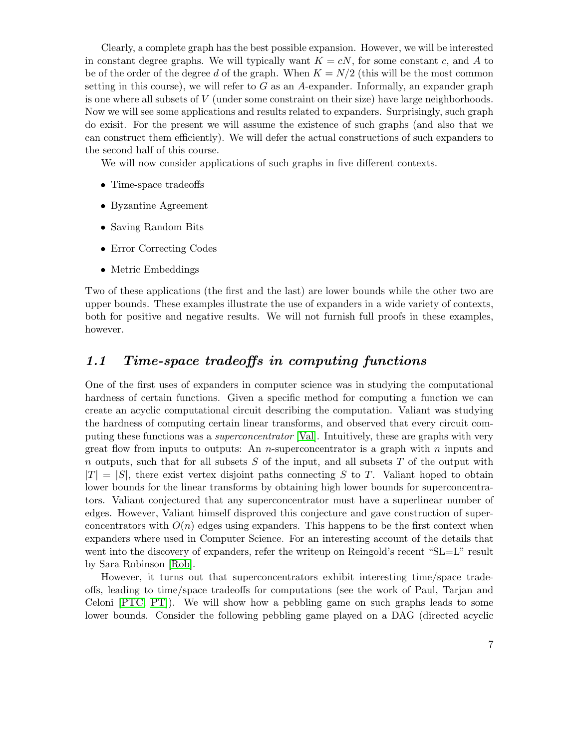Clearly, a complete graph has the best possible expansion. However, we will be interested in constant degree graphs. We will typically want  $K = cN$ , for some constant c, and A to be of the order of the degree d of the graph. When  $K = N/2$  (this will be the most common setting in this course), we will refer to  $G$  as an A-expander. Informally, an expander graph is one where all subsets of V (under some constraint on their size) have large neighborhoods. Now we will see some applications and results related to expanders. Surprisingly, such graph do exisit. For the present we will assume the existence of such graphs (and also that we can construct them efficiently). We will defer the actual constructions of such expanders to the second half of this course.

We will now consider applications of such graphs in five different contexts.

- Time-space tradeoffs
- Byzantine Agreement
- Saving Random Bits
- Error Correcting Codes
- Metric Embeddings

Two of these applications (the first and the last) are lower bounds while the other two are upper bounds. These examples illustrate the use of expanders in a wide variety of contexts, both for positive and negative results. We will not furnish full proofs in these examples, however.

## <span id="page-6-0"></span>1.1 Time-space tradeoffs in computing functions

One of the first uses of expanders in computer science was in studying the computational hardness of certain functions. Given a specific method for computing a function we can create an acyclic computational circuit describing the computation. Valiant was studying the hardness of computing certain linear transforms, and observed that every circuit computing these functions was a superconcentrator [\[Val\]](#page-81-0). Intuitively, these are graphs with very great flow from inputs to outputs: An *n*-superconcentrator is a graph with *n* inputs and n outputs, such that for all subsets  $S$  of the input, and all subsets  $T$  of the output with  $|T| = |S|$ , there exist vertex disjoint paths connecting S to T. Valiant hoped to obtain lower bounds for the linear transforms by obtaining high lower bounds for superconcentrators. Valiant conjectured that any superconcentrator must have a superlinear number of edges. However, Valiant himself disproved this conjecture and gave construction of superconcentrators with  $O(n)$  edges using expanders. This happens to be the first context when expanders where used in Computer Science. For an interesting account of the details that went into the discovery of expanders, refer the writeup on Reingold's recent "SL=L" result by Sara Robinson [\[Rob\]](#page-81-1).

However, it turns out that superconcentrators exhibit interesting time/space tradeoffs, leading to time/space tradeoffs for computations (see the work of Paul, Tarjan and Celoni [\[PTC,](#page-80-0) [PT\]](#page-80-1)). We will show how a pebbling game on such graphs leads to some lower bounds. Consider the following pebbling game played on a DAG (directed acyclic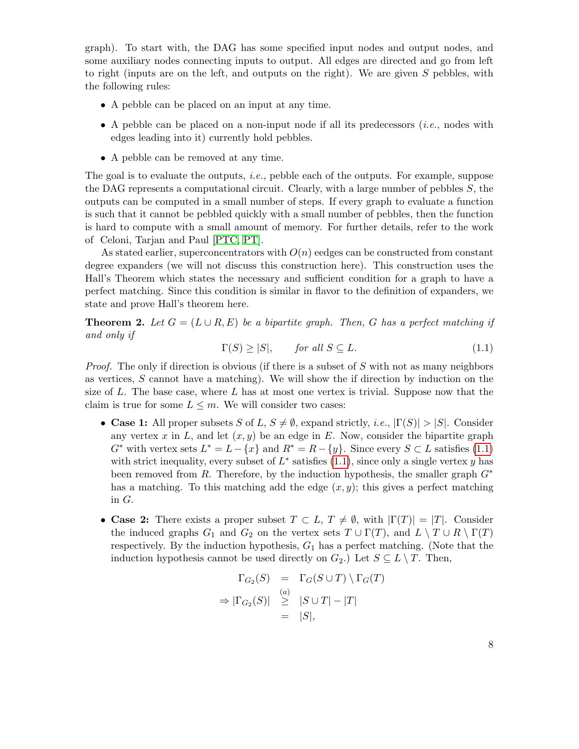graph). To start with, the DAG has some specified input nodes and output nodes, and some auxiliary nodes connecting inputs to output. All edges are directed and go from left to right (inputs are on the left, and outputs on the right). We are given  $S$  pebbles, with the following rules:

- A pebble can be placed on an input at any time.
- A pebble can be placed on a non-input node if all its predecessors  $(i.e.,$  nodes with edges leading into it) currently hold pebbles.
- A pebble can be removed at any time.

The goal is to evaluate the outputs, *i.e.*, pebble each of the outputs. For example, suppose the DAG represents a computational circuit. Clearly, with a large number of pebbles  $S$ , the outputs can be computed in a small number of steps. If every graph to evaluate a function is such that it cannot be pebbled quickly with a small number of pebbles, then the function is hard to compute with a small amount of memory. For further details, refer to the work of Celoni, Tarjan and Paul [\[PTC,](#page-80-0) [PT\]](#page-80-1).

As stated earlier, superconcentrators with  $O(n)$  eedges can be constructed from constant degree expanders (we will not discuss this construction here). This construction uses the Hall's Theorem which states the necessary and sufficient condition for a graph to have a perfect matching. Since this condition is similar in flavor to the definition of expanders, we state and prove Hall's theorem here.

**Theorem 2.** Let  $G = (L \cup R, E)$  be a bipartite graph. Then, G has a perfect matching if and only if

<span id="page-7-0"></span>
$$
\Gamma(S) \ge |S|, \qquad \text{for all } S \subseteq L. \tag{1.1}
$$

*Proof.* The only if direction is obvious (if there is a subset of S with not as many neighbors as vertices, S cannot have a matching). We will show the if direction by induction on the size of L. The base case, where L has at most one vertex is trivial. Suppose now that the claim is true for some  $L \leq m$ . We will consider two cases:

- Case 1: All proper subsets S of L,  $S \neq \emptyset$ , expand strictly, i.e.,  $|\Gamma(S)| > |S|$ . Consider any vertex x in L, and let  $(x, y)$  be an edge in E. Now, consider the bipartite graph  $G^*$  with vertex sets  $L^* = L - \{x\}$  and  $R^* = R - \{y\}$ . Since every  $S \subset L$  satisfies [\(1.1\)](#page-7-0) with strict inequality, every subset of  $L^*$  satisfies [\(1.1\)](#page-7-0), since only a single vertex y has been removed from R. Therefore, by the induction hypothesis, the smaller graph  $G^*$ has a matching. To this matching add the edge  $(x, y)$ ; this gives a perfect matching in G.
- Case 2: There exists a proper subset  $T \subset L$ ,  $T \neq \emptyset$ , with  $|\Gamma(T)| = |T|$ . Consider the induced graphs  $G_1$  and  $G_2$  on the vertex sets  $T \cup \Gamma(T)$ , and  $L \setminus T \cup R \setminus \Gamma(T)$ respectively. By the induction hypothesis,  $G_1$  has a perfect matching. (Note that the induction hypothesis cannot be used directly on  $G_2$ .) Let  $S \subseteq L \setminus T$ . Then,

$$
\Gamma_{G_2}(S) = \Gamma_G(S \cup T) \setminus \Gamma_G(T)
$$
  
\n
$$
\Rightarrow |\Gamma_{G_2}(S)| \geq |S \cup T| - |T|
$$
  
\n
$$
= |S|,
$$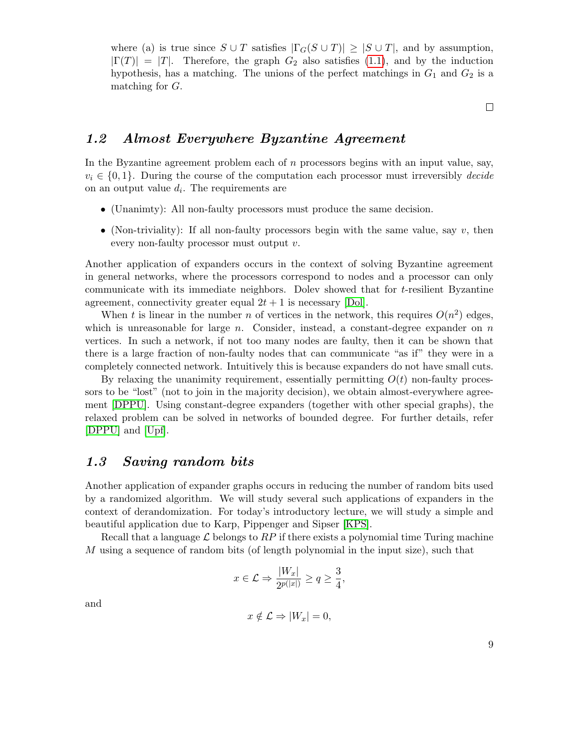where (a) is true since  $S \cup T$  satisfies  $|\Gamma_G(S \cup T)| \geq |S \cup T|$ , and by assumption,  $|\Gamma(T)| = |T|$ . Therefore, the graph  $G_2$  also satisfies [\(1.1\)](#page-7-0), and by the induction hypothesis, has a matching. The unions of the perfect matchings in  $G_1$  and  $G_2$  is a matching for G.

 $\Box$ 

## <span id="page-8-0"></span>1.2 Almost Everywhere Byzantine Agreement

In the Byzantine agreement problem each of  $n$  processors begins with an input value, say,  $v_i \in \{0, 1\}$ . During the course of the computation each processor must irreversibly *decide* on an output value  $d_i$ . The requirements are

- (Unanimty): All non-faulty processors must produce the same decision.
- (Non-triviality): If all non-faulty processors begin with the same value, say  $v$ , then every non-faulty processor must output v.

Another application of expanders occurs in the context of solving Byzantine agreement in general networks, where the processors correspond to nodes and a processor can only communicate with its immediate neighbors. Dolev showed that for  $t$ -resilient Byzantine agreement, connectivity greater equal  $2t + 1$  is necessary [\[Dol\]](#page-79-0).

When t is linear in the number n of vertices in the network, this requires  $O(n^2)$  edges, which is unreasonable for large  $n$ . Consider, instead, a constant-degree expander on  $n$ vertices. In such a network, if not too many nodes are faulty, then it can be shown that there is a large fraction of non-faulty nodes that can communicate "as if" they were in a completely connected network. Intuitively this is because expanders do not have small cuts.

By relaxing the unanimity requirement, essentially permitting  $O(t)$  non-faulty processors to be "lost" (not to join in the majority decision), we obtain almost-everywhere agreement [\[DPPU\]](#page-79-1). Using constant-degree expanders (together with other special graphs), the relaxed problem can be solved in networks of bounded degree. For further details, refer [\[DPPU\]](#page-79-1) and [\[Upf\]](#page-81-2).

## <span id="page-8-1"></span>1.3 Saving random bits

Another application of expander graphs occurs in reducing the number of random bits used by a randomized algorithm. We will study several such applications of expanders in the context of derandomization. For today's introductory lecture, we will study a simple and beautiful application due to Karp, Pippenger and Sipser [\[KPS\]](#page-80-2).

Recall that a language  $\mathcal L$  belongs to  $RP$  if there exists a polynomial time Turing machine M using a sequence of random bits (of length polynomial in the input size), such that

$$
x \in \mathcal{L} \Rightarrow \frac{|W_x|}{2^{p(|x|)}} \ge q \ge \frac{3}{4},
$$

and

$$
x \notin \mathcal{L} \Rightarrow |W_x| = 0,
$$

9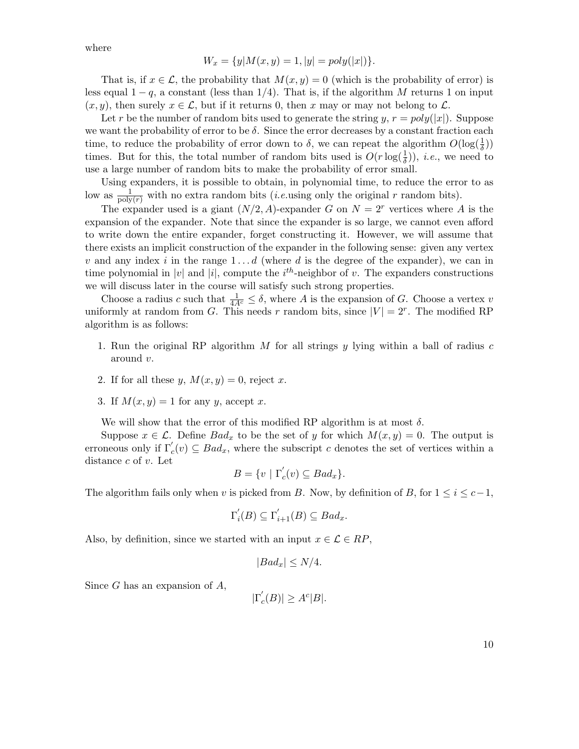where

$$
W_x = \{y | M(x, y) = 1, |y| = poly(|x|)\}.
$$

That is, if  $x \in \mathcal{L}$ , the probability that  $M(x, y) = 0$  (which is the probability of error) is less equal  $1 - q$ , a constant (less than 1/4). That is, if the algorithm M returns 1 on input  $(x, y)$ , then surely  $x \in \mathcal{L}$ , but if it returns 0, then x may or may not belong to  $\mathcal{L}$ .

Let r be the number of random bits used to generate the string y,  $r = poly(|x|)$ . Suppose we want the probability of error to be  $\delta$ . Since the error decreases by a constant fraction each time, to reduce the probability of error down to  $\delta$ , we can repeat the algorithm  $O(\log(\frac{1}{\delta}))$ times. But for this, the total number of random bits used is  $O(r \log(\frac{1}{\delta}))$ , *i.e.*, we need to use a large number of random bits to make the probability of error small.

Using expanders, it is possible to obtain, in polynomial time, to reduce the error to as low as  $\frac{1}{poly(r)}$  with no extra random bits (*i.e.*using only the original r random bits).

The expander used is a giant  $(N/2, A)$ -expander G on  $N = 2<sup>r</sup>$  vertices where A is the expansion of the expander. Note that since the expander is so large, we cannot even afford to write down the entire expander, forget constructing it. However, we will assume that there exists an implicit construction of the expander in the following sense: given any vertex v and any index i in the range  $1 \ldots d$  (where d is the degree of the expander), we can in time polynomial in |v| and |i|, compute the  $i^{th}$ -neighbor of v. The expanders constructions we will discuss later in the course will satisfy such strong properties.

Choose a radius c such that  $\frac{1}{4A^c} \leq \delta$ , where A is the expansion of G. Choose a vertex v uniformly at random from G. This needs r random bits, since  $|V| = 2^r$ . The modified RP algorithm is as follows:

- 1. Run the original RP algorithm M for all strings y lying within a ball of radius  $c$ around v.
- 2. If for all these y,  $M(x, y) = 0$ , reject x.
- 3. If  $M(x, y) = 1$  for any y, accept x.

We will show that the error of this modified RP algorithm is at most  $\delta$ .

Suppose  $x \in \mathcal{L}$ . Define  $Bad_x$  to be the set of y for which  $M(x, y) = 0$ . The output is erroneous only if  $\Gamma'_c(v) \subseteq Bad_x$ , where the subscript c denotes the set of vertices within a distance c of v. Let

$$
B = \{ v \mid \Gamma_c'(v) \subseteq Bad_x \}.
$$

The algorithm fails only when v is picked from B. Now, by definition of B, for  $1 \leq i \leq c-1$ ,

$$
\Gamma_i'(B) \subseteq \Gamma_{i+1}'(B) \subseteq Bad_x.
$$

Also, by definition, since we started with an input  $x \in \mathcal{L} \in RP$ ,

$$
|Bad_x| \le N/4.
$$

Since  $G$  has an expansion of  $A$ ,

$$
|\Gamma_c^{'}(B)| \ge A^c|B|.
$$

10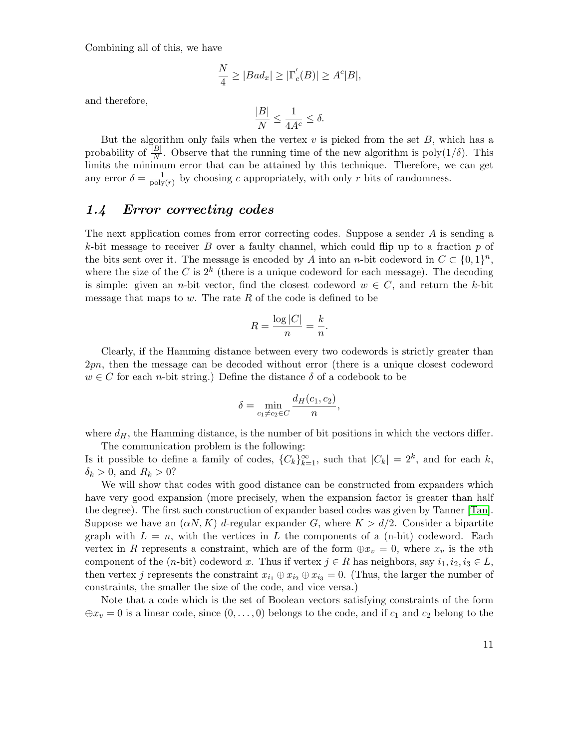Combining all of this, we have

$$
\frac{N}{4} \ge |Bad_x| \ge |\Gamma_c'(B)| \ge A^c|B|,
$$

and therefore,

$$
\frac{|B|}{N} \le \frac{1}{4A^c} \le \delta.
$$

But the algorithm only fails when the vertex  $v$  is picked from the set  $B$ , which has a probability of  $\frac{|B|}{N}$ . Observe that the running time of the new algorithm is poly $(1/\delta)$ . This limits the minimum error that can be attained by this technique. Therefore, we can get any error  $\delta = \frac{1}{\text{poly}}$  $\frac{1}{\text{poly}(r)}$  by choosing c appropriately, with only r bits of randomness.

## <span id="page-10-0"></span>1.4 Error correcting codes

The next application comes from error correcting codes. Suppose a sender A is sending a k-bit message to receiver B over a faulty channel, which could flip up to a fraction p of the bits sent over it. The message is encoded by A into an n-bit codeword in  $C \subset \{0,1\}^n$ , where the size of the C is  $2^k$  (there is a unique codeword for each message). The decoding is simple: given an *n*-bit vector, find the closest codeword  $w \in C$ , and return the k-bit message that maps to  $w$ . The rate  $R$  of the code is defined to be

$$
R = \frac{\log|C|}{n} = \frac{k}{n}.
$$

Clearly, if the Hamming distance between every two codewords is strictly greater than 2pn, then the message can be decoded without error (there is a unique closest codeword  $w \in C$  for each *n*-bit string.) Define the distance  $\delta$  of a codebook to be

$$
\delta = \min_{c_1 \neq c_2 \in C} \frac{d_H(c_1, c_2)}{n},
$$

where  $d_H$ , the Hamming distance, is the number of bit positions in which the vectors differ. The communication problem is the following:

Is it possible to define a family of codes,  ${C_k}_{k=1}^{\infty}$ , such that  $|C_k| = 2^k$ , and for each k,  $\delta_k > 0$ , and  $R_k > 0$ ?

We will show that codes with good distance can be constructed from expanders which have very good expansion (more precisely, when the expansion factor is greater than half the degree). The first such construction of expander based codes was given by Tanner [\[Tan\]](#page-81-3). Suppose we have an  $(\alpha N, K)$  d-regular expander G, where  $K > d/2$ . Consider a bipartite graph with  $L = n$ , with the vertices in L the components of a (n-bit) codeword. Each vertex in R represents a constraint, which are of the form  $\oplus x_v = 0$ , where  $x_v$  is the vth component of the (n-bit) codeword x. Thus if vertex  $j \in R$  has neighbors, say  $i_1, i_2, i_3 \in L$ , then vertex j represents the constraint  $x_{i_1} \oplus x_{i_2} \oplus x_{i_3} = 0$ . (Thus, the larger the number of constraints, the smaller the size of the code, and vice versa.)

Note that a code which is the set of Boolean vectors satisfying constraints of the form  $\oplus x_v = 0$  is a linear code, since  $(0, \ldots, 0)$  belongs to the code, and if  $c_1$  and  $c_2$  belong to the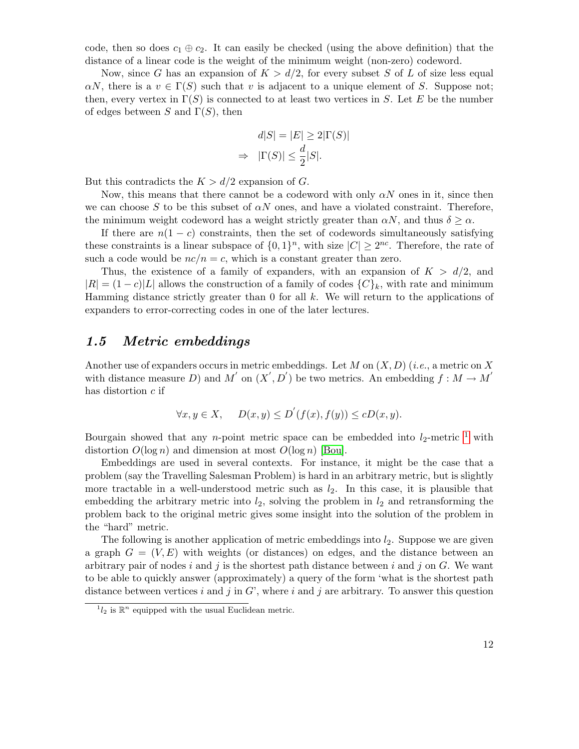code, then so does  $c_1 \oplus c_2$ . It can easily be checked (using the above definition) that the distance of a linear code is the weight of the minimum weight (non-zero) codeword.

Now, since G has an expansion of  $K > d/2$ , for every subset S of L of size less equal  $\alpha N$ , there is a  $v \in \Gamma(S)$  such that v is adjacent to a unique element of S. Suppose not; then, every vertex in  $\Gamma(S)$  is connected to at least two vertices in S. Let E be the number of edges between S and  $\Gamma(S)$ , then

$$
d|S| = |E| \ge 2|\Gamma(S)|
$$
  
\n
$$
\Rightarrow |\Gamma(S)| \le \frac{d}{2}|S|.
$$

But this contradicts the  $K > d/2$  expansion of G.

Now, this means that there cannot be a codeword with only  $\alpha N$  ones in it, since then we can choose S to be this subset of  $\alpha N$  ones, and have a violated constraint. Therefore, the minimum weight codeword has a weight strictly greater than  $\alpha N$ , and thus  $\delta \geq \alpha$ .

If there are  $n(1 - c)$  constraints, then the set of codewords simultaneously satisfying these constraints is a linear subspace of  $\{0,1\}^n$ , with size  $|C| \geq 2^{nc}$ . Therefore, the rate of such a code would be  $nc/n = c$ , which is a constant greater than zero.

Thus, the existence of a family of expanders, with an expansion of  $K > d/2$ , and  $|R| = (1 - c)|L|$  allows the construction of a family of codes  $\{C\}_k$ , with rate and minimum Hamming distance strictly greater than  $0$  for all  $k$ . We will return to the applications of expanders to error-correcting codes in one of the later lectures.

#### <span id="page-11-0"></span>1.5 Metric embeddings

Another use of expanders occurs in metric embeddings. Let M on  $(X, D)$  (*i.e.*, a metric on X with distance measure D) and M' on  $(X', D')$  be two metrics. An embedding  $f : M \to M'$ has distortion  $c$  if

$$
\forall x, y \in X, \quad D(x, y) \le D'(f(x), f(y)) \le cD(x, y).
$$

Bourgain showed that any *n*-point metric space can be embedded into  $l_2$ -metric <sup>[1](#page-11-1)</sup> with distortion  $O(\log n)$  and dimension at most  $O(\log n)$  [\[Bou\]](#page-79-2).

Embeddings are used in several contexts. For instance, it might be the case that a problem (say the Travelling Salesman Problem) is hard in an arbitrary metric, but is slightly more tractable in a well-understood metric such as  $l_2$ . In this case, it is plausible that embedding the arbitrary metric into  $l_2$ , solving the problem in  $l_2$  and retransforming the problem back to the original metric gives some insight into the solution of the problem in the "hard" metric.

The following is another application of metric embeddings into  $l_2$ . Suppose we are given a graph  $G = (V, E)$  with weights (or distances) on edges, and the distance between an arbitrary pair of nodes i and j is the shortest path distance between i and j on  $G$ . We want to be able to quickly answer (approximately) a query of the form 'what is the shortest path distance between vertices i and j in  $G'$ , where i and j are arbitrary. To answer this question

<span id="page-11-1"></span> $^{1}l_{2}$  is  $\mathbb{R}^{n}$  equipped with the usual Euclidean metric.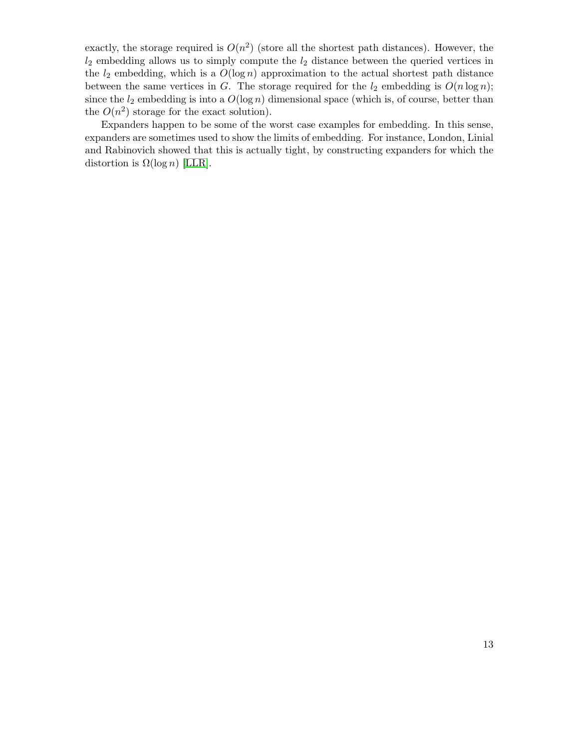exactly, the storage required is  $O(n^2)$  (store all the shortest path distances). However, the  $l_2$  embedding allows us to simply compute the  $l_2$  distance between the queried vertices in the  $l_2$  embedding, which is a  $O(\log n)$  approximation to the actual shortest path distance between the same vertices in G. The storage required for the  $l_2$  embedding is  $O(n \log n)$ ; since the  $l_2$  embedding is into a  $O(\log n)$  dimensional space (which is, of course, better than the  $O(n^2)$  storage for the exact solution).

Expanders happen to be some of the worst case examples for embedding. In this sense, expanders are sometimes used to show the limits of embedding. For instance, London, Linial and Rabinovich showed that this is actually tight, by constructing expanders for which the distortion is  $\Omega(\log n)$  [\[LLR\]](#page-80-3).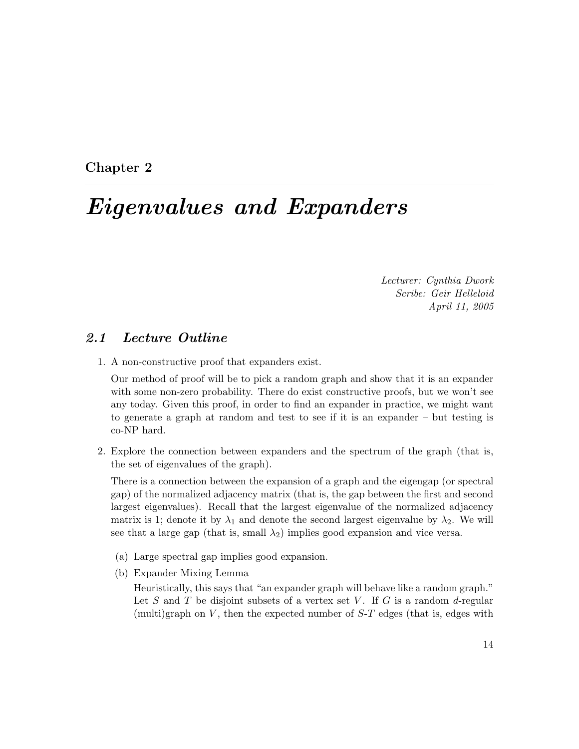<span id="page-13-0"></span>Chapter 2

# Eigenvalues and Expanders

Lecturer: Cynthia Dwork Scribe: Geir Helleloid April 11, 2005

### <span id="page-13-1"></span>2.1 Lecture Outline

1. A non-constructive proof that expanders exist.

Our method of proof will be to pick a random graph and show that it is an expander with some non-zero probability. There do exist constructive proofs, but we won't see any today. Given this proof, in order to find an expander in practice, we might want to generate a graph at random and test to see if it is an expander – but testing is co-NP hard.

2. Explore the connection between expanders and the spectrum of the graph (that is, the set of eigenvalues of the graph).

There is a connection between the expansion of a graph and the eigengap (or spectral gap) of the normalized adjacency matrix (that is, the gap between the first and second largest eigenvalues). Recall that the largest eigenvalue of the normalized adjacency matrix is 1; denote it by  $\lambda_1$  and denote the second largest eigenvalue by  $\lambda_2$ . We will see that a large gap (that is, small  $\lambda_2$ ) implies good expansion and vice versa.

- (a) Large spectral gap implies good expansion.
- (b) Expander Mixing Lemma

Heuristically, this says that "an expander graph will behave like a random graph." Let S and T be disjoint subsets of a vertex set V. If G is a random d-regular (multi)graph on  $V$ , then the expected number of  $S-T$  edges (that is, edges with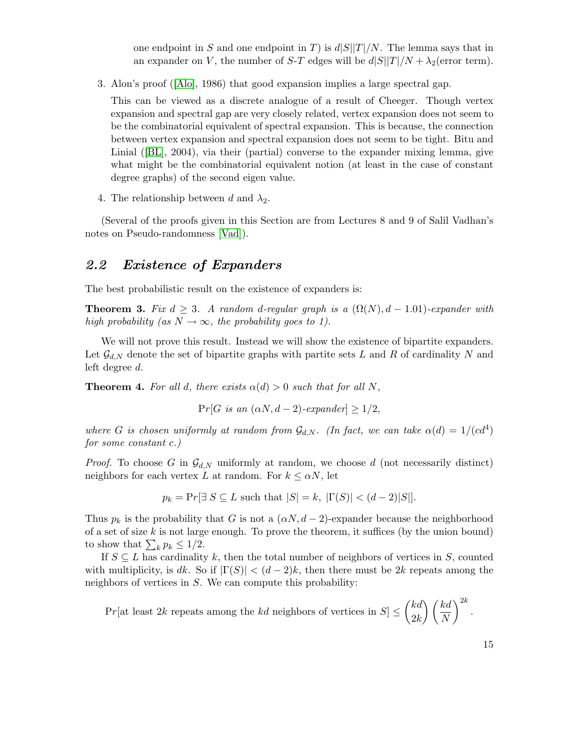one endpoint in S and one endpoint in T) is  $d|S||T|/N$ . The lemma says that in an expander on V, the number of S-T edges will be  $d|S||T|/N + \lambda_2$  (error term).

3. Alon's proof([\[Alo\]](#page-78-1), 1986) that good expansion implies a large spectral gap.

This can be viewed as a discrete analogue of a result of Cheeger. Though vertex expansion and spectral gap are very closely related, vertex expansion does not seem to be the combinatorial equivalent of spectral expansion. This is because, the connection between vertex expansion and spectral expansion does not seem to be tight. Bitu and Linial([\[BL\]](#page-78-2), 2004), via their (partial) converse to the expander mixing lemma, give what might be the combinatorial equivalent notion (at least in the case of constant degree graphs) of the second eigen value.

4. The relationship between d and  $\lambda_2$ .

(Several of the proofs given in this Section are from Lectures 8 and 9 of Salil Vadhan's notes on Pseudo-randomness [\[Vad\]](#page-77-1)).

### <span id="page-14-0"></span>2.2 Existence of Expanders

The best probabilistic result on the existence of expanders is:

**Theorem 3.** Fix  $d \geq 3$ . A random d-regular graph is a  $(\Omega(N), d - 1.01)$ -expander with high probability (as  $N \to \infty$ , the probability goes to 1).

We will not prove this result. Instead we will show the existence of bipartite expanders. Let  $\mathcal{G}_{d,N}$  denote the set of bipartite graphs with partite sets L and R of cardinality N and left degree d.

**Theorem 4.** For all d, there exists  $\alpha(d) > 0$  such that for all N,

$$
Pr[G \text{ is an } (\alpha N, d-2)\text{-}expander] \ge 1/2,
$$

where G is chosen uniformly at random from  $\mathcal{G}_{d,N}$ . (In fact, we can take  $\alpha(d) = 1/(cd^4)$ ) for some constant c.)

*Proof.* To choose G in  $\mathcal{G}_{d,N}$  uniformly at random, we choose d (not necessarily distinct) neighbors for each vertex L at random. For  $k \leq \alpha N$ , let

$$
p_k = \Pr[\exists S \subseteq L \text{ such that } |S| = k, |\Gamma(S)| < (d-2)|S|].
$$

Thus  $p_k$  is the probability that G is not a  $(\alpha N, d - 2)$ -expander because the neighborhood of a set of size  $k$  is not large enough. To prove the theorem, it suffices (by the union bound) to show that  $\sum_k p_k \leq 1/2$ .

If  $S \subseteq L$  has cardinality k, then the total number of neighbors of vertices in S, counted with multiplicity, is dk. So if  $|\Gamma(S)| < (d-2)k$ , then there must be 2k repeats among the neighbors of vertices in S. We can compute this probability:

 $Pr[\text{at least } 2k \text{ repeats among the } k\text{d neighbors of vertices in } S] \leq \binom{kd}{\text{d}k}$  $2k$  $\bigwedge$  (kd) N  $\bigg)^{2k}$ .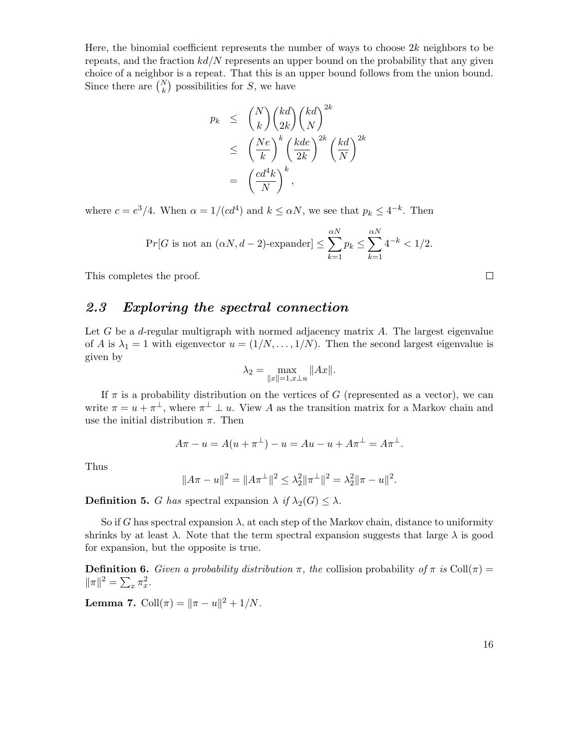Here, the binomial coefficient represents the number of ways to choose  $2k$  neighbors to be repeats, and the fraction  $kd/N$  represents an upper bound on the probability that any given choice of a neighbor is a repeat. That this is an upper bound follows from the union bound. Since there are  $\binom{N}{k}$  possibilities for S, we have

$$
p_k \leq {N \choose k} {kd \choose 2k} {kd \choose N}^{2k}
$$
  

$$
\leq \left(\frac{Ne}{k}\right)^k \left(\frac{kde}{2k}\right)^{2k} \left(\frac{kd}{N}\right)^{2k}
$$
  

$$
= \left(\frac{cd^4k}{N}\right)^k,
$$

where  $c = e^3/4$ . When  $\alpha = 1/(cd^4)$  and  $k \le \alpha N$ , we see that  $p_k \le 4^{-k}$ . Then

$$
\Pr[G \text{ is not an } (\alpha N, d-2)\text{-expander}] \le \sum_{k=1}^{\alpha N} p_k \le \sum_{k=1}^{\alpha N} 4^{-k} < 1/2.
$$

This completes the proof.

### <span id="page-15-0"></span>2.3 Exploring the spectral connection

Let  $G$  be a *d*-regular multigraph with normed adjacency matrix  $A$ . The largest eigenvalue of A is  $\lambda_1 = 1$  with eigenvector  $u = (1/N, \ldots, 1/N)$ . Then the second largest eigenvalue is given by

$$
\lambda_2 = \max_{\|x\|=1, x \perp u} \|Ax\|.
$$

If  $\pi$  is a probability distribution on the vertices of G (represented as a vector), we can write  $\pi = u + \pi^{\perp}$ , where  $\pi^{\perp} \perp u$ . View A as the transition matrix for a Markov chain and use the initial distribution  $\pi$ . Then

$$
A\pi - u = A(u + \pi^{\perp}) - u = Au - u + A\pi^{\perp} = A\pi^{\perp}.
$$

Thus

$$
||A\pi - u||^2 = ||A\pi^{\perp}||^2 \le \lambda_2^2 ||\pi^{\perp}||^2 = \lambda_2^2 ||\pi - u||^2.
$$

**Definition 5.** G has spectral expansion  $\lambda$  if  $\lambda_2(G) \leq \lambda$ .

So if G has spectral expansion  $\lambda$ , at each step of the Markov chain, distance to uniformity shrinks by at least  $\lambda$ . Note that the term spectral expansion suggests that large  $\lambda$  is good for expansion, but the opposite is true.

**Definition 6.** Given a probability distribution  $\pi$ , the collision probability of  $\pi$  is Coll( $\pi$ ) =  $\|\pi\|^2 = \sum_x \pi_x^2.$ 

**Lemma 7.** Coll $(\pi) = ||\pi - u||^2 + 1/N$ .

|     | ٠              |
|-----|----------------|
| . . | 전 사<br>I<br>۰. |

 $\Box$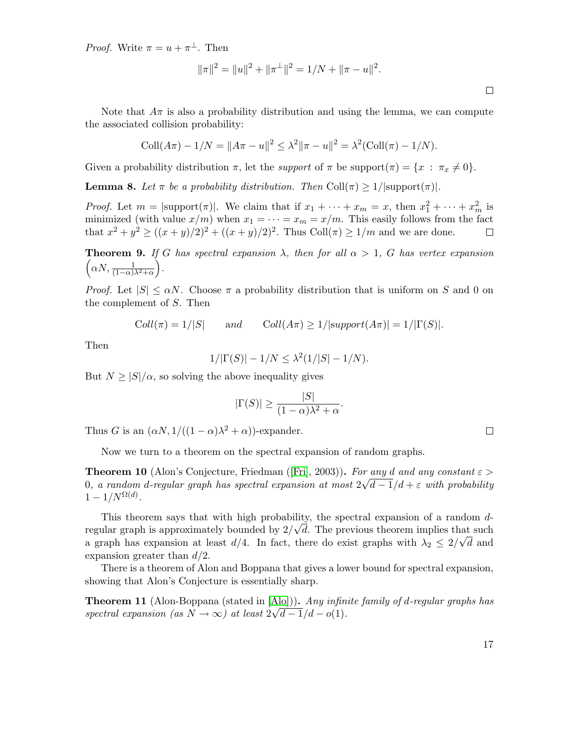*Proof.* Write  $\pi = u + \pi^{\perp}$ . Then

$$
\|\pi\|^2 = \|u\|^2 + \|\pi^{\perp}\|^2 = 1/N + \|\pi - u\|^2.
$$

 $\Box$ 

Note that  $A\pi$  is also a probability distribution and using the lemma, we can compute the associated collision probability:

$$
Coll(A\pi) - 1/N = ||A\pi - u||^2 \le \lambda^2 ||\pi - u||^2 = \lambda^2 (Coll(\pi) - 1/N).
$$

Given a probability distribution  $\pi$ , let the *support* of  $\pi$  be support $(\pi) = \{x : \pi_x \neq 0\}.$ 

**Lemma 8.** Let  $\pi$  be a probability distribution. Then Coll $(\pi) \geq 1/|\text{support}(\pi)|$ .

*Proof.* Let  $m = |\text{support}(\pi)|$ . We claim that if  $x_1 + \cdots + x_m = x$ , then  $x_1^2 + \cdots + x_m^2$  is minimized (with value  $x/m$ ) when  $x_1 = \cdots = x_m = x/m$ . This easily follows from the fact that  $x^2 + y^2 \ge ((x + y)/2)^2 + ((x + y)/2)^2$ . Thus Coll $(\pi) \ge 1/m$  and we are done.

**Theorem 9.** If G has spectral expansion  $\lambda$ , then for all  $\alpha > 1$ , G has vertex expansion  $\left(\alpha N, \frac{1}{(1-\alpha)\lambda^2+\alpha}\right)$ .

*Proof.* Let  $|S| \le \alpha N$ . Choose  $\pi$  a probability distribution that is uniform on S and 0 on the complement of S. Then

$$
Coll(\pi) = 1/|S| \qquad and \qquad Coll(A\pi) \ge 1/|support(A\pi)| = 1/|\Gamma(S)|.
$$

Then

$$
1/|\Gamma(S)| - 1/N \le \lambda^2 (1/|S| - 1/N).
$$

But  $N \geq |S|/\alpha$ , so solving the above inequality gives

$$
|\Gamma(S)| \ge \frac{|S|}{(1-\alpha)\lambda^2 + \alpha}.
$$

Thus G is an  $(\alpha N, 1/((1 - \alpha)\lambda^2 + \alpha))$ -expander.

Now we turn to a theorem on the spectral expansion of random graphs.

**Theorem10** (Alon's Conjecture, Friedman ([\[Fri\]](#page-79-3), 2003)). For any d and any constant  $\varepsilon >$ 0, a random d-regular graph has spectral expansion at most  $2\sqrt{d-1}/d+\varepsilon$  with probability  $1-1/N^{\Omega(d)}$ .

This theorem says that with high probability, the spectral expansion of a random  $d$ regular graph is approximately bounded by  $2/\sqrt{d}$ . The previous theorem implies that such a graph has expansion at least  $d/4$ . In fact, there do exist graphs with  $\lambda_2 \leq 2/\sqrt{d}$  and expansion greater than  $d/2$ .

There is a theorem of Alon and Boppana that gives a lower bound for spectral expansion, showing that Alon's Conjecture is essentially sharp.

**Theorem 11** (Alon-Boppana (stated in  $[Alo]$ )). Any infinite family of d-regular graphs has spectral expansion (as  $N \to \infty$ ) at least  $2\sqrt{d-1}/d - o(1)$ .

 $\Box$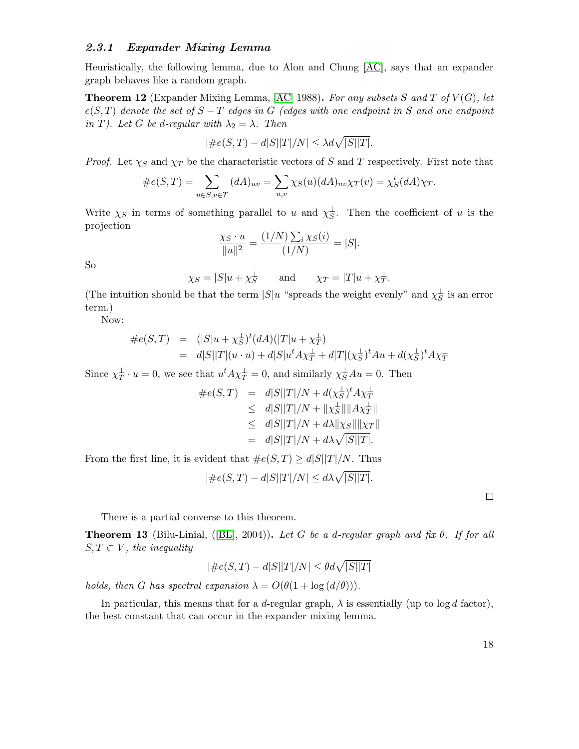#### <span id="page-17-0"></span>2.3.1 Expander Mixing Lemma

Heuristically, the following lemma, due to Alon and Chung [\[AC\]](#page-78-3), says that an expander graph behaves like a random graph.

**Theorem 12** (Expander Mixing Lemma, [\[AC\]](#page-78-3) 1988). For any subsets S and T of  $V(G)$ , let  $e(S,T)$  denote the set of  $S-T$  edges in G (edges with one endpoint in S and one endpoint in T). Let G be d-regular with  $\lambda_2 = \lambda$ . Then

$$
|\#e(S,T) - d|S||T|/N| \le \lambda d\sqrt{|S||T|}.
$$

*Proof.* Let  $\chi_S$  and  $\chi_T$  be the characteristic vectors of S and T respectively. First note that

$$
\#e(S,T) = \sum_{u \in S, v \in T} (dA)_{uv} = \sum_{u,v} \chi_S(u) (dA)_{uv} \chi_T(v) = \chi_S^t(dA) \chi_T.
$$

Write  $\chi_S$  in terms of something parallel to u and  $\chi_S^{\perp}$ . Then the coefficient of u is the projection

$$
\frac{\chi_S \cdot u}{\|u\|^2} = \frac{(1/N) \sum_i \chi_S(i)}{(1/N)} = |S|.
$$

So

$$
\chi_S = |S|u + \chi_S^{\perp}
$$
 and  $\chi_T = |T|u + \chi_T^{\perp}$ .

(The intuition should be that the term  $|S|u$  "spreads the weight evenly" and  $\chi_{S}^{\perp}$  is an error term.)

Now:

$$
#e(S,T) = (|S|u + \chi_S^{\perp})^t (dA)(|T|u + \chi_T^{\perp})
$$
  
=  $d|S||T|(u \cdot u) + d|S|u^t A \chi_T^{\perp} + d|T|(\chi_S^{\perp})^t A u + d(\chi_S^{\perp})^t A \chi_T^{\perp}$ 

Since  $\chi_T^{\perp} \cdot u = 0$ , we see that  $u^t A \chi_T^{\perp} = 0$ , and similarly  $\chi_S^{\perp} A u = 0$ . Then

$$
\#e(S,T) = d|S||T|/N + d(\chi_S^{\perp})^t A \chi_T^{\perp}
$$
  
\n
$$
\leq d|S||T|/N + ||\chi_S^{\perp}|| ||A \chi_T^{\perp}||
$$
  
\n
$$
\leq d|S||T|/N + d\lambda ||\chi_S|| ||\chi_T||
$$
  
\n
$$
= d|S||T|/N + d\lambda \sqrt{|S||T|}.
$$

From the first line, it is evident that  $\#e(S,T) \geq d|S||T|/N$ . Thus

$$
|\#e(S,T) - d|S||T|/N| \le d\lambda \sqrt{|S||T|}.
$$

 $\Box$ 

There is a partial converse to this theorem.

**Theorem13** (Bilu-Linial, ([\[BL\]](#page-78-2), 2004)). Let G be a d-regular graph and fix  $\theta$ . If for all  $S, T \subset V$ , the inequality

$$
|\#e(S,T) - d|S||T|/N| \le \theta d\sqrt{|S||T|}
$$

holds, then G has spectral expansion  $\lambda = O(\theta(1 + \log(d/\theta)))$ .

In particular, this means that for a d-regular graph,  $\lambda$  is essentially (up to log d factor), the best constant that can occur in the expander mixing lemma.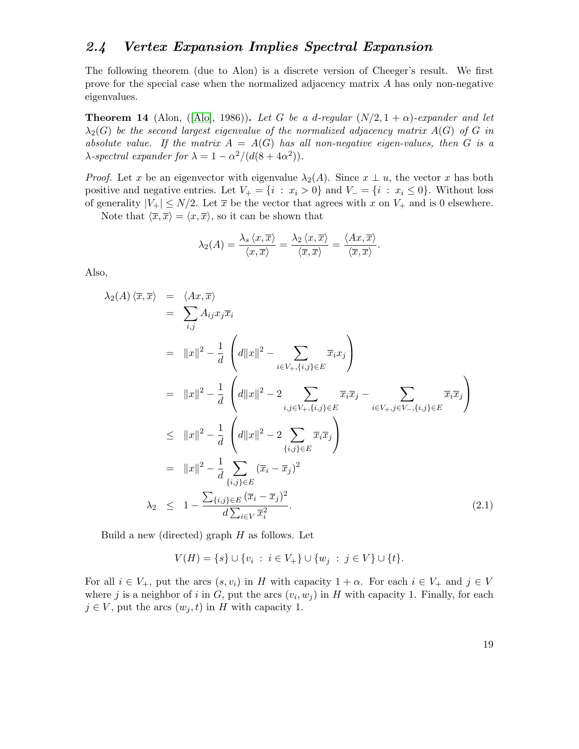### <span id="page-18-0"></span>2.4 Vertex Expansion Implies Spectral Expansion

The following theorem (due to Alon) is a discrete version of Cheeger's result. We first prove for the special case when the normalized adjacency matrix A has only non-negative eigenvalues.

<span id="page-18-2"></span>**Theorem14** (Alon, ([\[Alo\]](#page-78-1), 1986)). Let G be a d-regular  $(N/2, 1 + \alpha)$ -expander and let  $\lambda_2(G)$  be the second largest eigenvalue of the normalized adjacency matrix  $A(G)$  of G in absolute value. If the matrix  $A = A(G)$  has all non-negative eigen-values, then G is a  $\lambda$ -spectral expander for  $\lambda = 1 - \alpha^2/(d(8 + 4\alpha^2))$ .

*Proof.* Let x be an eigenvector with eigenvalue  $\lambda_2(A)$ . Since  $x \perp u$ , the vector x has both positive and negative entries. Let  $V_+ = \{i : x_i > 0\}$  and  $V_- = \{i : x_i \leq 0\}$ . Without loss of generality  $|V_+| \leq N/2$ . Let  $\bar{x}$  be the vector that agrees with x on  $V_+$  and is 0 elsewhere.

Note that  $\langle \overline{x}, \overline{x} \rangle = \langle x, \overline{x} \rangle$ , so it can be shown that

$$
\lambda_2(A) = \frac{\lambda_s \langle x, \overline{x} \rangle}{\langle x, \overline{x} \rangle} = \frac{\lambda_2 \langle x, \overline{x} \rangle}{\langle \overline{x}, \overline{x} \rangle} = \frac{\langle Ax, \overline{x} \rangle}{\langle \overline{x}, \overline{x} \rangle}.
$$

Also,

<span id="page-18-1"></span>
$$
\lambda_2(A) \langle \overline{x}, \overline{x} \rangle = \langle Ax, \overline{x} \rangle
$$
  
\n
$$
= \sum_{i,j} A_{ij} x_j \overline{x}_i
$$
  
\n
$$
= \|x\|^2 - \frac{1}{d} \left( d\|x\|^2 - \sum_{i \in V_+, \{i,j\} \in E} \overline{x}_i x_j \right)
$$
  
\n
$$
= \|x\|^2 - \frac{1}{d} \left( d\|x\|^2 - 2 \sum_{i,j \in V_+, \{i,j\} \in E} \overline{x}_i \overline{x}_j - \sum_{i \in V_+, j \in V_-, \{i,j\} \in E} \overline{x}_i \overline{x}_j \right)
$$
  
\n
$$
\leq \|x\|^2 - \frac{1}{d} \left( d\|x\|^2 - 2 \sum_{\{i,j\} \in E} \overline{x}_i \overline{x}_j \right)
$$
  
\n
$$
= \|x\|^2 - \frac{1}{d} \sum_{\{i,j\} \in E} (\overline{x}_i - \overline{x}_j)^2
$$
  
\n
$$
\lambda_2 \leq 1 - \frac{\sum_{\{i,j\} \in E} (\overline{x}_i - \overline{x}_j)^2}{d \sum_{i \in V} \overline{x}_i^2}.
$$
 (2.1)

Build a new (directed) graph  $H$  as follows. Let

 $V(H) = \{s\} \cup \{v_i : i \in V_+\} \cup \{w_j : j \in V\} \cup \{t\}.$ 

For all  $i \in V_+$ , put the arcs  $(s, v_i)$  in H with capacity  $1 + \alpha$ . For each  $i \in V_+$  and  $j \in V$ where j is a neighbor of i in G, put the arcs  $(v_i, w_j)$  in H with capacity 1. Finally, for each  $j \in V$ , put the arcs  $(w_j, t)$  in H with capacity 1.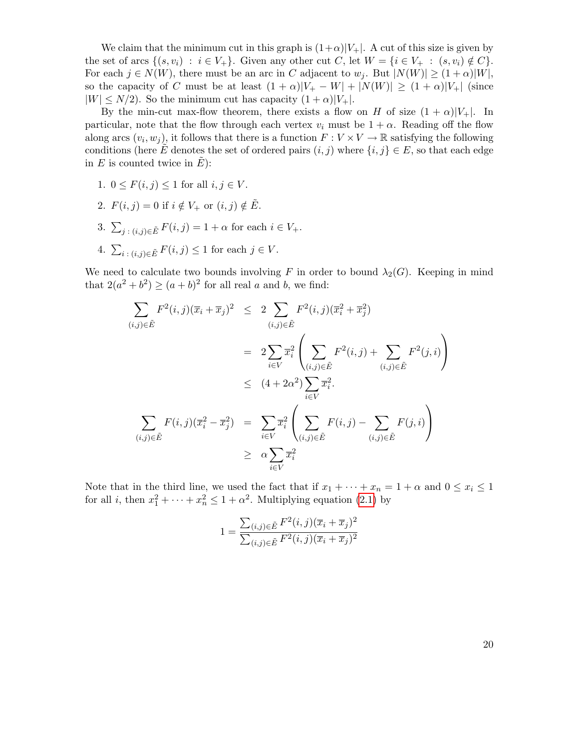We claim that the minimum cut in this graph is  $(1+\alpha)|V_+|$ . A cut of this size is given by the set of arcs  $\{(s, v_i) : i \in V_+\}$ . Given any other cut C, let  $W = \{i \in V_+ : (s, v_i) \notin C\}$ . For each  $j \in N(W)$ , there must be an arc in C adjacent to  $w_j$ . But  $|N(W)| \ge (1+\alpha)|W|$ , so the capacity of C must be at least  $(1 + \alpha)|V_+ - W| + |N(W)| \ge (1 + \alpha)|V_+|$  (since  $|W| \leq N/2$ ). So the minimum cut has capacity  $(1+\alpha)|V_+|$ .

By the min-cut max-flow theorem, there exists a flow on H of size  $(1 + \alpha)|V_+|$ . In particular, note that the flow through each vertex  $v_i$  must be  $1 + \alpha$ . Reading off the flow along arcs  $(v_i, w_j)$ , it follows that there is a function  $F: V \times V \to \mathbb{R}$  satisfying the following conditions (here E<sup> $i$ </sup> denotes the set of ordered pairs  $(i, j)$  where  $\{i, j\} \in E$ , so that each edge in  $E$  is counted twice in  $E$ ):

- 1.  $0 \leq F(i, j) \leq 1$  for all  $i, j \in V$ .
- 2.  $F(i, j) = 0$  if  $i \notin V_+$  or  $(i, j) \notin \tilde{E}$ .
- 3.  $\sum_{j:(i,j)\in\tilde{E}}F(i,j)=1+\alpha$  for each  $i\in V_+$ .
- 4.  $\sum_{i:(i,j)\in \tilde{E}} F(i,j) \leq 1$  for each  $j \in V$ .

We need to calculate two bounds involving F in order to bound  $\lambda_2(G)$ . Keeping in mind that  $2(a^2 + b^2) \ge (a + b)^2$  for all real a and b, we find:

$$
\sum_{(i,j)\in \tilde{E}} F^{2}(i,j)(\overline{x}_{i} + \overline{x}_{j})^{2} \leq 2 \sum_{(i,j)\in \tilde{E}} F^{2}(i,j)(\overline{x}_{i}^{2} + \overline{x}_{j}^{2})
$$
\n
$$
= 2 \sum_{i\in V} \overline{x}_{i}^{2} \left( \sum_{(i,j)\in \tilde{E}} F^{2}(i,j) + \sum_{(i,j)\in \tilde{E}} F^{2}(j,i) \right)
$$
\n
$$
\leq (4 + 2\alpha^{2}) \sum_{i\in V} \overline{x}_{i}^{2}.
$$
\n
$$
\sum_{(i,j)\in \tilde{E}} F(i,j)(\overline{x}_{i}^{2} - \overline{x}_{j}^{2}) = \sum_{i\in V} \overline{x}_{i}^{2} \left( \sum_{(i,j)\in \tilde{E}} F(i,j) - \sum_{(i,j)\in \tilde{E}} F(j,i) \right)
$$
\n
$$
\geq \alpha \sum_{i\in V} \overline{x}_{i}^{2}
$$

Note that in the third line, we used the fact that if  $x_1 + \cdots + x_n = 1 + \alpha$  and  $0 \le x_i \le 1$ for all *i*, then  $x_1^2 + \cdots + x_n^2 \le 1 + \alpha^2$ . Multiplying equation [\(2.1\)](#page-18-1) by

$$
1 = \frac{\sum_{(i,j)\in \tilde{E}} F^2(i,j)(\overline{x}_i + \overline{x}_j)^2}{\sum_{(i,j)\in \tilde{E}} F^2(i,j)(\overline{x}_i + \overline{x}_j)^2}
$$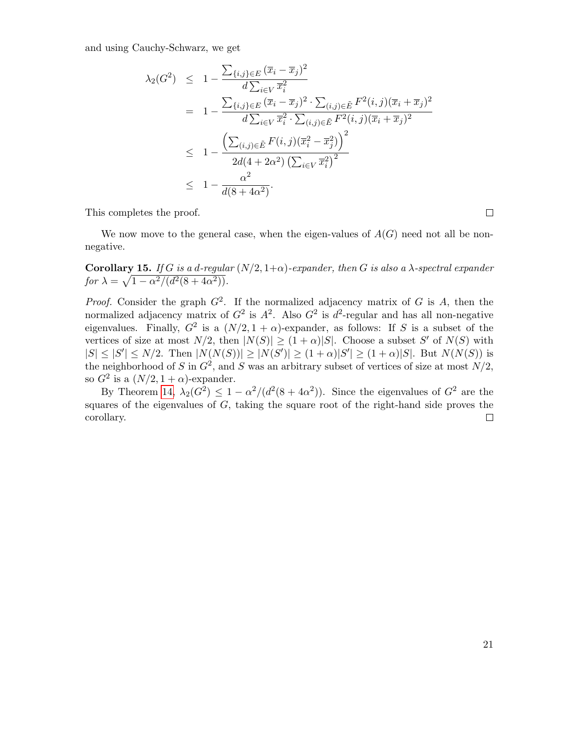and using Cauchy-Schwarz, we get

$$
\lambda_2(G^2) \leq 1 - \frac{\sum_{\{i,j\} \in E} (\overline{x}_i - \overline{x}_j)^2}{d \sum_{i \in V} \overline{x}_i^2}
$$
\n
$$
= 1 - \frac{\sum_{\{i,j\} \in E} (\overline{x}_i - \overline{x}_j)^2 \cdot \sum_{(i,j) \in \tilde{E}} F^2(i,j) (\overline{x}_i + \overline{x}_j)^2}{d \sum_{i \in V} \overline{x}_i^2 \cdot \sum_{(i,j) \in \tilde{E}} F^2(i,j) (\overline{x}_i + \overline{x}_j)^2}
$$
\n
$$
\leq 1 - \frac{\left(\sum_{(i,j) \in \tilde{E}} F(i,j) (\overline{x}_i^2 - \overline{x}_j^2)\right)^2}{2d(4 + 2\alpha^2) \left(\sum_{i \in V} \overline{x}_i^2\right)^2}
$$
\n
$$
\leq 1 - \frac{\alpha^2}{d(8 + 4\alpha^2)}.
$$

This completes the proof.

We now move to the general case, when the eigen-values of  $A(G)$  need not all be nonnegative.

**Corollary 15.** If G is a d-regular  $(N/2, 1+\alpha)$ -expander, then G is also a  $\lambda$ -spectral expander for  $\lambda = \sqrt{1 - \alpha^2/(d^2(8 + 4\alpha^2))}$ .

*Proof.* Consider the graph  $G^2$ . If the normalized adjacency matrix of G is A, then the normalized adjacency matrix of  $G^2$  is  $A^2$ . Also  $G^2$  is  $d^2$ -regular and has all non-negative eigenvalues. Finally,  $G^2$  is a  $(N/2, 1 + \alpha)$ -expander, as follows: If S is a subset of the vertices of size at most  $N/2$ , then  $|N(S)| \geq (1+\alpha)|S|$ . Choose a subset S' of  $N(S)$  with  $|S| \leq |S'| \leq N/2$ . Then  $|N(N(S))| \geq |N(S')| \geq (1+\alpha)|S'| \geq (1+\alpha)|S|$ . But  $N(N(S))$  is the neighborhood of S in  $G^2$ , and S was an arbitrary subset of vertices of size at most  $N/2$ , so  $G^2$  is a  $(N/2, 1 + \alpha)$ -expander.

By Theorem [14,](#page-18-2)  $\lambda_2(G^2) \leq 1 - \alpha^2/(d^2(8 + 4\alpha^2))$ . Since the eigenvalues of  $G^2$  are the squares of the eigenvalues of  $G$ , taking the square root of the right-hand side proves the corollary.  $\Box$ 

 $\Box$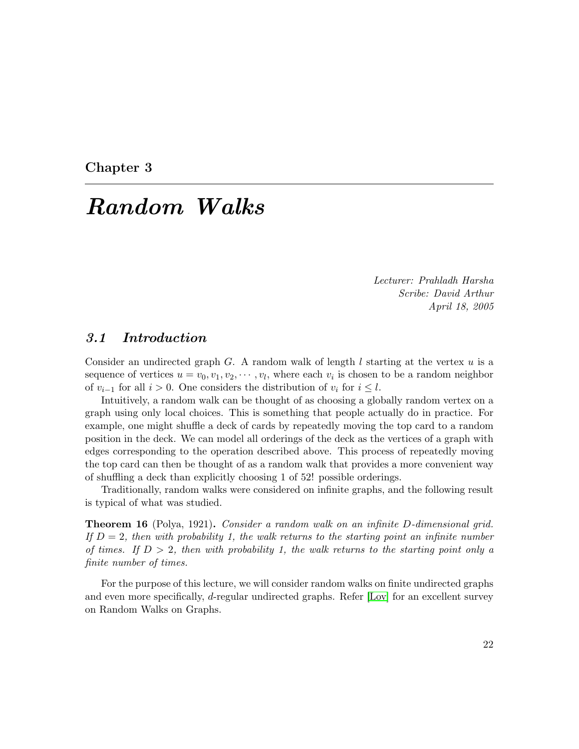<span id="page-21-0"></span>Chapter 3

# Random Walks

Lecturer: Prahladh Harsha Scribe: David Arthur April 18, 2005

### <span id="page-21-1"></span>3.1 Introduction

Consider an undirected graph G. A random walk of length  $l$  starting at the vertex  $u$  is a sequence of vertices  $u = v_0, v_1, v_2, \dots, v_l$ , where each  $v_i$  is chosen to be a random neighbor of  $v_{i-1}$  for all  $i > 0$ . One considers the distribution of  $v_i$  for  $i \leq l$ .

Intuitively, a random walk can be thought of as choosing a globally random vertex on a graph using only local choices. This is something that people actually do in practice. For example, one might shuffle a deck of cards by repeatedly moving the top card to a random position in the deck. We can model all orderings of the deck as the vertices of a graph with edges corresponding to the operation described above. This process of repeatedly moving the top card can then be thought of as a random walk that provides a more convenient way of shuffling a deck than explicitly choosing 1 of 52! possible orderings.

Traditionally, random walks were considered on infinite graphs, and the following result is typical of what was studied.

Theorem 16 (Polya, 1921). Consider a random walk on an infinite D-dimensional grid. If  $D=2$ , then with probability 1, the walk returns to the starting point an infinite number of times. If  $D > 2$ , then with probability 1, the walk returns to the starting point only a finite number of times.

For the purpose of this lecture, we will consider random walks on finite undirected graphs and even more specifically, d-regular undirected graphs. Refer [\[Lov\]](#page-80-4) for an excellent survey on Random Walks on Graphs.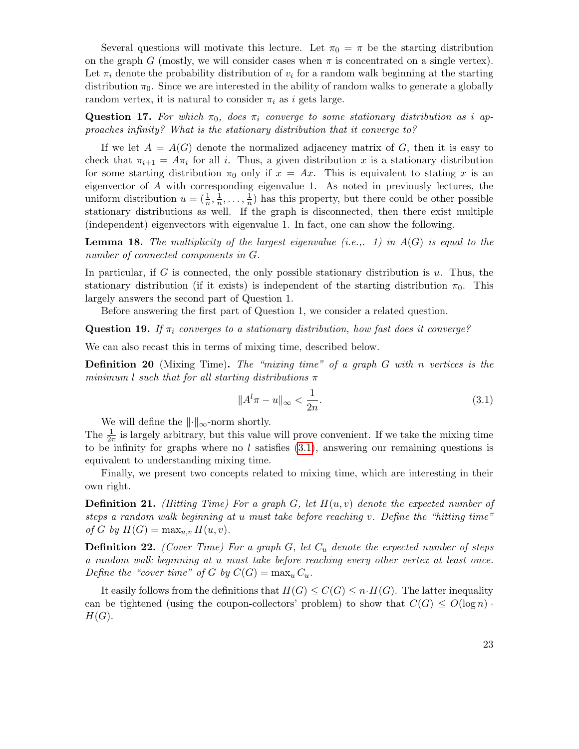Several questions will motivate this lecture. Let  $\pi_0 = \pi$  be the starting distribution on the graph G (mostly, we will consider cases when  $\pi$  is concentrated on a single vertex). Let  $\pi_i$  denote the probability distribution of  $v_i$  for a random walk beginning at the starting distribution  $\pi_0$ . Since we are interested in the ability of random walks to generate a globally random vertex, it is natural to consider  $\pi_i$  as i gets large.

**Question 17.** For which  $\pi_0$ , does  $\pi_i$  converge to some stationary distribution as i approaches infinity? What is the stationary distribution that it converge to?

If we let  $A = A(G)$  denote the normalized adjacency matrix of G, then it is easy to check that  $\pi_{i+1} = A\pi_i$  for all i. Thus, a given distribution x is a stationary distribution for some starting distribution  $\pi_0$  only if  $x = Ax$ . This is equivalent to stating x is an eigenvector of  $A$  with corresponding eigenvalue 1. As noted in previously lectures, the uniform distribution  $u = (\frac{1}{n}, \frac{1}{n})$  $\frac{1}{n}, \ldots, \frac{1}{n}$  $\frac{1}{n}$ ) has this property, but there could be other possible stationary distributions as well. If the graph is disconnected, then there exist multiple (independent) eigenvectors with eigenvalue 1. In fact, one can show the following.

<span id="page-22-1"></span>**Lemma 18.** The multiplicity of the largest eigenvalue (i.e.,. 1) in  $A(G)$  is equal to the number of connected components in G.

In particular, if G is connected, the only possible stationary distribution is  $u$ . Thus, the stationary distribution (if it exists) is independent of the starting distribution  $\pi_0$ . This largely answers the second part of Question 1.

Before answering the first part of Question 1, we consider a related question.

**Question 19.** If  $\pi_i$  converges to a stationary distribution, how fast does it converge?

We can also recast this in terms of mixing time, described below.

**Definition 20** (Mixing Time). The "mixing time" of a graph  $G$  with n vertices is the minimum l such that for all starting distributions  $\pi$ 

<span id="page-22-0"></span>
$$
||A^{l}\pi - u||_{\infty} < \frac{1}{2n}.
$$
\n(3.1)

We will define the  $\|\cdot\|_{\infty}$ -norm shortly.

The  $\frac{1}{2\pi}$  is largely arbitrary, but this value will prove convenient. If we take the mixing time to be infinity for graphs where no l satisfies  $(3.1)$ , answering our remaining questions is equivalent to understanding mixing time.

Finally, we present two concepts related to mixing time, which are interesting in their own right.

**Definition 21.** (Hitting Time) For a graph G, let  $H(u, v)$  denote the expected number of steps a random walk beginning at u must take before reaching v. Define the "hitting time" of G by  $H(G) = \max_{u,v} H(u,v)$ .

**Definition 22.** (Cover Time) For a graph G, let  $C_u$  denote the expected number of steps a random walk beginning at u must take before reaching every other vertex at least once. Define the "cover time" of G by  $C(G) = \max_u C_u$ .

It easily follows from the definitions that  $H(G) \leq C(G) \leq n \cdot H(G)$ . The latter inequality can be tightened (using the coupon-collectors' problem) to show that  $C(G) \leq O(\log n)$ .  $H(G).$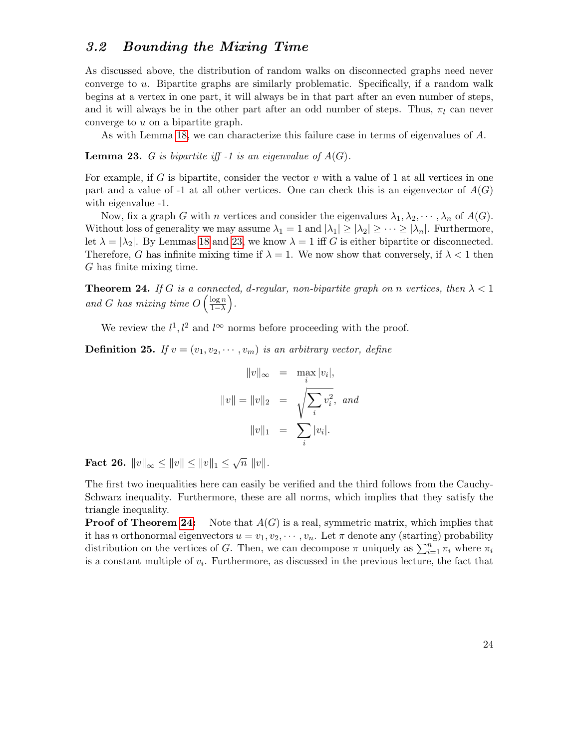## <span id="page-23-0"></span>3.2 Bounding the Mixing Time

As discussed above, the distribution of random walks on disconnected graphs need never converge to u. Bipartite graphs are similarly problematic. Specifically, if a random walk begins at a vertex in one part, it will always be in that part after an even number of steps, and it will always be in the other part after an odd number of steps. Thus,  $\pi_l$  can never converge to u on a bipartite graph.

As with Lemma [18,](#page-22-1) we can characterize this failure case in terms of eigenvalues of A.

<span id="page-23-1"></span>**Lemma 23.** G is bipartite iff -1 is an eigenvalue of  $A(G)$ .

For example, if G is bipartite, consider the vector  $v$  with a value of 1 at all vertices in one part and a value of -1 at all other vertices. One can check this is an eigenvector of  $A(G)$ with eigenvalue -1.

Now, fix a graph G with n vertices and consider the eigenvalues  $\lambda_1, \lambda_2, \dots, \lambda_n$  of  $A(G)$ . Without loss of generality we may assume  $\lambda_1 = 1$  and  $|\lambda_1| \geq |\lambda_2| \geq \cdots \geq |\lambda_n|$ . Furthermore, let  $\lambda = |\lambda_2|$ . By Lemmas [18](#page-22-1) and [23,](#page-23-1) we know  $\lambda = 1$  iff G is either bipartite or disconnected. Therefore, G has infinite mixing time if  $\lambda = 1$ . We now show that conversely, if  $\lambda < 1$  then G has finite mixing time.

<span id="page-23-2"></span>**Theorem 24.** If G is a connected, d-regular, non-bipartite graph on n vertices, then  $\lambda < 1$ and G has mixing time  $O\left(\frac{\log n}{1-\lambda}\right)$  $\frac{\log n}{1-\lambda}$ .

We review the  $l^1, l^2$  and  $l^{\infty}$  norms before proceeding with the proof.

**Definition 25.** If  $v = (v_1, v_2, \dots, v_m)$  is an arbitrary vector, define

$$
||v||_{\infty} = \max_{i} |v_i|,
$$
  

$$
||v|| = ||v||_2 = \sqrt{\sum_{i} v_i^2}, \text{ and}
$$
  

$$
||v||_1 = \sum_{i} |v_i|.
$$

<span id="page-23-3"></span>Fact 26.  $||v||_{\infty} \le ||v|| \le ||v||_1 \le \sqrt{n} ||v||.$ 

The first two inequalities here can easily be verified and the third follows from the Cauchy-Schwarz inequality. Furthermore, these are all norms, which implies that they satisfy the triangle inequality.

**Proof of Theorem [24:](#page-23-2)** Note that  $A(G)$  is a real, symmetric matrix, which implies that it has n orthonormal eigenvectors  $u = v_1, v_2, \dots, v_n$ . Let  $\pi$  denote any (starting) probability distribution on the vertices of G. Then, we can decompose  $\pi$  uniquely as  $\sum_{i=1}^{n} \pi_i$  where  $\pi_i$ is a constant multiple of  $v_i$ . Furthermore, as discussed in the previous lecture, the fact that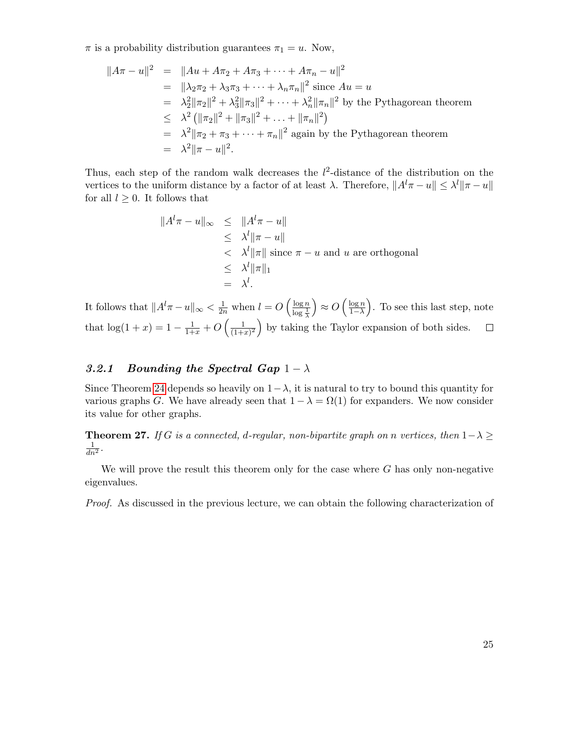$\pi$  is a probability distribution guarantees  $\pi_1 = u$ . Now,

$$
||A\pi - u||^2 = ||Au + A\pi_2 + A\pi_3 + \dots + A\pi_n - u||^2
$$
  
\n
$$
= ||\lambda_2 \pi_2 + \lambda_3 \pi_3 + \dots + \lambda_n \pi_n||^2 \text{ since } Au = u
$$
  
\n
$$
= \lambda_2^2 ||\pi_2||^2 + \lambda_3^2 ||\pi_3||^2 + \dots + \lambda_n^2 ||\pi_n||^2 \text{ by the Pythagorean theorem}
$$
  
\n
$$
\leq \lambda^2 (||\pi_2||^2 + ||\pi_3||^2 + \dots + ||\pi_n||^2)
$$
  
\n
$$
= \lambda^2 ||\pi_2 + \pi_3 + \dots + \pi_n||^2 \text{ again by the Pythagorean theorem}
$$
  
\n
$$
= \lambda^2 ||\pi - u||^2.
$$

Thus, each step of the random walk decreases the  $l^2$ -distance of the distribution on the vertices to the uniform distance by a factor of at least  $\lambda$ . Therefore,  $||A^l \pi - u|| \leq \lambda^l ||\pi - u||$ for all  $l \geq 0$ . It follows that

$$
\|A^{l}\pi - u\|_{\infty} \le \|A^{l}\pi - u\|
$$
  
\n
$$
\le \lambda^{l} \|\pi - u\|
$$
  
\n
$$
< \lambda^{l} \|\pi\| \text{ since } \pi - u \text{ and } u \text{ are orthogonal}
$$
  
\n
$$
\le \lambda^{l} \|\pi\|_{1}
$$
  
\n
$$
= \lambda^{l}.
$$

It follows that  $||A^l \pi - u||_{\infty} < \frac{1}{2n}$  when  $l = O\left(\frac{\log n}{\log \frac{1}{k}}\right)$  $\bigg| \approx O\left(\frac{\log n}{1-\lambda}\right)$  $\frac{\log n}{1-\lambda}$ . To see this last step, note  $\log \frac{1}{\lambda}$ that  $\log(1+x) = 1 - \frac{1}{1+x} + O\left(\frac{1}{(1+x)^{1+x}}\right)$  $\frac{1}{(1+x)^2}$  by taking the Taylor expansion of both sides.  $\Box$ 

#### <span id="page-24-0"></span>3.2.1 Bounding the Spectral Gap  $1 - \lambda$

Since Theorem [24](#page-23-2) depends so heavily on  $1-\lambda$ , it is natural to try to bound this quantity for various graphs G. We have already seen that  $1 - \lambda = \Omega(1)$  for expanders. We now consider its value for other graphs.

<span id="page-24-1"></span>**Theorem 27.** If G is a connected, d-regular, non-bipartite graph on n vertices, then  $1-\lambda \geq$  $\frac{1}{dn^2}$ .

We will prove the result this theorem only for the case where  $G$  has only non-negative eigenvalues.

Proof. As discussed in the previous lecture, we can obtain the following characterization of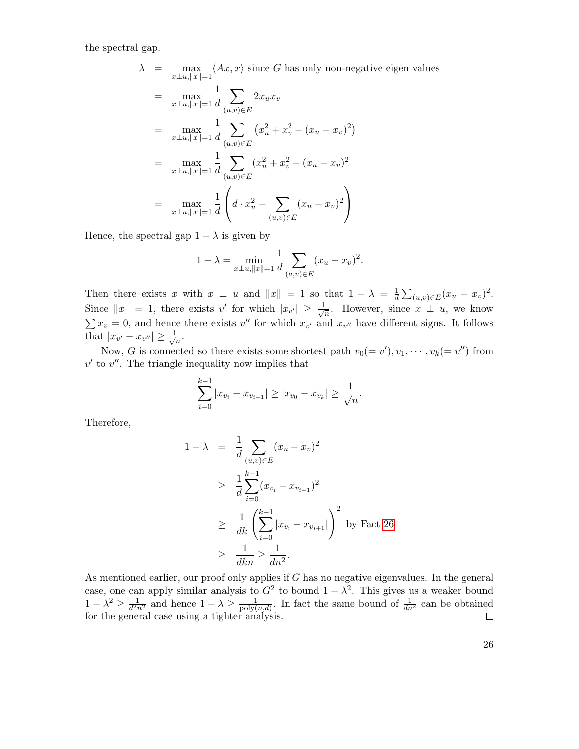the spectral gap.

$$
\lambda = \max_{x \perp u, ||x||=1} \langle Ax, x \rangle \text{ since } G \text{ has only non-negative eigen}
$$
\n
$$
= \max_{x \perp u, ||x||=1} \frac{1}{d} \sum_{(u,v) \in E} 2x_u x_v
$$
\n
$$
= \max_{x \perp u, ||x||=1} \frac{1}{d} \sum_{(u,v) \in E} (x_u^2 + x_v^2 - (x_u - x_v)^2)
$$
\n
$$
= \max_{x \perp u, ||x||=1} \frac{1}{d} \sum_{(u,v) \in E} (x_u^2 + x_v^2 - (x_u - x_v)^2)
$$
\n
$$
= \max_{x \perp u, ||x||=1} \frac{1}{d} \left( d \cdot x_u^2 - \sum_{(u,v) \in E} (x_u - x_v)^2 \right)
$$

values

Hence, the spectral gap  $1 - \lambda$  is given by

$$
1 - \lambda = \min_{x \perp u, ||x|| = 1} \frac{1}{d} \sum_{(u,v) \in E} (x_u - x_v)^2.
$$

Then there exists x with  $x \perp u$  and  $||x|| = 1$  so that  $1 - \lambda = \frac{1}{d}$  $\frac{1}{d} \sum_{(u,v) \in E} (x_u - x_v)^2$ . Since  $||x|| = 1$ , there exists v' for which  $|x_{v'}| \geq \frac{1}{\sqrt{2}}$  $\overline{n}$ . However, since  $x \perp u$ , we know  $\sum x_v = 0$ , and hence there exists v'' for which  $x_{v'}$  and  $x_{v''}$  have different signs. It follows that  $|x_{v'} - x_{v''}| \geq \frac{1}{\sqrt{2}}$  $\frac{1}{n}$ .

Now, G is connected so there exists some shortest path  $v_0(=v'), v_1, \dots, v_k(=v'')$  from  $v'$  to  $v''$ . The triangle inequality now implies that

$$
\sum_{i=0}^{k-1} |x_{v_i} - x_{v_{i+1}}| \ge |x_{v_0} - x_{v_k}| \ge \frac{1}{\sqrt{n}}.
$$

Therefore,

$$
1 - \lambda = \frac{1}{d} \sum_{(u,v) \in E} (x_u - x_v)^2
$$
  
\n
$$
\geq \frac{1}{d} \sum_{i=0}^{k-1} (x_{v_i} - x_{v_{i+1}})^2
$$
  
\n
$$
\geq \frac{1}{dk} \left( \sum_{i=0}^{k-1} |x_{v_i} - x_{v_{i+1}}| \right)^2
$$
 by Fact 26  
\n
$$
\geq \frac{1}{dkn} \geq \frac{1}{dn^2}.
$$

As mentioned earlier, our proof only applies if  $G$  has no negative eigenvalues. In the general case, one can apply similar analysis to  $G^2$  to bound  $1 - \lambda^2$ . This gives us a weaker bound  $1-\lambda^2 \geq \frac{1}{d^2}$  $\frac{1}{d^2 n^2}$  and hence  $1 - \lambda \geq \frac{1}{\text{poly}}$  $\frac{1}{\text{poly}(n,d)}$ . In fact the same bound of  $\frac{1}{dn^2}$  can be obtained for the general case using a tighter analysis.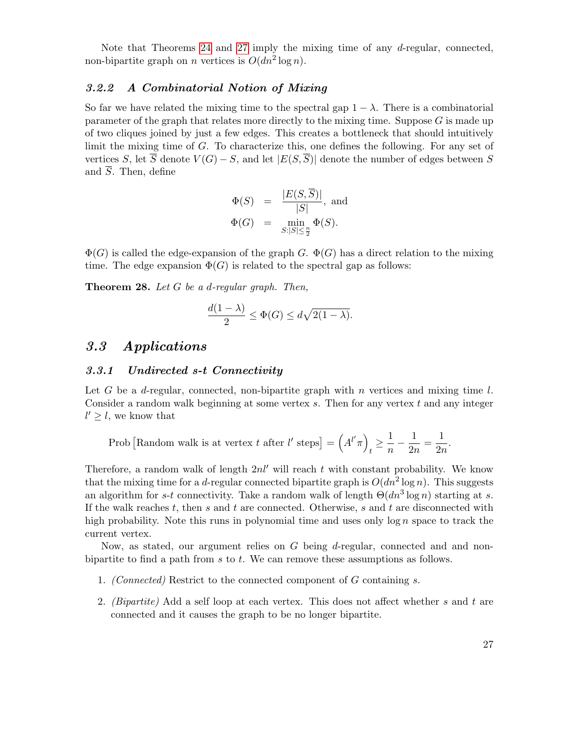Note that Theorems [24](#page-23-2) and [27](#page-24-1) imply the mixing time of any d-regular, connected, non-bipartite graph on *n* vertices is  $O(dn^2 \log n)$ .

#### <span id="page-26-0"></span>3.2.2 A Combinatorial Notion of Mixing

So far we have related the mixing time to the spectral gap  $1 - \lambda$ . There is a combinatorial parameter of the graph that relates more directly to the mixing time. Suppose  $G$  is made up of two cliques joined by just a few edges. This creates a bottleneck that should intuitively limit the mixing time of G. To characterize this, one defines the following. For any set of vertices S, let  $\overline{S}$  denote  $V(G) - S$ , and let  $|E(S, \overline{S})|$  denote the number of edges between S and  $\overline{S}$ . Then, define

$$
\Phi(S) = \frac{|E(S, \overline{S})|}{|S|}, \text{ and}
$$

$$
\Phi(G) = \min_{S:|S| \le \frac{n}{2}} \Phi(S).
$$

 $\Phi(G)$  is called the edge-expansion of the graph G.  $\Phi(G)$  has a direct relation to the mixing time. The edge expansion  $\Phi(G)$  is related to the spectral gap as follows:

**Theorem 28.** Let  $G$  be a d-regular graph. Then,

$$
\frac{d(1-\lambda)}{2} \le \Phi(G) \le d\sqrt{2(1-\lambda)}.
$$

## <span id="page-26-1"></span>3.3 Applications

#### <span id="page-26-2"></span>3.3.1 Undirected s-t Connectivity

Let G be a d-regular, connected, non-bipartite graph with n vertices and mixing time  $l$ . Consider a random walk beginning at some vertex  $s$ . Then for any vertex  $t$  and any integer  $l' \geq l$ , we know that

Prob [Random walk is at vertex *t* after *l'* steps] = 
$$
(A^{l'}\pi)_t \ge \frac{1}{n} - \frac{1}{2n} = \frac{1}{2n}
$$
.

Therefore, a random walk of length  $2nl'$  will reach t with constant probability. We know that the mixing time for a d-regular connected bipartite graph is  $O(dn^2 \log n)$ . This suggests an algorithm for s-t connectivity. Take a random walk of length  $\Theta(dn^3 \log n)$  starting at s. If the walk reaches  $t$ , then  $s$  and  $t$  are connected. Otherwise,  $s$  and  $t$  are disconnected with high probability. Note this runs in polynomial time and uses only  $\log n$  space to track the current vertex.

Now, as stated, our argument relies on G being d-regular, connected and and nonbipartite to find a path from s to t. We can remove these assumptions as follows.

- 1. (Connected) Restrict to the connected component of G containing s.
- 2. *(Bipartite)* Add a self loop at each vertex. This does not affect whether s and t are connected and it causes the graph to be no longer bipartite.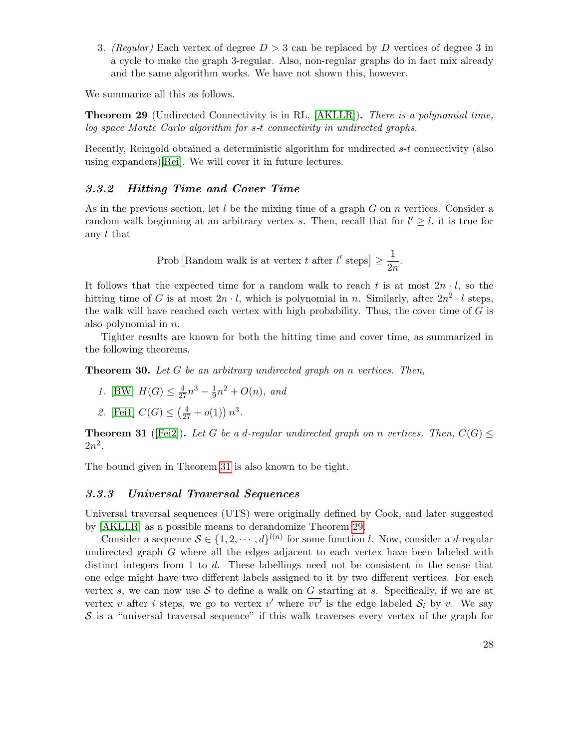3. (Regular) Each vertex of degree  $D > 3$  can be replaced by D vertices of degree 3 in a cycle to make the graph 3-regular. Also, non-regular graphs do in fact mix already and the same algorithm works. We have not shown this, however.

<span id="page-27-3"></span>We summarize all this as follows.

**Theorem 29** (Undirected Connectivity is in RL, [\[AKLLR\]](#page-78-4)). There is a polynomial time, log space Monte Carlo algorithm for s-t connectivity in undirected graphs.

Recently, Reingold obtained a deterministic algorithm for undirected s-t connectivity (also using expanders)[\[Rei\]](#page-80-5). We will cover it in future lectures.

#### <span id="page-27-0"></span>3.3.2 Hitting Time and Cover Time

As in the previous section, let  $l$  be the mixing time of a graph  $G$  on  $n$  vertices. Consider a random walk beginning at an arbitrary vertex s. Then, recall that for  $l' \geq l$ , it is true for any t that

> Prob [Random walk is at vertex t after  $l'$  steps]  $\geq \frac{1}{2}$  $\frac{1}{2n}$ .

It follows that the expected time for a random walk to reach t is at most  $2n \cdot l$ , so the hitting time of G is at most  $2n \cdot l$ , which is polynomial in n. Similarly, after  $2n^2 \cdot l$  steps, the walk will have reached each vertex with high probability. Thus, the cover time of  $G$  is also polynomial in n.

Tighter results are known for both the hitting time and cover time, as summarized in the following theorems.

**Theorem 30.** Let  $G$  be an arbitrary undirected graph on n vertices. Then,

1. [\[BW\]](#page-79-4)  $H(G) \leq \frac{4}{27}n^3 - \frac{1}{9}$  $\frac{1}{9}n^2 + O(n)$ , and

2. [Fei1] 
$$
C(G) \leq (\frac{4}{27} + o(1)) n^3
$$
.

<span id="page-27-2"></span>**Theorem 31** ([\[Fei2\]](#page-79-6)). Let G be a d-regular undirected graph on n vertices. Then,  $C(G)$   $\leq$  $2n^2$ .

The bound given in Theorem [31](#page-27-2) is also known to be tight.

#### <span id="page-27-1"></span>3.3.3 Universal Traversal Sequences

Universal traversal sequences (UTS) were originally defined by Cook, and later suggested by [\[AKLLR\]](#page-78-4) as a possible means to derandomize Theorem [29.](#page-27-3)

Consider a sequence  $S \in \{1, 2, \dots, d\}^{l(n)}$  for some function l. Now, consider a d-regular undirected graph  $G$  where all the edges adjacent to each vertex have been labeled with distinct integers from 1 to d. These labellings need not be consistent in the sense that one edge might have two different labels assigned to it by two different vertices. For each vertex s, we can now use S to define a walk on G starting at s. Specifically, if we are at vertex v after *i* steps, we go to vertex v' where  $\overline{vv'}$  is the edge labeled  $S_i$  by v. We say  $\mathcal S$  is a "universal traversal sequence" if this walk traverses every vertex of the graph for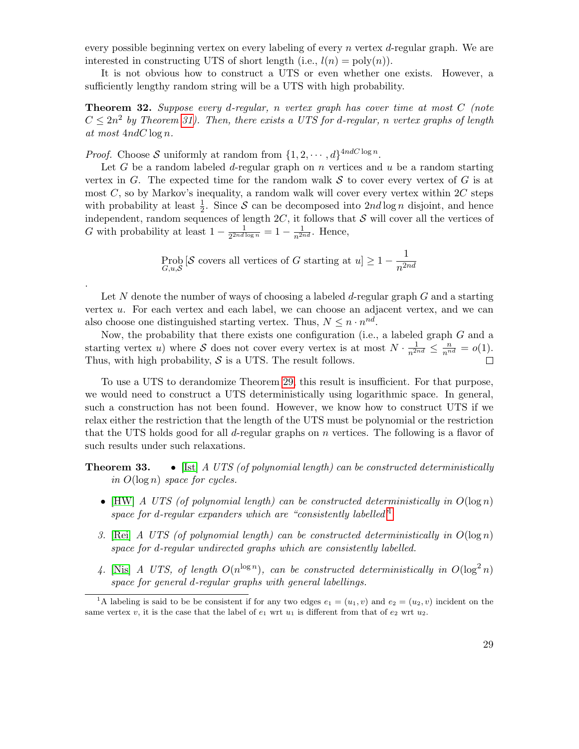every possible beginning vertex on every labeling of every n vertex  $d$ -regular graph. We are interested in constructing UTS of short length (i.e.,  $l(n) = \text{poly}(n)$ ).

It is not obvious how to construct a UTS or even whether one exists. However, a sufficiently lengthy random string will be a UTS with high probability.

**Theorem 32.** Suppose every d-regular, n vertex graph has cover time at most  $C$  (note  $C \leq 2n^2$  by Theorem [31\)](#page-27-2). Then, there exists a UTS for d-regular, n vertex graphs of length at most 4ndC log n.

*Proof.* Choose S uniformly at random from  $\{1, 2, \dots, d\}^{4ndC \log n}$ .

.

Let G be a random labeled d-regular graph on  $n$  vertices and  $u$  be a random starting vertex in G. The expected time for the random walk  $S$  to cover every vertex of G is at most  $C$ , so by Markov's inequality, a random walk will cover every vertex within  $2C$  steps with probability at least  $\frac{1}{2}$ . Since S can be decomposed into  $2nd \log n$  disjoint, and hence independent, random sequences of length  $2C$ , it follows that S will cover all the vertices of G with probability at least  $1-\frac{1}{2^{2nd}}$  $\frac{1}{2^{2nd \log n}} = 1 - \frac{1}{n^{2nd}}$ . Hence,

$$
\text{Prob}_{G,u,\mathcal{S}}\left[\mathcal{S}\text{ covers all vertices of }G\text{ starting at }u\right] \ge 1 - \frac{1}{n^{2nd}}
$$

Let N denote the number of ways of choosing a labeled  $d$ -regular graph  $G$  and a starting vertex u. For each vertex and each label, we can choose an adjacent vertex, and we can also choose one distinguished starting vertex. Thus,  $N \leq n \cdot n^{nd}$ .

Now, the probability that there exists one configuration (i.e., a labeled graph G and a starting vertex u) where S does not cover every vertex is at most  $N \cdot \frac{1}{n^{2nd}} \leq \frac{n}{n^{nd}} = o(1)$ . Thus, with high probability,  $S$  is a UTS. The result follows.

To use a UTS to derandomize Theorem [29,](#page-27-3) this result is insufficient. For that purpose, we would need to construct a UTS deterministically using logarithmic space. In general, such a construction has not been found. However, we know how to construct UTS if we relax either the restriction that the length of the UTS must be polynomial or the restriction that the UTS holds good for all d-regular graphs on  $n$  vertices. The following is a flavor of such results under such relaxations.

**Theorem 33.** • [\[Ist\]](#page-80-6) A UTS (of polynomial length) can be constructed deterministically in  $O(\log n)$  space for cycles.

- [\[HW\]](#page-80-7) A UTS (of polynomial length) can be constructed deterministically in  $O(\log n)$ space for d-regular expanders which are "consistently labelled $1<sup>1</sup>$  $1<sup>1</sup>$
- 3. [\[Rei\]](#page-80-5) A UTS (of polynomial length) can be constructed deterministically in  $O(\log n)$ space for d-regular undirected graphs which are consistently labelled.
- 4. [\[Nis\]](#page-80-8) A UTS, of length  $O(n^{\log n})$ , can be constructed deterministically in  $O(\log^2 n)$ space for general d-regular graphs with general labellings.

<span id="page-28-0"></span><sup>&</sup>lt;sup>1</sup>A labeling is said to be be consistent if for any two edges  $e_1 = (u_1, v)$  and  $e_2 = (u_2, v)$  incident on the same vertex v, it is the case that the label of  $e_1$  wrt  $u_1$  is different from that of  $e_2$  wrt  $u_2$ .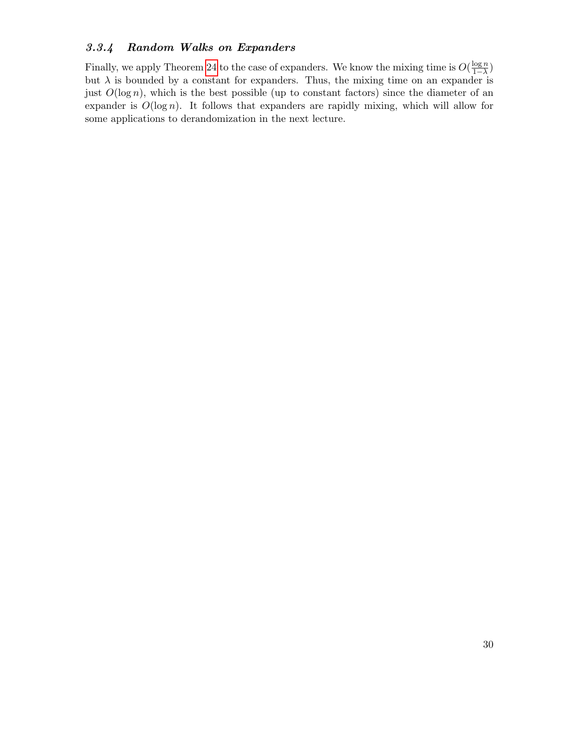## <span id="page-29-0"></span>3.3.4 Random Walks on Expanders

Finally, we apply Theorem [24](#page-23-2) to the case of expanders. We know the mixing time is  $O(\frac{\log n}{1-\lambda})$  $\frac{\log n}{1-\lambda}$ but  $\lambda$  is bounded by a constant for expanders. Thus, the mixing time on an expander is just  $O(\log n)$ , which is the best possible (up to constant factors) since the diameter of an expander is  $O(\log n)$ . It follows that expanders are rapidly mixing, which will allow for some applications to derandomization in the next lecture.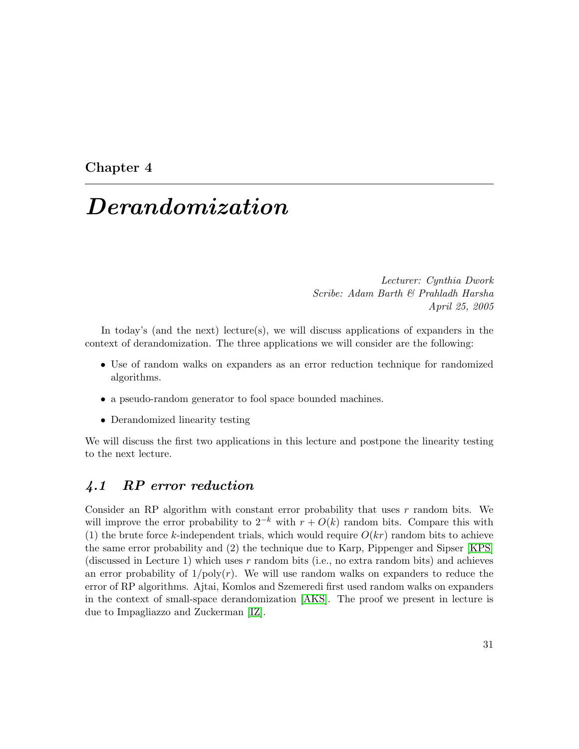## <span id="page-30-0"></span>Chapter 4

# Derandomization

Lecturer: Cynthia Dwork Scribe: Adam Barth & Prahladh Harsha April 25, 2005

In today's (and the next) lecture(s), we will discuss applications of expanders in the context of derandomization. The three applications we will consider are the following:

- Use of random walks on expanders as an error reduction technique for randomized algorithms.
- a pseudo-random generator to fool space bounded machines.
- Derandomized linearity testing

We will discuss the first two applications in this lecture and postpone the linearity testing to the next lecture.

## <span id="page-30-1"></span>4.1 RP error reduction

Consider an RP algorithm with constant error probability that uses  $r$  random bits. We will improve the error probability to  $2^{-k}$  with  $r + O(k)$  random bits. Compare this with (1) the brute force k-independent trials, which would require  $O(kr)$  random bits to achieve the same error probability and (2) the technique due to Karp, Pippenger and Sipser [\[KPS\]](#page-80-2) (discussed in Lecture 1) which uses r random bits (i.e., no extra random bits) and achieves an error probability of  $1/poly(r)$ . We will use random walks on expanders to reduce the error of RP algorithms. Ajtai, Komlos and Szemeredi first used random walks on expanders in the context of small-space derandomization [\[AKS\]](#page-78-5). The proof we present in lecture is due to Impagliazzo and Zuckerman [\[IZ\]](#page-80-9).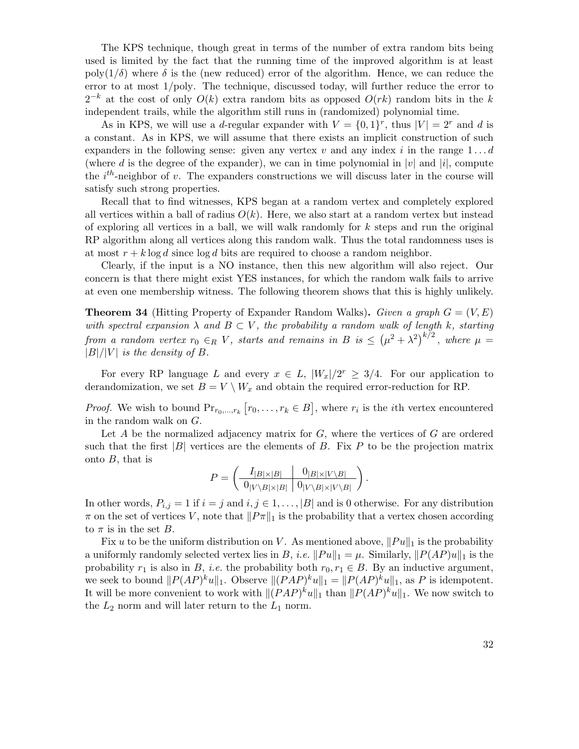The KPS technique, though great in terms of the number of extra random bits being used is limited by the fact that the running time of the improved algorithm is at least poly( $1/\delta$ ) where  $\delta$  is the (new reduced) error of the algorithm. Hence, we can reduce the error to at most 1/poly. The technique, discussed today, will further reduce the error to  $2^{-k}$  at the cost of only  $O(k)$  extra random bits as opposed  $O(rk)$  random bits in the k independent trails, while the algorithm still runs in (randomized) polynomial time.

As in KPS, we will use a d-regular expander with  $V = \{0, 1\}^r$ , thus  $|V| = 2^r$  and d is a constant. As in KPS, we will assume that there exists an implicit construction of such expanders in the following sense: given any vertex v and any index i in the range  $1 \dots d$ (where d is the degree of the expander), we can in time polynomial in  $|v|$  and  $|i|$ , compute the  $i^{th}$ -neighbor of v. The expanders constructions we will discuss later in the course will satisfy such strong properties.

Recall that to find witnesses, KPS began at a random vertex and completely explored all vertices within a ball of radius  $O(k)$ . Here, we also start at a random vertex but instead of exploring all vertices in a ball, we will walk randomly for  $k$  steps and run the original RP algorithm along all vertices along this random walk. Thus the total randomness uses is at most  $r + k \log d$  since  $\log d$  bits are required to choose a random neighbor.

Clearly, if the input is a NO instance, then this new algorithm will also reject. Our concern is that there might exist YES instances, for which the random walk fails to arrive at even one membership witness. The following theorem shows that this is highly unlikely.

**Theorem 34** (Hitting Property of Expander Random Walks). Given a graph  $G = (V, E)$ with spectral expansion  $\lambda$  and  $B \subset V$ , the probability a random walk of length k, starting from a random vertex  $r_0 \in_R V$ , starts and remains in B is  $\leq (\mu^2 + \lambda^2)^{k/2}$ , where  $\mu =$  $|B|/|V|$  is the density of B.

For every RP language L and every  $x \in L$ ,  $|W_x|/2^r \geq 3/4$ . For our application to derandomization, we set  $B = V \setminus W_x$  and obtain the required error-reduction for RP.

*Proof.* We wish to bound  $Pr_{r_0,\dots,r_k} [r_0,\dots,r_k \in B]$ , where  $r_i$  is the *i*th vertex encountered in the random walk on G.

Let  $A$  be the normalized adjacency matrix for  $G$ , where the vertices of  $G$  are ordered such that the first  $|B|$  vertices are the elements of B. Fix P to be the projection matrix onto  $B$ , that is

$$
P = \left(\begin{array}{c|c} I_{|B|\times|B|} & 0_{|B|\times|V\setminus B|} \\ \hline 0_{|V\setminus B|\times|B|} & 0_{|V\setminus B|\times|V\setminus B|} \end{array}\right).
$$

In other words,  $P_{i,j} = 1$  if  $i = j$  and  $i, j \in 1, ..., |B|$  and is 0 otherwise. For any distribution  $\pi$  on the set of vertices V, note that  $||P\pi||_1$  is the probability that a vertex chosen according to  $\pi$  is in the set B.

Fix u to be the uniform distribution on V. As mentioned above,  $||Pu||_1$  is the probability a uniformly randomly selected vertex lies in B, *i.e.*  $||Pu||_1 = \mu$ . Similarly,  $||P(AP)u||_1$  is the probability  $r_1$  is also in B, *i.e.* the probability both  $r_0, r_1 \in B$ . By an inductive argument, we seek to bound  $||P(AP)^{k}u||_1$ . Observe  $||(PAP)^{k}u||_1 = ||P(AP)^{k}u||_1$ , as P is idempotent. It will be more convenient to work with  $||(PAP)^{k}u||_1$  than  $||P(AP)^{k}u||_1$ . We now switch to the  $L_2$  norm and will later return to the  $L_1$  norm.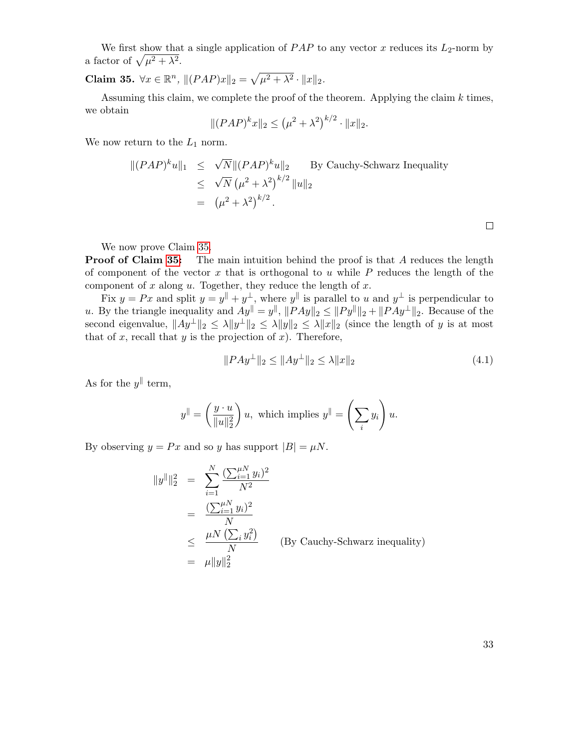We first show that a single application of  $PAP$  to any vector x reduces its  $L_2$ -norm by a factor of  $\sqrt{\mu^2 + \lambda^2}$ .

<span id="page-32-0"></span>Claim 35.  $\forall x \in \mathbb{R}^n$ ,  $|| (PAP)x||_2 = \sqrt{\mu^2 + \lambda^2} \cdot ||x||_2$ .

Assuming this claim, we complete the proof of the theorem. Applying the claim  $k$  times, we obtain

$$
|| (PAP)^k x ||_2 \le (\mu^2 + \lambda^2)^{k/2} \cdot ||x||_2.
$$

We now return to the  $L_1$  norm.

$$
\begin{aligned} ||(PAP)^k u||_1 &\leq \sqrt{N} ||(PAP)^k u||_2 \qquad \text{By Cauchy-Schwarz Inequality} \\ &\leq \sqrt{N} \left(\mu^2 + \lambda^2\right)^{k/2} ||u||_2 \\ &= \left(\mu^2 + \lambda^2\right)^{k/2} . \end{aligned}
$$

We now prove Claim [35.](#page-32-0)

**Proof of Claim [35:](#page-32-0)** The main intuition behind the proof is that A reduces the length of component of the vector  $x$  that is orthogonal to  $u$  while  $P$  reduces the length of the component of  $x$  along  $u$ . Together, they reduce the length of  $x$ .

Fix  $y = Px$  and split  $y = y^{\parallel} + y^{\perp}$ , where  $y^{\parallel}$  is parallel to u and  $y^{\perp}$  is perpendicular to u. By the triangle inequality and  $Ay^{\parallel} = y^{\parallel}$ ,  $||PAy||_2 \leq ||Py^{\parallel}||_2 + ||PAy^{\perp}||_2$ . Because of the second eigenvalue,  $||Ay^{\perp}||_2 \le \lambda ||y^{\perp}||_2 \le \lambda ||y||_2 \le \lambda ||x||_2$  (since the length of y is at most that of  $x$ , recall that  $y$  is the projection of  $x$ ). Therefore,

<span id="page-32-1"></span>
$$
||PAy^{\perp}||_2 \le ||Ay^{\perp}||_2 \le \lambda ||x||_2 \tag{4.1}
$$

As for the  $y^{\parallel}$  term,

$$
y^{\parallel} = \left(\frac{y \cdot u}{\|u\|_2^2}\right)u, \text{ which implies } y^{\parallel} = \left(\sum_i y_i\right)u.
$$

By observing  $y = Px$  and so y has support  $|B| = \mu N$ .

$$
||y^{||}||_2^2 = \sum_{i=1}^N \frac{(\sum_{i=1}^{\mu N} y_i)^2}{N^2}
$$
  
= 
$$
\frac{(\sum_{i=1}^{\mu N} y_i)^2}{N}
$$
  

$$
\leq \frac{\mu N (\sum_i y_i^2)}{N}
$$
 (By Cauchy-Schwarz inequality)  
= 
$$
\mu ||y||_2^2
$$

33

 $\Box$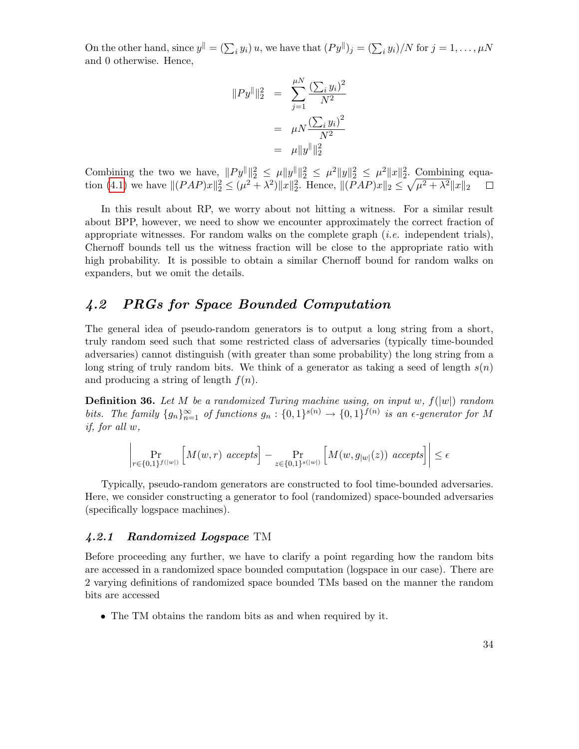On the other hand, since  $y^{\parallel} = (\sum_i y_i) u$ , we have that  $(Py^{\parallel})_j = (\sum_i y_i) / N$  for  $j = 1, ..., \mu N$ and 0 otherwise. Hence,

$$
||Py^{\parallel}||_2^2 = \sum_{j=1}^{\mu N} \frac{(\sum_i y_i)^2}{N^2}
$$
  
=  $\mu N \frac{(\sum_i y_i)^2}{N^2}$   
=  $\mu ||y^{\parallel}||_2^2$ 

Combining the two we have,  $||Py^{\parallel}||_2^2 \leq \mu ||y^{\parallel}||_2^2 \leq \mu^2 ||y||_2^2 \leq \mu^2 ||x||_2^2$ . Combining equa-tion [\(4.1\)](#page-32-1) we have  $||(PAP)x||_2^2 \leq (\mu^2 + \lambda^2)||x||_2^2$ . Hence,  $||(PAP)x||_2 \leq \sqrt{\mu^2 + \lambda^2}||x||_2$  $\Box$ 

In this result about RP, we worry about not hitting a witness. For a similar result about BPP, however, we need to show we encounter approximately the correct fraction of appropriate witnesses. For random walks on the complete graph  $(i.e.$  independent trials), Chernoff bounds tell us the witness fraction will be close to the appropriate ratio with high probability. It is possible to obtain a similar Chernoff bound for random walks on expanders, but we omit the details.

### <span id="page-33-0"></span>4.2 PRGs for Space Bounded Computation

The general idea of pseudo-random generators is to output a long string from a short, truly random seed such that some restricted class of adversaries (typically time-bounded adversaries) cannot distinguish (with greater than some probability) the long string from a long string of truly random bits. We think of a generator as taking a seed of length  $s(n)$ and producing a string of length  $f(n)$ .

**Definition 36.** Let M be a randomized Turing machine using, on input w,  $f(|w|)$  random bits. The family  $\{g_n\}_{n=1}^{\infty}$  of functions  $g_n: \{0,1\}^{s(n)} \to \{0,1\}^{f(n)}$  is an  $\epsilon$ -generator for M if, for all w,

$$
\left|\Pr_{r \in \{0,1\}^{f(|w|)}} \left[M(w,r) \right] \underset{z \in \{0,1\}^{s(|w|)}}{\Pr} \left[M(w,g_{|w|}(z)) \right] \underset{z \in \{0,1\}^{s(|w|)}}{\Pr} \left[M(w,g_{|w|}(z)) \right] \leq \epsilon
$$

Typically, pseudo-random generators are constructed to fool time-bounded adversaries. Here, we consider constructing a generator to fool (randomized) space-bounded adversaries (specifically logspace machines).

#### <span id="page-33-1"></span>4.2.1 Randomized Logspace TM

Before proceeding any further, we have to clarify a point regarding how the random bits are accessed in a randomized space bounded computation (logspace in our case). There are 2 varying definitions of randomized space bounded TMs based on the manner the random bits are accessed

• The TM obtains the random bits as and when required by it.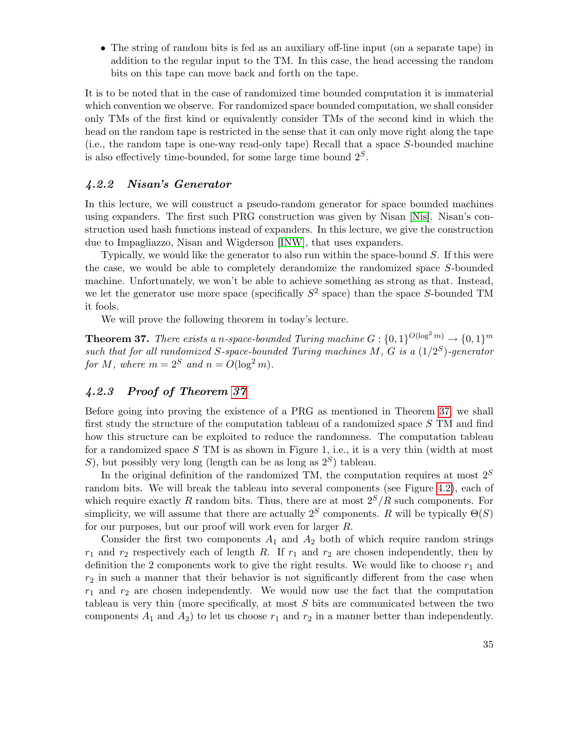• The string of random bits is fed as an auxiliary off-line input (on a separate tape) in addition to the regular input to the TM. In this case, the head accessing the random bits on this tape can move back and forth on the tape.

It is to be noted that in the case of randomized time bounded computation it is immaterial which convention we observe. For randomized space bounded computation, we shall consider only TMs of the first kind or equivalently consider TMs of the second kind in which the head on the random tape is restricted in the sense that it can only move right along the tape (i.e., the random tape is one-way read-only tape) Recall that a space S-bounded machine is also effectively time-bounded, for some large time bound  $2<sup>S</sup>$ .

#### <span id="page-34-0"></span>4.2.2 Nisan's Generator

In this lecture, we will construct a pseudo-random generator for space bounded machines using expanders. The first such PRG construction was given by Nisan [\[Nis\]](#page-80-8). Nisan's construction used hash functions instead of expanders. In this lecture, we give the construction due to Impagliazzo, Nisan and Wigderson [\[INW\]](#page-80-10), that uses expanders.

Typically, we would like the generator to also run within the space-bound  $S$ . If this were the case, we would be able to completely derandomize the randomized space S-bounded machine. Unfortunately, we won't be able to achieve something as strong as that. Instead, we let the generator use more space (specifically  $S^2$  space) than the space S-bounded TM it fools.

We will prove the following theorem in today's lecture.

<span id="page-34-2"></span>**Theorem 37.** There exists a n-space-bounded Turing machine  $G: \{0,1\}^{O(\log^2 m)} \to \{0,1\}^m$ such that for all randomized S-space-bounded Turing machines M, G is a  $(1/2^S)$ -generator for M, where  $m = 2^S$  and  $n = O(\log^2 m)$ .

#### <span id="page-34-1"></span>4.2.3 Proof of Theorem [37](#page-34-2)

Before going into proving the existence of a PRG as mentioned in Theorem [37,](#page-34-2) we shall first study the structure of the computation tableau of a randomized space S TM and find how this structure can be exploited to reduce the randomness. The computation tableau for a randomized space  $S$  TM is as shown in Figure 1, i.e., it is a very thin (width at most S), but possibly very long (length can be as long as  $2<sup>S</sup>$ ) tableau.

In the original definition of the randomized TM, the computation requires at most  $2^S$ random bits. We will break the tableau into several components (see Figure [4.2\)](#page-36-0), each of which require exactly R random bits. Thus, there are at most  $2^S/R$  such components. For simplicity, we will assume that there are actually  $2<sup>S</sup>$  components. R will be typically  $\Theta(S)$ for our purposes, but our proof will work even for larger R.

Consider the first two components  $A_1$  and  $A_2$  both of which require random strings  $r_1$  and  $r_2$  respectively each of length R. If  $r_1$  and  $r_2$  are chosen independently, then by definition the 2 components work to give the right results. We would like to choose  $r_1$  and  $r<sub>2</sub>$  in such a manner that their behavior is not significantly different from the case when  $r_1$  and  $r_2$  are chosen independently. We would now use the fact that the computation tableau is very thin (more specifically, at most  $S$  bits are communicated between the two components  $A_1$  and  $A_2$ ) to let us choose  $r_1$  and  $r_2$  in a manner better than independently.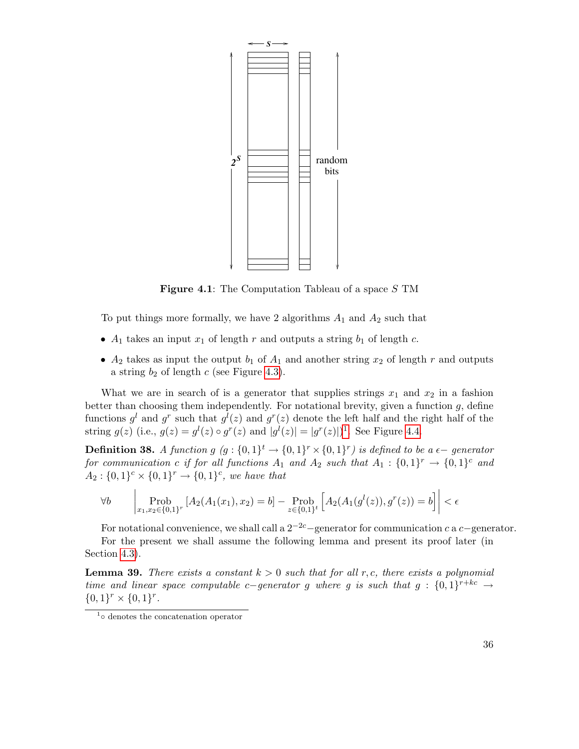

**Figure 4.1**: The Computation Tableau of a space S TM

To put things more formally, we have 2 algorithms  $A_1$  and  $A_2$  such that

- $A_1$  takes an input  $x_1$  of length r and outputs a string  $b_1$  of length c.
- $A_2$  takes as input the output  $b_1$  of  $A_1$  and another string  $x_2$  of length r and outputs a string  $b_2$  of length c (see Figure [4.3\)](#page-36-1).

What we are in search of is a generator that supplies strings  $x_1$  and  $x_2$  in a fashion better than choosing them independently. For notational brevity, given a function  $g$ , define functions  $g^l$  and  $g^r$  such that  $g^l(z)$  and  $g^r(z)$  denote the left half and the right half of the string  $g(z)$  (i.e.,  $g(z) = g<sup>l</sup>(z) \circ g<sup>r</sup>(z)$  and  $|g<sup>l</sup>(z)| = |g<sup>r</sup>(z)|$ )<sup>[1](#page-35-1)</sup>. See Figure [4.4.](#page-37-0)

**Definition 38.** A function  $g(g: \{0,1\}^t \rightarrow \{0,1\}^r \times \{0,1\}^r)$  is defined to be a  $\epsilon$ -generator for communication c if for all functions  $A_1$  and  $A_2$  such that  $A_1: \{0,1\}^r \rightarrow \{0,1\}^c$  and  $A_2: \{0,1\}^c \times \{0,1\}^r \rightarrow \{0,1\}^c$ , we have that

$$
\forall b \qquad \left| \text{Prob}_{x_1, x_2 \in \{0, 1\}^r} \left[ A_2(A_1(x_1), x_2) = b \right] - \text{Prob}_{z \in \{0, 1\}^t} \left[ A_2(A_1(g^l(z)), g^r(z)) = b \right] \right| < \epsilon
$$

For notational convenience, we shall call a  $2^{-2c}$  –generator for communication c a c−generator.

For the present we shall assume the following lemma and present its proof later (in Section [4.3\)](#page-38-0).

<span id="page-35-0"></span>**Lemma 39.** There exists a constant  $k > 0$  such that for all r,c, there exists a polynomial time and linear space computable c−generator g where g is such that  $g: \{0,1\}^{r+kc} \rightarrow$  ${0,1}^r \times {0,1}^r.$ 

<span id="page-35-1"></span><sup>1</sup> ◦ denotes the concatenation operator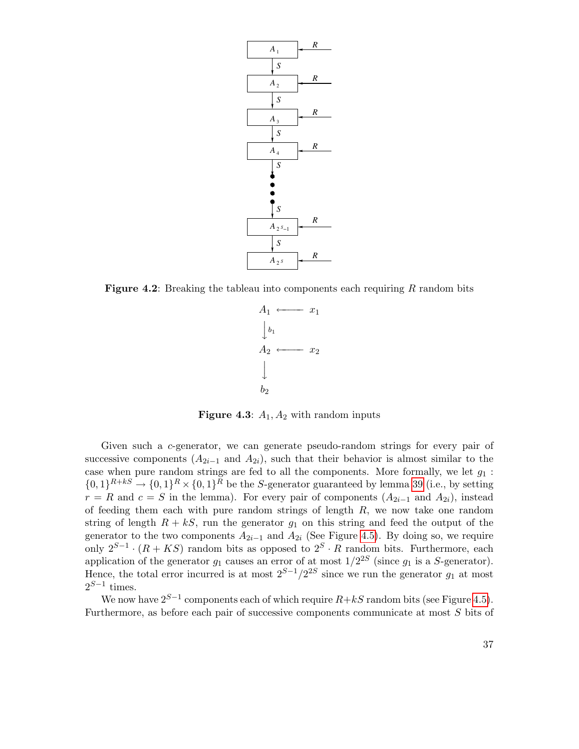

**Figure 4.2:** Breaking the tableau into components each requiring  $R$  random bits



<span id="page-36-0"></span>**Figure 4.3:**  $A_1$ ,  $A_2$  with random inputs

Given such a c-generator, we can generate pseudo-random strings for every pair of successive components  $(A_{2i-1}$  and  $A_{2i})$ , such that their behavior is almost similar to the case when pure random strings are fed to all the components. More formally, we let  $g_1$ :  $\{0,1\}^{R+kS} \to \{0,1\}^R \times \{0,1\}^R$  be the S-generator guaranteed by lemma [39](#page-35-0) (i.e., by setting  $r = R$  and  $c = S$  in the lemma). For every pair of components  $(A_{2i-1}$  and  $A_{2i})$ , instead of feeding them each with pure random strings of length  $R$ , we now take one random string of length  $R + kS$ , run the generator  $g_1$  on this string and feed the output of the generator to the two components  $A_{2i-1}$  and  $A_{2i}$  (See Figure [4.5\)](#page-37-0). By doing so, we require only  $2^{S-1} \cdot (R + KS)$  random bits as opposed to  $2^S \cdot R$  random bits. Furthermore, each application of the generator  $g_1$  causes an error of at most  $1/2^{2S}$  (since  $g_1$  is a S-generator). Hence, the total error incurred is at most  $2^{S-1}/2^{2S}$  since we run the generator  $g_1$  at most  $2^{S-1}$  times.

We now have  $2^{S-1}$  components each of which require  $R+kS$  random bits (see Figure [4.5\)](#page-37-0). Furthermore, as before each pair of successive components communicate at most S bits of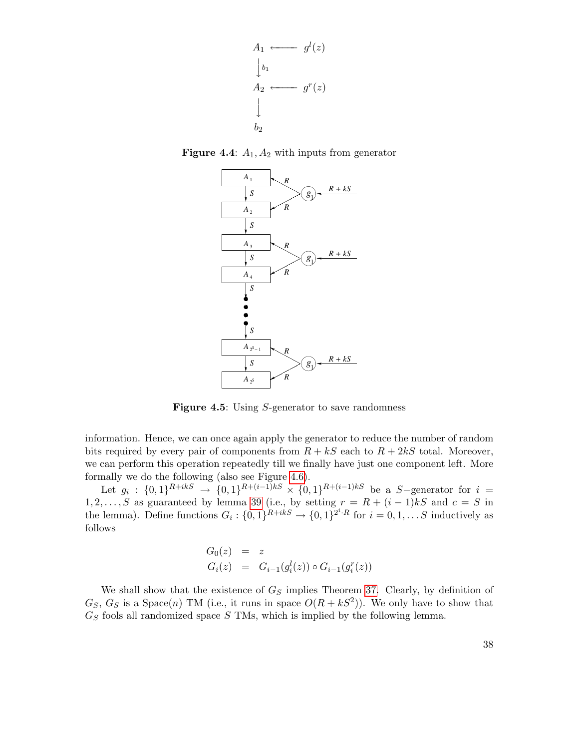

**Figure 4.4:**  $A_1$ ,  $A_2$  with inputs from generator

<span id="page-37-1"></span>

<span id="page-37-0"></span>Figure 4.5: Using S-generator to save randomness

information. Hence, we can once again apply the generator to reduce the number of random bits required by every pair of components from  $R + kS$  each to  $R + 2kS$  total. Moreover, we can perform this operation repeatedly till we finally have just one component left. More formally we do the following (also see Figure [4.6\)](#page-38-0).

Let  $g_i: \{0,1\}^{R+ikS} \to \{0,1\}^{R+(i-1)kS} \times \{0,1\}^{R+(i-1)kS}$  be a S-generator for  $i =$ 1, 2, ..., S as guaranteed by lemma [39](#page-35-0) (i.e., by setting  $r = R + (i - 1)kS$  and  $c = S$  in the lemma). Define functions  $G_i: \{0,1\}^{R+ikS} \to \{0,1\}^{2^i \cdot R}$  for  $i = 0,1,...S$  inductively as follows

$$
G_0(z) = z
$$
  
\n
$$
G_i(z) = G_{i-1}(g_i^l(z)) \circ G_{i-1}(g_i^r(z))
$$

We shall show that the existence of  $G<sub>S</sub>$  implies Theorem [37.](#page-34-0) Clearly, by definition of  $G_S, G_S$  is a Space(n) TM (i.e., it runs in space  $O(R + kS^2)$ ). We only have to show that  $G<sub>S</sub>$  fools all randomized space S TMs, which is implied by the following lemma.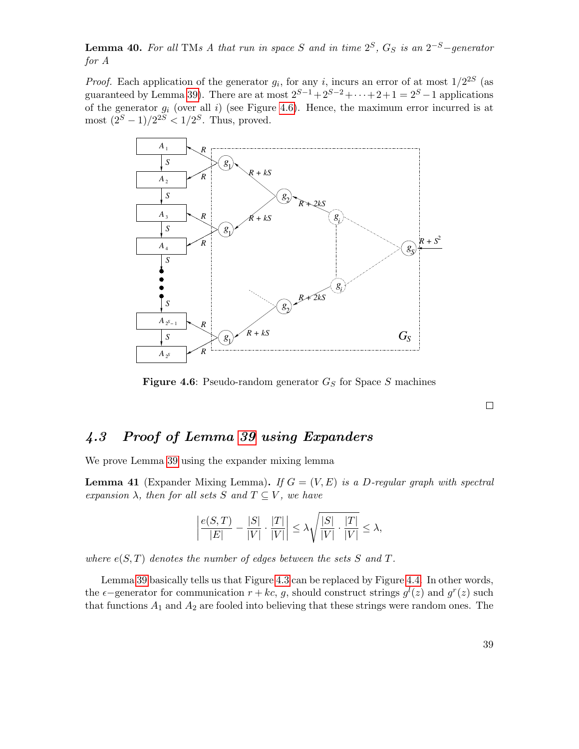**Lemma 40.** For all TMs A that run in space S and in time  $2^S$ ,  $G_S$  is an  $2^{-S}$ -generator for A

*Proof.* Each application of the generator  $g_i$ , for any i, incurs an error of at most  $1/2^{2S}$  (as guaranteed by Lemma [39\)](#page-35-0). There are at most  $2^{S-1}+2^{S-2}+\cdots+2+1=2^S-1$  applications of the generator  $g_i$  (over all i) (see Figure [4.6\)](#page-38-0). Hence, the maximum error incurred is at most  $(2^S - 1)/2^{2S} < 1/2^S$ . Thus, proved.



<span id="page-38-0"></span>**Figure 4.6:** Pseudo-random generator  $G_S$  for Space S machines

 $\Box$ 

### 4.3 Proof of Lemma [39](#page-35-0) using Expanders

We prove Lemma [39](#page-35-0) using the expander mixing lemma

**Lemma 41** (Expander Mixing Lemma). If  $G = (V, E)$  is a D-regular graph with spectral expansion  $\lambda$ , then for all sets S and  $T \subseteq V$ , we have

$$
\left|\frac{e(S,T)}{|E|}-\frac{|S|}{|V|}\cdot\frac{|T|}{|V|}\right|\leq \lambda \sqrt{\frac{|S|}{|V|}\cdot\frac{|T|}{|V|}}\leq \lambda,
$$

where  $e(S,T)$  denotes the number of edges between the sets S and T.

Lemma [39](#page-35-0) basically tells us that Figure [4.3](#page-36-0) can be replaced by Figure [4.4.](#page-37-1) In other words, the  $\epsilon$ -generator for communication  $r + kc$ , g, should construct strings  $g<sup>l</sup>(z)$  and  $g<sup>r</sup>(z)$  such that functions  $A_1$  and  $A_2$  are fooled into believing that these strings were random ones. The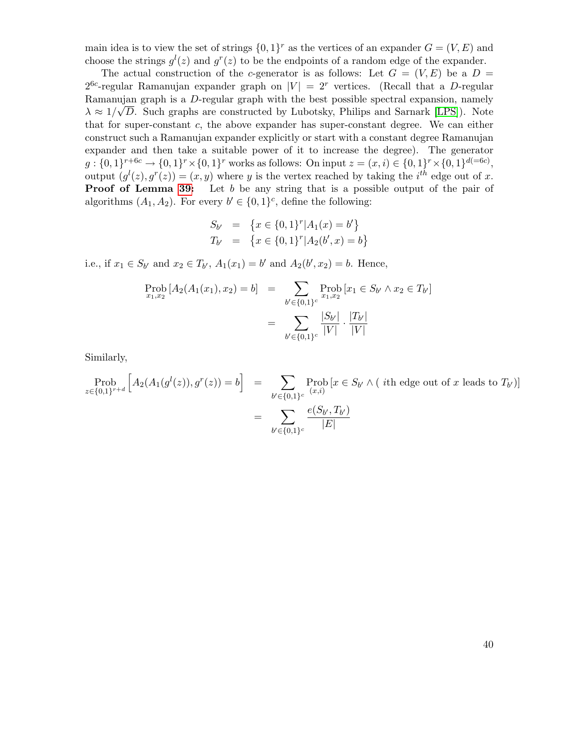main idea is to view the set of strings  $\{0,1\}^r$  as the vertices of an expander  $G = (V, E)$  and choose the strings  $g^l(z)$  and  $g^r(z)$  to be the endpoints of a random edge of the expander.

The actual construction of the c-generator is as follows: Let  $G = (V, E)$  be a  $D =$  $2^{6c}$ -regular Ramanujan expander graph on  $|V| = 2<sup>r</sup>$  vertices. (Recall that a D-regular Ramanujan graph is a D-regular graph with the best possible spectral expansion, namely  $\lambda \approx 1/\sqrt{D}$ . Such graphs are constructed by Lubotsky, Philips and Sarnark [\[LPS\]](#page-80-0)). Note that for super-constant c, the above expander has super-constant degree. We can either construct such a Ramanujan expander explicitly or start with a constant degree Ramanujan expander and then take a suitable power of it to increase the degree). The generator  $g: \{0,1\}^{r+6c} \to \{0,1\}^r \times \{0,1\}^r$  works as follows: On input  $z = (x, i) \in \{0,1\}^r \times \{0,1\}^{d(=6c)}$ , output  $(g^l(z), g^r(z)) = (x, y)$  where y is the vertex reached by taking the i<sup>th</sup> edge out of x. **Proof of Lemma [39:](#page-35-0)** Let b be any string that is a possible output of the pair of algorithms  $(A_1, A_2)$ . For every  $b' \in \{0, 1\}^c$ , define the following:

$$
S_{b'} = \{x \in \{0, 1\}^r | A_1(x) = b'\}
$$
  

$$
T_{b'} = \{x \in \{0, 1\}^r | A_2(b', x) = b\}
$$

i.e., if  $x_1 \in S_{b'}$  and  $x_2 \in T_{b'}$ ,  $A_1(x_1) = b'$  and  $A_2(b', x_2) = b$ . Hence,

$$
\text{Prob}_{x_1, x_2} [A_2(A_1(x_1), x_2) = b] = \sum_{b' \in \{0, 1\}^c} \text{Prob}_{x_1, x_2} [x_1 \in S_{b'} \land x_2 \in T_{b'}]
$$

$$
= \sum_{b' \in \{0, 1\}^c} \frac{|S_{b'}|}{|V|} \cdot \frac{|T_{b'}|}{|V|}
$$

Similarly,

$$
\begin{aligned} \text{Prob}_{z \in \{0,1\}^{r+a}} \left[ A_2(A_1(g^l(z)), g^r(z)) = b \right] &= \sum_{b' \in \{0,1\}^c} \text{Prob}_{(x, i)} \left[ x \in S_{b'} \land (\text{ the edge out of } x \text{ leads to } T_{b'}) \right] \\ &= \sum_{b' \in \{0,1\}^c} \frac{e(S_{b'}, T_{b'})}{|E|} \end{aligned}
$$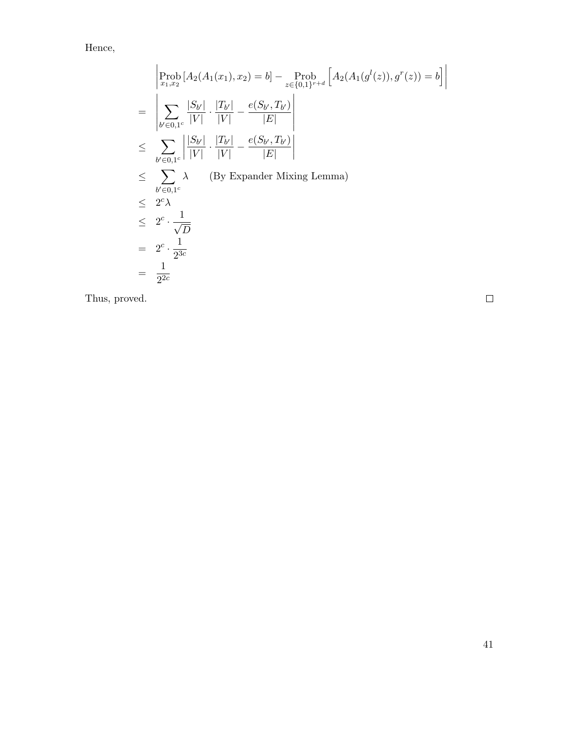Hence,

$$
\begin{aligned}\n&\left|\operatorname{Prob}_{x_1,x_2}\left[A_2(A_1(x_1),x_2)=b\right]-\operatorname{Prob}_{z\in\{0,1\}^{r+d}}\left[A_2(A_1(g^l(z)),g^r(z))=b\right]\right| \\
&=\left|\sum_{b'\in 0,1^c}\frac{|S_{b'}|}{|V|}\cdot\frac{|T_{b'}|}{|V|}-\frac{e(S_{b'},T_{b'})}{|E|}\right| \\
&\leq \sum_{b'\in 0,1^c}\left|\frac{|S_{b'}|}{|V|}\cdot\frac{|T_{b'}|}{|V|}-\frac{e(S_{b'},T_{b'})}{|E|}\right| \\
&\leq \sum_{b'\in 0,1^c}\lambda \qquad \text{(By Expander Mixing Lemma)} \\
&\leq 2^c\lambda \\
&\leq 2^c \cdot \frac{1}{\sqrt{D}} \\
&= 2^c \cdot \frac{1}{2^{3c}} \\
&= \frac{1}{2^{2c}}\n\end{aligned}
$$

Thus, proved.

 $\Box$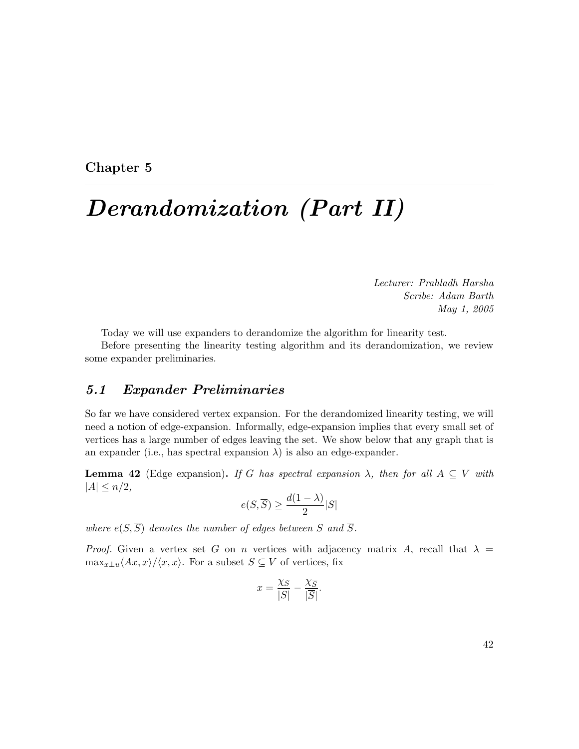#### Chapter 5

## Derandomization (Part II)

Lecturer: Prahladh Harsha Scribe: Adam Barth May 1, 2005

Today we will use expanders to derandomize the algorithm for linearity test.

Before presenting the linearity testing algorithm and its derandomization, we review some expander preliminaries.

## 5.1 Expander Preliminaries

So far we have considered vertex expansion. For the derandomized linearity testing, we will need a notion of edge-expansion. Informally, edge-expansion implies that every small set of vertices has a large number of edges leaving the set. We show below that any graph that is an expander (i.e., has spectral expansion  $\lambda$ ) is also an edge-expander.

<span id="page-41-0"></span>**Lemma 42** (Edge expansion). If G has spectral expansion  $\lambda$ , then for all  $A \subseteq V$  with  $|A| \leq n/2$ ,

$$
e(S,\overline{S}) \ge \frac{d(1-\lambda)}{2}|S|
$$

where  $e(S,\overline{S})$  denotes the number of edges between S and  $\overline{S}$ .

Proof. Given a vertex set G on n vertices with adjacency matrix A, recall that  $\lambda =$  $\max_{x\perp u}\langle Ax, x\rangle/\langle x, x\rangle$ . For a subset  $S \subseteq V$  of vertices, fix

$$
x = \frac{\chi_S}{|S|} - \frac{\chi_{\overline{S}}}{|\overline{S}|}.
$$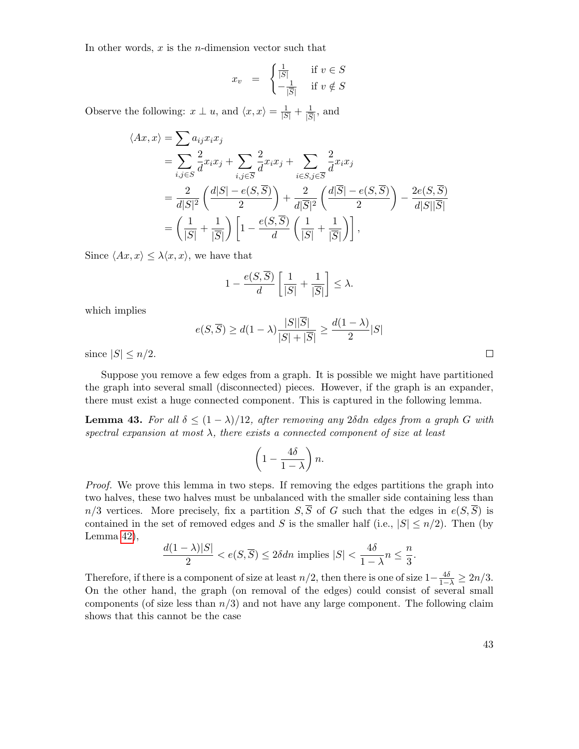In other words,  $x$  is the *n*-dimension vector such that

$$
x_v = \begin{cases} \frac{1}{|S|} & \text{if } v \in S \\ -\frac{1}{|S|} & \text{if } v \notin S \end{cases}
$$

Observe the following:  $x \perp u$ , and  $\langle x, x \rangle = \frac{1}{|S|} + \frac{1}{|S|}$  $\frac{1}{|\overline{S}|}$ , and

$$
\langle Ax, x \rangle = \sum a_{ij} x_i x_j
$$
  
= 
$$
\sum_{i,j \in S} \frac{2}{d} x_i x_j + \sum_{i,j \in \overline{S}} \frac{2}{d} x_i x_j + \sum_{i \in S, j \in \overline{S}} \frac{2}{d} x_i x_j
$$
  
= 
$$
\frac{2}{d|S|^2} \left( \frac{d|S| - e(S, \overline{S})}{2} \right) + \frac{2}{d|\overline{S}|^2} \left( \frac{d|\overline{S}| - e(S, \overline{S})}{2} \right) - \frac{2e(S, \overline{S})}{d|S||\overline{S}|}
$$
  
= 
$$
\left( \frac{1}{|S|} + \frac{1}{|\overline{S}|} \right) \left[ 1 - \frac{e(S, \overline{S})}{d} \left( \frac{1}{|S|} + \frac{1}{|\overline{S}|} \right) \right],
$$

Since  $\langle Ax, x \rangle \leq \lambda \langle x, x \rangle$ , we have that

$$
1 - \frac{e(S, \overline{S})}{d} \left[ \frac{1}{|S|} + \frac{1}{|\overline{S}|} \right] \le \lambda.
$$

which implies

$$
e(S,\overline{S}) \ge d(1-\lambda) \frac{|S||\overline{S}|}{|S|+|\overline{S}|} \ge \frac{d(1-\lambda)}{2}|S|
$$

since  $|S| \leq n/2$ .

Suppose you remove a few edges from a graph. It is possible we might have partitioned the graph into several small (disconnected) pieces. However, if the graph is an expander, there must exist a huge connected component. This is captured in the following lemma.

<span id="page-42-0"></span>**Lemma 43.** For all  $\delta \leq (1 - \lambda)/12$ , after removing any 2 $\delta$ dn edges from a graph G with spectral expansion at most  $\lambda$ , there exists a connected component of size at least

$$
\left(1-\frac{4\delta}{1-\lambda}\right)n.
$$

Proof. We prove this lemma in two steps. If removing the edges partitions the graph into two halves, these two halves must be unbalanced with the smaller side containing less than  $n/3$  vertices. More precisely, fix a partition  $S,\overline{S}$  of G such that the edges in  $e(S,\overline{S})$  is contained in the set of removed edges and S is the smaller half (i.e.,  $|S| \le n/2$ ). Then (by Lemma [42\)](#page-41-0),

$$
\frac{d(1-\lambda)|S|}{2} < e(S,\overline{S}) \le 2\delta \, \text{d}n \text{ implies } |S| < \frac{4\delta}{1-\lambda}n \le \frac{n}{3}.
$$

Therefore, if there is a component of size at least  $n/2$ , then there is one of size  $1-\frac{4\delta}{1-\lambda} \geq 2n/3$ . On the other hand, the graph (on removal of the edges) could consist of several small components (of size less than  $n/3$ ) and not have any large component. The following claim shows that this cannot be the case

 $\Box$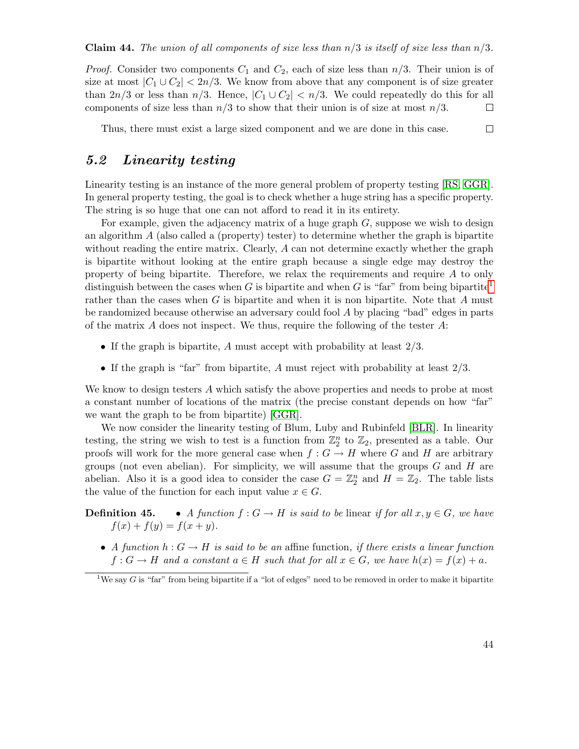*Proof.* Consider two components  $C_1$  and  $C_2$ , each of size less than  $n/3$ . Their union is of size at most  $|C_1 \cup C_2|$  < 2n/3. We know from above that any component is of size greater than  $2n/3$  or less than  $n/3$ . Hence,  $|C_1 \cup C_2| < n/3$ . We could repeatedly do this for all components of size less than  $n/3$  to show that their union is of size at most  $n/3$ .  $\Box$ 

Thus, there must exist a large sized component and we are done in this case.  $\Box$ 

### 5.2 Linearity testing

Linearity testing is an instance of the more general problem of property testing [\[RS,](#page-81-0) [GGR\]](#page-79-0). In general property testing, the goal is to check whether a huge string has a specific property. The string is so huge that one can not afford to read it in its entirety.

For example, given the adjacency matrix of a huge graph  $G$ , suppose we wish to design an algorithm  $A$  (also called a (property) tester) to determine whether the graph is bipartite without reading the entire matrix. Clearly, A can not determine exactly whether the graph is bipartite without looking at the entire graph because a single edge may destroy the property of being bipartite. Therefore, we relax the requirements and require A to only distinguish between the cases when G is bipartite and when G is "far" from being bipartite<sup>[1](#page-43-0)</sup> rather than the cases when  $G$  is bipartite and when it is non bipartite. Note that  $A$  must be randomized because otherwise an adversary could fool A by placing "bad" edges in parts of the matrix  $A$  does not inspect. We thus, require the following of the tester  $A$ :

- If the graph is bipartite, A must accept with probability at least  $2/3$ .
- If the graph is "far" from bipartite,  $A$  must reject with probability at least  $2/3$ .

We know to design testers A which satisfy the above properties and needs to probe at most a constant number of locations of the matrix (the precise constant depends on how "far" we want the graph to be from bipartite) [\[GGR\]](#page-79-0).

We now consider the linearity testing of Blum, Luby and Rubinfeld [\[BLR\]](#page-79-1). In linearity testing, the string we wish to test is a function from  $\mathbb{Z}_2^n$  to  $\mathbb{Z}_2$ , presented as a table. Our proofs will work for the more general case when  $f: G \to H$  where G and H are arbitrary groups (not even abelian). For simplicity, we will assume that the groups  $G$  and  $H$  are abelian. Also it is a good idea to consider the case  $G = \mathbb{Z}_2^n$  and  $H = \mathbb{Z}_2$ . The table lists the value of the function for each input value  $x \in G$ .

- **Definition 45.** A function  $f: G \to H$  is said to be linear if for all  $x, y \in G$ , we have  $f(x) + f(y) = f(x + y).$ 
	- A function  $h: G \to H$  is said to be an affine function, if there exists a linear function  $f: G \to H$  and a constant  $a \in H$  such that for all  $x \in G$ , we have  $h(x) = f(x) + a$ .

<span id="page-43-0"></span><sup>&</sup>lt;sup>1</sup>We say G is "far" from being bipartite if a "lot of edges" need to be removed in order to make it bipartite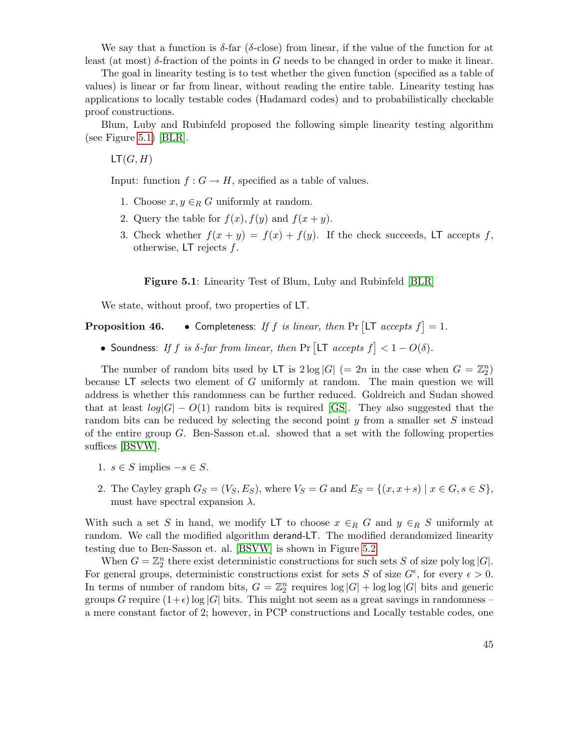We say that a function is  $\delta$ -far ( $\delta$ -close) from linear, if the value of the function for at least (at most)  $\delta$ -fraction of the points in G needs to be changed in order to make it linear.

The goal in linearity testing is to test whether the given function (specified as a table of values) is linear or far from linear, without reading the entire table. Linearity testing has applications to locally testable codes (Hadamard codes) and to probabilistically checkable proof constructions.

Blum, Luby and Rubinfeld proposed the following simple linearity testing algorithm (see Figure [5.1\)](#page-44-0) [\[BLR\]](#page-79-1).

 $LT(G, H)$ 

Input: function  $f: G \to H$ , specified as a table of values.

- 1. Choose  $x, y \in_R G$  uniformly at random.
- 2. Query the table for  $f(x)$ ,  $f(y)$  and  $f(x + y)$ .
- 3. Check whether  $f(x + y) = f(x) + f(y)$ . If the check succeeds, LT accepts f, otherwise,  $LT$  rejects  $f$ .

<span id="page-44-0"></span>Figure 5.1: Linearity Test of Blum, Luby and Rubinfeld [\[BLR\]](#page-79-1)

We state, without proof, two properties of LT.

#### **Proposition 46.** • Completeness: If f is linear, then Pr  $[LT$  accepts  $f$  = 1.

• Soundness: If f is  $\delta$ -far from linear, then Pr  $[\text{LT } accepts f] < 1 - O(\delta)$ .

The number of random bits used by LT is  $2 \log |G|$  (= 2n in the case when  $G = \mathbb{Z}_2^n$ ) because  $LT$  selects two element of G uniformly at random. The main question we will address is whether this randomness can be further reduced. Goldreich and Sudan showed that at least  $log|G| - O(1)$  random bits is required [\[GS\]](#page-79-2). They also suggested that the random bits can be reduced by selecting the second point  $y$  from a smaller set  $S$  instead of the entire group  $G$ . Ben-Sasson et.al. showed that a set with the following properties suffices [\[BSVW\]](#page-78-0).

- 1.  $s \in S$  implies  $-s \in S$ .
- 2. The Cayley graph  $G_S = (V_S, E_S)$ , where  $V_S = G$  and  $E_S = \{(x, x+s) \mid x \in G, s \in S\}$ , must have spectral expansion  $\lambda$ .

With such a set S in hand, we modify LT to choose  $x \in_R G$  and  $y \in_R S$  uniformly at random. We call the modified algorithm derand-LT. The modified derandomized linearity testing due to Ben-Sasson et. al. [\[BSVW\]](#page-78-0) is shown in Figure [5.2.](#page-45-0)

When  $G = \mathbb{Z}_2^n$  there exist deterministic constructions for such sets S of size poly log |G|. For general groups, deterministic constructions exist for sets S of size  $G^{\epsilon}$ , for every  $\epsilon > 0$ . In terms of number of random bits,  $G = \mathbb{Z}_2^n$  requires  $\log |G| + \log \log |G|$  bits and generic groups G require  $(1+\epsilon)$  log |G| bits. This might not seem as a great savings in randomness – a mere constant factor of 2; however, in PCP constructions and Locally testable codes, one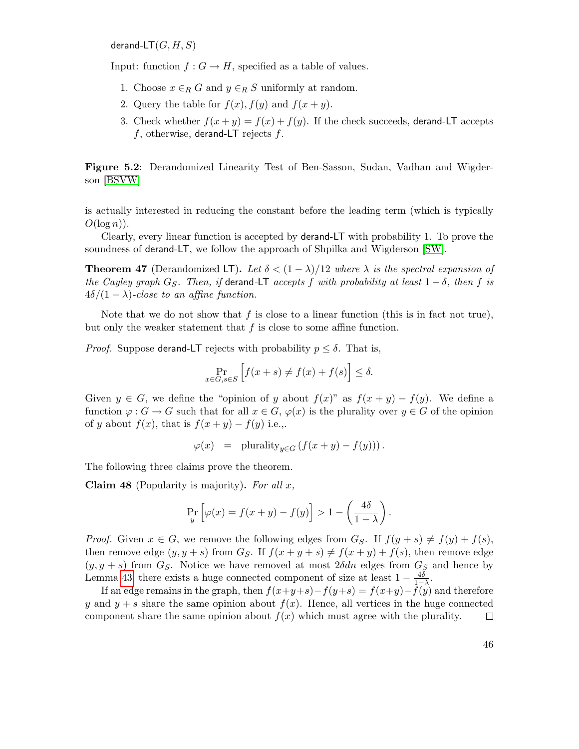derand-LT $(G, H, S)$ 

Input: function  $f: G \to H$ , specified as a table of values.

- 1. Choose  $x \in_R G$  and  $y \in_R S$  uniformly at random.
- 2. Query the table for  $f(x)$ ,  $f(y)$  and  $f(x + y)$ .
- <span id="page-45-0"></span>3. Check whether  $f(x + y) = f(x) + f(y)$ . If the check succeeds, derand-LT accepts  $f$ , otherwise, derand-LT rejects  $f$ .

Figure 5.2: Derandomized Linearity Test of Ben-Sasson, Sudan, Vadhan and Wigderson [\[BSVW\]](#page-78-0)

is actually interested in reducing the constant before the leading term (which is typically  $O(\log n)$ ).

Clearly, every linear function is accepted by derand-LT with probability 1. To prove the soundness of derand-LT, we follow the approach of Shpilka and Wigderson [\[SW\]](#page-81-1).

**Theorem 47** (Derandomized LT). Let  $\delta < (1 - \lambda)/12$  where  $\lambda$  is the spectral expansion of the Cayley graph  $G_S$ . Then, if derand-LT accepts f with probability at least  $1 - \delta$ , then f is  $4\delta/(1-\lambda)$ -close to an affine function.

Note that we do not show that f is close to a linear function (this is in fact not true), but only the weaker statement that  $f$  is close to some affine function.

*Proof.* Suppose derand-LT rejects with probability  $p \leq \delta$ . That is,

$$
\Pr_{x \in G, s \in S} \left[ f(x+s) \neq f(x) + f(s) \right] \le \delta.
$$

Given  $y \in G$ , we define the "opinion of y about  $f(x)$ " as  $f(x + y) - f(y)$ . We define a function  $\varphi: G \to G$  such that for all  $x \in G$ ,  $\varphi(x)$  is the plurality over  $y \in G$  of the opinion of y about  $f(x)$ , that is  $f(x + y) - f(y)$  i.e.,.

$$
\varphi(x) = \text{plurality}_{y \in G} \left( f(x+y) - f(y) \right).
$$

<span id="page-45-1"></span>The following three claims prove the theorem.

**Claim 48** (Popularity is majority). For all  $x$ ,

$$
\Pr_{y}\left[\varphi(x) = f(x+y) - f(y)\right] > 1 - \left(\frac{4\delta}{1-\lambda}\right).
$$

*Proof.* Given  $x \in G$ , we remove the following edges from  $G_S$ . If  $f(y + s) \neq f(y) + f(s)$ , then remove edge  $(y, y + s)$  from  $G_S$ . If  $f(x + y + s) \neq f(x + y) + f(s)$ , then remove edge  $(y, y + s)$  from  $G<sub>S</sub>$ . Notice we have removed at most  $2\delta dn$  edges from  $G<sub>S</sub>$  and hence by Lemma [43,](#page-42-0) there exists a huge connected component of size at least  $1 - \frac{4\delta}{1-\lambda}$ .

If an edge remains in the graph, then  $f(x+y+s)-f(y+s) = f(x+y)-f(y)$  and therefore y and  $y + s$  share the same opinion about  $f(x)$ . Hence, all vertices in the huge connected component share the same opinion about  $f(x)$  which must agree with the plurality.  $\Box$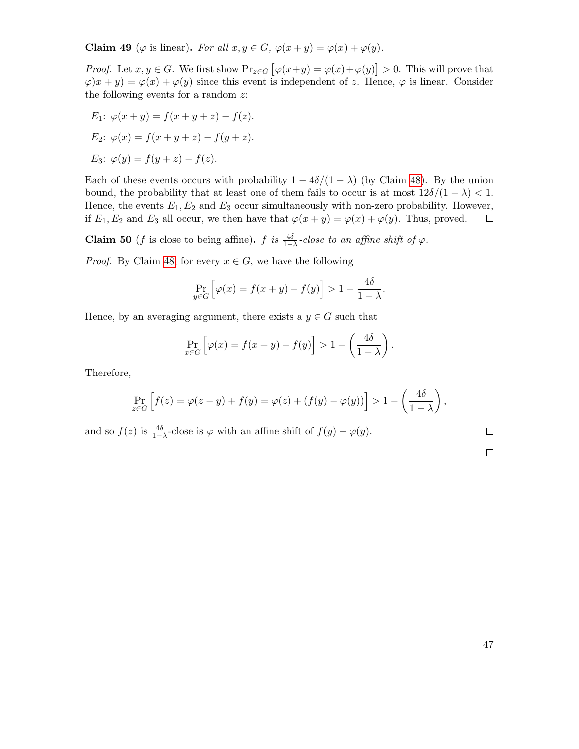Claim 49 ( $\varphi$  is linear). For all  $x, y \in G$ ,  $\varphi(x+y) = \varphi(x) + \varphi(y)$ .

*Proof.* Let  $x, y \in G$ . We first show  $Pr_{z \in G} [\varphi(x+y) = \varphi(x) + \varphi(y)] > 0$ . This will prove that  $\varphi(x+y) = \varphi(x) + \varphi(y)$  since this event is independent of z. Hence,  $\varphi$  is linear. Consider the following events for a random  $z$ :

E<sub>1</sub>: 
$$
\varphi(x + y) = f(x + y + z) - f(z)
$$
.  
\nE<sub>2</sub>:  $\varphi(x) = f(x + y + z) - f(y + z)$ .  
\nE<sub>3</sub>:  $\varphi(y) = f(y + z) - f(z)$ .

Each of these events occurs with probability  $1 - 4\delta/(1 - \lambda)$  (by Claim [48\)](#page-45-1). By the union bound, the probability that at least one of them fails to occur is at most  $12\delta/(1 - \lambda) < 1$ . Hence, the events  $E_1, E_2$  and  $E_3$  occur simultaneously with non-zero probability. However, if  $E_1, E_2$  and  $E_3$  all occur, we then have that  $\varphi(x+y) = \varphi(x) + \varphi(y)$ . Thus, proved.  $\Box$ 

**Claim 50** (*f* is close to being affine). *f* is  $\frac{4\delta}{1-\lambda}$ -close to an affine shift of  $\varphi$ .

*Proof.* By Claim [48,](#page-45-1) for every  $x \in G$ , we have the following

$$
\Pr_{y \in G} \left[ \varphi(x) = f(x+y) - f(y) \right] > 1 - \frac{4\delta}{1-\lambda}.
$$

Hence, by an averaging argument, there exists a  $y \in G$  such that

$$
\Pr_{x \in G} \left[ \varphi(x) = f(x + y) - f(y) \right] > 1 - \left( \frac{4\delta}{1 - \lambda} \right).
$$

Therefore,

$$
\Pr_{z \in G} \left[ f(z) = \varphi(z - y) + f(y) = \varphi(z) + (f(y) - \varphi(y)) \right] > 1 - \left( \frac{4\delta}{1 - \lambda} \right),
$$

and so  $f(z)$  is  $\frac{4\delta}{1-\lambda}$ -close is  $\varphi$  with an affine shift of  $f(y) - \varphi(y)$ .

 $\Box$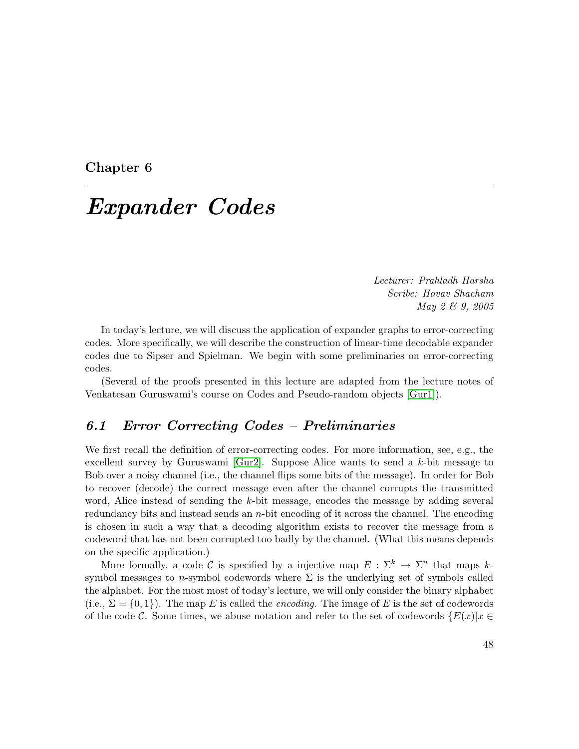#### Chapter 6

## Expander Codes

Lecturer: Prahladh Harsha Scribe: Hovav Shacham May 2 & 9, 2005

In today's lecture, we will discuss the application of expander graphs to error-correcting codes. More specifically, we will describe the construction of linear-time decodable expander codes due to Sipser and Spielman. We begin with some preliminaries on error-correcting codes.

(Several of the proofs presented in this lecture are adapted from the lecture notes of Venkatesan Guruswami's course on Codes and Pseudo-random objects [\[Gur1\]](#page-77-0)).

## 6.1 Error Correcting Codes – Preliminaries

We first recall the definition of error-correcting codes. For more information, see, e.g., the excellent survey by Guruswami [\[Gur2\]](#page-79-3). Suppose Alice wants to send a  $k$ -bit message to Bob over a noisy channel (i.e., the channel flips some bits of the message). In order for Bob to recover (decode) the correct message even after the channel corrupts the transmitted word, Alice instead of sending the k-bit message, encodes the message by adding several redundancy bits and instead sends an  $n$ -bit encoding of it across the channel. The encoding is chosen in such a way that a decoding algorithm exists to recover the message from a codeword that has not been corrupted too badly by the channel. (What this means depends on the specific application.)

More formally, a code C is specified by a injective map  $E : \Sigma^k \to \Sigma^n$  that maps ksymbol messages to n-symbol codewords where  $\Sigma$  is the underlying set of symbols called the alphabet. For the most most of today's lecture, we will only consider the binary alphabet (i.e.,  $\Sigma = \{0,1\}$ ). The map E is called the *encoding*. The image of E is the set of codewords of the code C. Some times, we abuse notation and refer to the set of codewords  $\{E(x)|x \in$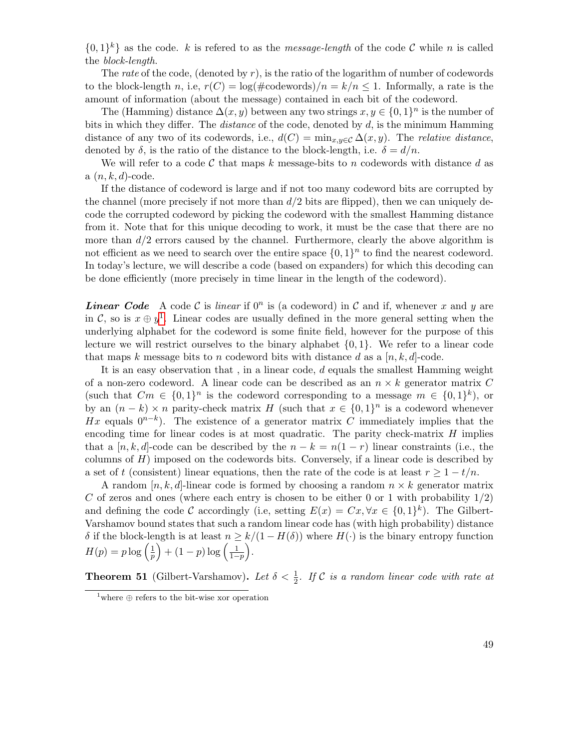$\{0,1\}^k\}$  as the code. k is refered to as the *message-length* of the code C while n is called the block-length.

The rate of the code, (denoted by  $r$ ), is the ratio of the logarithm of number of codewords to the block-length n, i.e,  $r(C) = \log(\text{\#codewords})/n = k/n \leq 1$ . Informally, a rate is the amount of information (about the message) contained in each bit of the codeword.

The (Hamming) distance  $\Delta(x, y)$  between any two strings  $x, y \in \{0, 1\}^n$  is the number of bits in which they differ. The *distance* of the code, denoted by  $d$ , is the minimum Hamming distance of any two of its codewords, i.e.,  $d(C) = \min_{x,y \in C} \Delta(x,y)$ . The relative distance, denoted by  $\delta$ , is the ratio of the distance to the block-length, i.e.  $\delta = d/n$ .

We will refer to a code C that maps k message-bits to n codewords with distance d as  $a(n, k, d)$ -code.

If the distance of codeword is large and if not too many codeword bits are corrupted by the channel (more precisely if not more than  $d/2$  bits are flipped), then we can uniquely decode the corrupted codeword by picking the codeword with the smallest Hamming distance from it. Note that for this unique decoding to work, it must be the case that there are no more than  $d/2$  errors caused by the channel. Furthermore, clearly the above algorithm is not efficient as we need to search over the entire space  $\{0,1\}^n$  to find the nearest codeword. In today's lecture, we will describe a code (based on expanders) for which this decoding can be done efficiently (more precisely in time linear in the length of the codeword).

**Linear Code** A code C is linear if  $0^n$  is (a codeword) in C and if, whenever x and y are in C, so is  $x \oplus y^1$  $x \oplus y^1$ . Linear codes are usually defined in the more general setting when the underlying alphabet for the codeword is some finite field, however for the purpose of this lecture we will restrict ourselves to the binary alphabet  $\{0, 1\}$ . We refer to a linear code that maps k message bits to n codeword bits with distance d as a  $[n, k, d]$ -code.

It is an easy observation that , in a linear code, d equals the smallest Hamming weight of a non-zero codeword. A linear code can be described as an  $n \times k$  generator matrix C (such that  $Cm \in \{0,1\}^n$  is the codeword corresponding to a message  $m \in \{0,1\}^k$ ), or by an  $(n - k) \times n$  parity-check matrix H (such that  $x \in \{0, 1\}^n$  is a codeword whenever Hx equals  $0^{n-k}$ ). The existence of a generator matrix C immediately implies that the encoding time for linear codes is at most quadratic. The parity check-matrix  $H$  implies that a [n, k, d]-code can be described by the  $n - k = n(1 - r)$  linear constraints (i.e., the columns of  $H$ ) imposed on the codewords bits. Conversely, if a linear code is described by a set of t (consistent) linear equations, then the rate of the code is at least  $r \geq 1 - t/n$ .

A random  $[n, k, d]$ -linear code is formed by choosing a random  $n \times k$  generator matrix C of zeros and ones (where each entry is chosen to be either 0 or 1 with probability  $1/2$ ) and defining the code C accordingly (i.e, setting  $E(x) = Cx, \forall x \in \{0,1\}^k$ ). The Gilbert-Varshamov bound states that such a random linear code has (with high probability) distance δ if the block-length is at least  $n ≥ k/(1 – H(δ))$  where  $H(·)$  is the binary entropy function  $H(p) = p \log \left(\frac{1}{p}\right)$  $\frac{1}{p}$  + (1 – p) log  $\left(\frac{1}{1-p}\right)$ .

**Theorem 51** (Gilbert-Varshamov). Let  $\delta < \frac{1}{2}$ . If C is a random linear code with rate at

<span id="page-48-0"></span> $1$  where  $\oplus$  refers to the bit-wise xor operation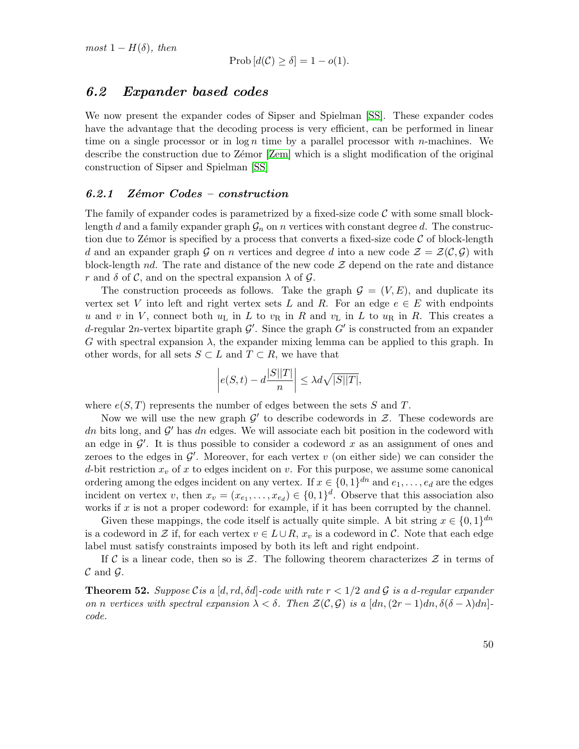$most\ 1-H(\delta)$ , then

$$
Prob[d(\mathcal{C}) \ge \delta] = 1 - o(1).
$$

#### 6.2 Expander based codes

We now present the expander codes of Sipser and Spielman [\[SS\]](#page-81-2). These expander codes have the advantage that the decoding process is very efficient, can be performed in linear time on a single processor or in  $\log n$  time by a parallel processor with *n*-machines. We describe the construction due to Zemor [\[Zem\]](#page-81-3) which is a slight modification of the original construction of Sipser and Spielman [\[SS\]](#page-81-2)

#### $6.2.1$  Zémor Codes – construction

The family of expander codes is parametrized by a fixed-size code  $\mathcal C$  with some small blocklength d and a family expander graph  $\mathcal{G}_n$  on n vertices with constant degree d. The construction due to Zémor is specified by a process that converts a fixed-size code  $\mathcal C$  of block-length d and an expander graph G on n vertices and degree d into a new code  $\mathcal{Z} = \mathcal{Z}(\mathcal{C}, \mathcal{G})$  with block-length nd. The rate and distance of the new code  $\mathcal Z$  depend on the rate and distance r and  $\delta$  of C, and on the spectral expansion  $\lambda$  of G.

The construction proceeds as follows. Take the graph  $\mathcal{G} = (V, E)$ , and duplicate its vertex set V into left and right vertex sets L and R. For an edge  $e \in E$  with endpoints u and v in V, connect both  $u<sub>L</sub>$  in L to  $v<sub>R</sub>$  in R and  $v<sub>L</sub>$  in L to  $u<sub>R</sub>$  in R. This creates a d-regular 2n-vertex bipartite graph  $\mathcal{G}'$ . Since the graph  $G'$  is constructed from an expander G with spectral expansion  $\lambda$ , the expander mixing lemma can be applied to this graph. In other words, for all sets  $S \subset L$  and  $T \subset R$ , we have that

$$
\left| e(S,t) - d \frac{|S||T|}{n} \right| \le \lambda d \sqrt{|S||T|},
$$

where  $e(S,T)$  represents the number of edges between the sets S and T.

Now we will use the new graph  $\mathcal{G}'$  to describe codewords in  $\mathcal{Z}$ . These codewords are dn bits long, and  $\mathcal{G}'$  has dn edges. We will associate each bit position in the codeword with an edge in  $\mathcal{G}'$ . It is thus possible to consider a codeword x as an assignment of ones and zeroes to the edges in  $\mathcal{G}'$ . Moreover, for each vertex  $v$  (on either side) we can consider the d-bit restriction  $x<sub>v</sub>$  of x to edges incident on v. For this purpose, we assume some canonical ordering among the edges incident on any vertex. If  $x \in \{0,1\}^{dn}$  and  $e_1, \ldots, e_d$  are the edges incident on vertex v, then  $x_v = (x_{e_1}, \ldots, x_{e_d}) \in \{0,1\}^d$ . Observe that this association also works if  $x$  is not a proper codeword: for example, if it has been corrupted by the channel.

Given these mappings, the code itself is actually quite simple. A bit string  $x \in \{0,1\}^{dn}$ is a codeword in Z if, for each vertex  $v \in L \cup R$ ,  $x_v$  is a codeword in C. Note that each edge label must satisfy constraints imposed by both its left and right endpoint.

If C is a linear code, then so is Z. The following theorem characterizes  $\mathcal Z$  in terms of  $\mathcal C$  and  $\mathcal G$ .

**Theorem 52.** Suppose C is a  $[d, rd, \delta d]$ -code with rate  $r < 1/2$  and G is a d-regular expander on n vertices with spectral expansion  $\lambda < \delta$ . Then  $\mathcal{Z}(\mathcal{C}, \mathcal{G})$  is a  $[dn,(2r-1)dn, \delta(\delta - \lambda)dn]$ code.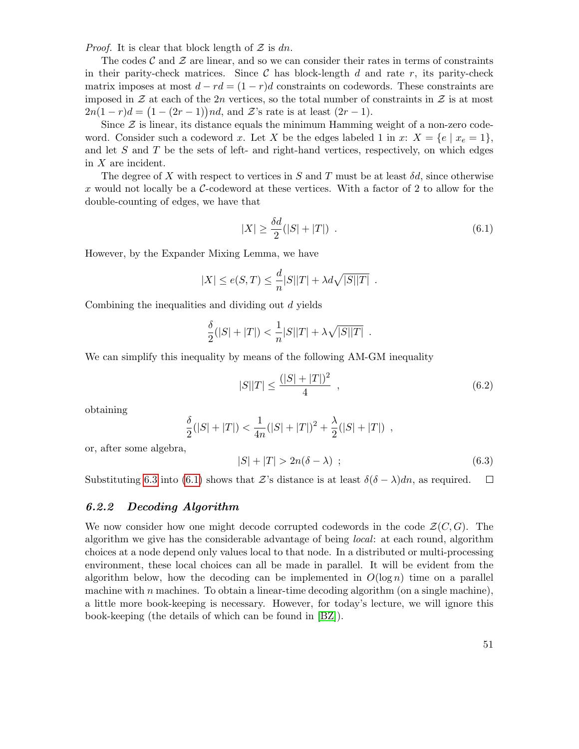*Proof.* It is clear that block length of  $\mathcal Z$  is dn.

The codes  $\mathcal C$  and  $\mathcal Z$  are linear, and so we can consider their rates in terms of constraints in their parity-check matrices. Since  $\mathcal C$  has block-length d and rate r, its parity-check matrix imposes at most  $d - rd = (1 - r)d$  constraints on codewords. These constraints are imposed in  $\mathcal Z$  at each of the 2n vertices, so the total number of constraints in  $\mathcal Z$  is at most  $2n(1 - r)d = (1 - (2r - 1))nd$ , and  $\mathcal{Z}$ 's rate is at least  $(2r - 1)$ .

Since  $\mathcal Z$  is linear, its distance equals the minimum Hamming weight of a non-zero codeword. Consider such a codeword x. Let X be the edges labeled 1 in x:  $X = \{e \mid x_e = 1\},\$ and let  $S$  and  $T$  be the sets of left- and right-hand vertices, respectively, on which edges in X are incident.

The degree of X with respect to vertices in S and T must be at least  $\delta d$ , since otherwise x would not locally be a  $\mathcal{C}\text{-codeword}$  at these vertices. With a factor of 2 to allow for the double-counting of edges, we have that

<span id="page-50-1"></span>
$$
|X| \ge \frac{\delta d}{2}(|S| + |T|) \tag{6.1}
$$

However, by the Expander Mixing Lemma, we have

$$
|X| \le e(S,T) \le \frac{d}{n}|S||T| + \lambda d\sqrt{|S||T|} .
$$

Combining the inequalities and dividing out d yields

$$
\frac{\delta}{2}(|S|+|T|) < \frac{1}{n}|S||T| + \lambda \sqrt{|S||T|} \; .
$$

We can simplify this inequality by means of the following AM-GM inequality

<span id="page-50-3"></span>
$$
|S||T| \le \frac{(|S| + |T|)^2}{4} \quad , \tag{6.2}
$$

obtaining

$$
\frac{\delta}{2}(|S|+|T|) < \frac{1}{4n}(|S|+|T|)^2+\frac{\lambda}{2}(|S|+|T|) ,
$$

or, after some algebra,

<span id="page-50-0"></span>
$$
|S| + |T| > 2n(\delta - \lambda) \tag{6.3}
$$

Substituting [6.3](#page-50-0) into [\(6.1\)](#page-50-1) shows that Z's distance is at least  $\delta(\delta - \lambda)dn$ , as required.  $\Box$ 

#### 6.2.2 Decoding Algorithm

<span id="page-50-2"></span>We now consider how one might decode corrupted codewords in the code  $\mathcal{Z}(C, G)$ . The algorithm we give has the considerable advantage of being local: at each round, algorithm choices at a node depend only values local to that node. In a distributed or multi-processing environment, these local choices can all be made in parallel. It will be evident from the algorithm below, how the decoding can be implemented in  $O(\log n)$  time on a parallel machine with n machines. To obtain a linear-time decoding algorithm (on a single machine), a little more book-keeping is necessary. However, for today's lecture, we will ignore this book-keeping (the details of which can be found in [\[BZ\]](#page-78-1)).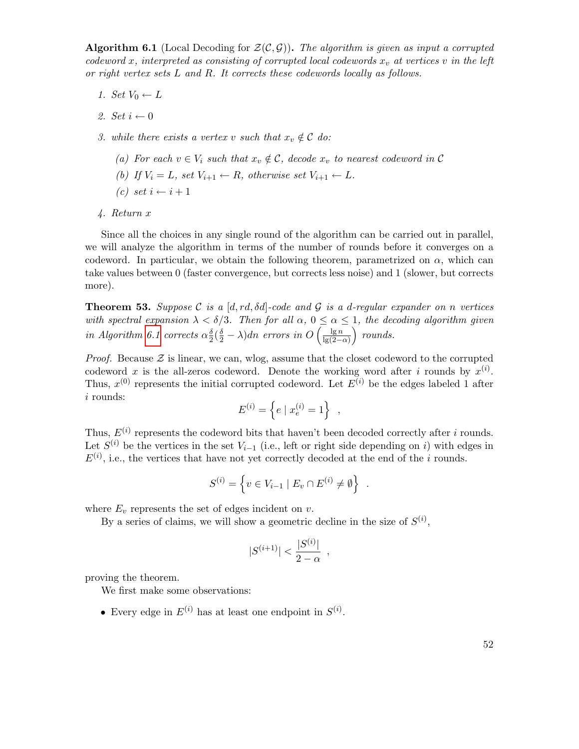**Algorithm 6.1** (Local Decoding for  $\mathcal{Z}(\mathcal{C}, \mathcal{G})$ ). The algorithm is given as input a corrupted codeword x, interpreted as consisting of corrupted local codewords  $x<sub>v</sub>$  at vertices v in the left or right vertex sets L and R. It corrects these codewords locally as follows.

- 1. Set  $V_0 \leftarrow L$
- 2. Set  $i \leftarrow 0$
- 3. while there exists a vertex v such that  $x_v \notin \mathcal{C}$  do:
	- (a) For each  $v \in V_i$  such that  $x_v \notin \mathcal{C}$ , decode  $x_v$  to nearest codeword in  $\mathcal{C}$
	- (b) If  $V_i = L$ , set  $V_{i+1} \leftarrow R$ , otherwise set  $V_{i+1} \leftarrow L$ .
	- $(c) \text{ set } i \leftarrow i+1$
- 4. Return x

Since all the choices in any single round of the algorithm can be carried out in parallel, we will analyze the algorithm in terms of the number of rounds before it converges on a codeword. In particular, we obtain the following theorem, parametrized on  $\alpha$ , which can take values between 0 (faster convergence, but corrects less noise) and 1 (slower, but corrects more).

**Theorem 53.** Suppose C is a  $[d, rd, \delta d]$ -code and G is a d-regular expander on n vertices with spectral expansion  $\lambda < \delta/3$ . Then for all  $\alpha, 0 \leq \alpha \leq 1$ , the decoding algorithm given in Algorithm [6.1](#page-50-2) corrects  $\alpha_2^{\delta}$  $\frac{\delta}{2}(\frac{\delta}{2}-\lambda)dn$  errors in  $O\left(\frac{\lg n}{\lg(2-\delta)}\right)$  $\frac{\lg n}{\lg(2-\alpha)}$  *rounds.* 

*Proof.* Because  $\mathcal{Z}$  is linear, we can, wlog, assume that the closet codeword to the corrupted codeword x is the all-zeros codeword. Denote the working word after i rounds by  $x^{(i)}$ . Thus,  $x^{(0)}$  represents the initial corrupted codeword. Let  $E^{(i)}$  be the edges labeled 1 after i rounds:

$$
E^{(i)} = \left\{ e \mid x_e^{(i)} = 1 \right\} ,
$$

Thus,  $E^{(i)}$  represents the codeword bits that haven't been decoded correctly after i rounds. Let  $S^{(i)}$  be the vertices in the set  $V_{i-1}$  (i.e., left or right side depending on i) with edges in  $E^{(i)}$ , i.e., the vertices that have not yet correctly decoded at the end of the *i* rounds.

$$
S^{(i)} = \left\{ v \in V_{i-1} \mid E_v \cap E^{(i)} \neq \emptyset \right\} .
$$

where  $E_v$  represents the set of edges incident on  $v$ .

By a series of claims, we will show a geometric decline in the size of  $S^{(i)}$ ,

$$
|S^{(i+1)}| < \frac{|S^{(i)}|}{2 - \alpha} \enspace,
$$

proving the theorem.

We first make some observations:

• Every edge in  $E^{(i)}$  has at least one endpoint in  $S^{(i)}$ .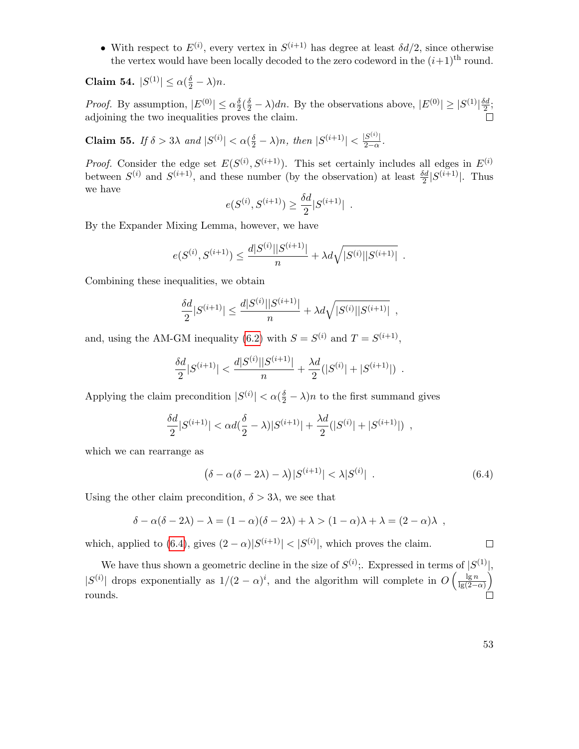• With respect to  $E^{(i)}$ , every vertex in  $S^{(i+1)}$  has degree at least  $\delta d/2$ , since otherwise the vertex would have been locally decoded to the zero codeword in the  $(i+1)$ <sup>th</sup> round.

Claim 54.  $|S^{(1)}| \leq \alpha(\frac{\delta}{2} - \lambda)n$ .

*Proof.* By assumption,  $|E^{(0)}| \le \alpha \frac{\delta}{2}$  $\frac{\delta}{2}(\frac{\delta}{2} - \lambda)dn$ . By the observations above,  $|E^{(0)}| \ge |S^{(1)}|\frac{\delta d}{2}$  $\frac{3d}{2}$ ; adjoining the two inequalities proves the claim.

Claim 55. If  $\delta > 3\lambda$  and  $|S^{(i)}| < \alpha(\frac{\delta}{2} - \lambda)n$ , then  $|S^{(i+1)}| < \frac{|S^{(i)}|}{2-\alpha}$  $rac{|S^{(1)}|}{2-\alpha}$ .

*Proof.* Consider the edge set  $E(S^{(i)}, S^{(i+1)})$ . This set certainly includes all edges in  $E^{(i)}$ between  $S^{(i)}$  and  $S^{(i+1)}$ , and these number (by the observation) at least  $\frac{\delta d}{2} |S^{(i+1)}|$ . Thus we have

$$
e(S^{(i)}, S^{(i+1)}) \ge \frac{\delta d}{2} |S^{(i+1)}|.
$$

By the Expander Mixing Lemma, however, we have

$$
e(S^{(i)}, S^{(i+1)}) \le \frac{d|S^{(i)}||S^{(i+1)}|}{n} + \lambda d\sqrt{|S^{(i)}||S^{(i+1)}|}.
$$

Combining these inequalities, we obtain

$$
\frac{\delta d}{2}|S^{(i+1)}| \le \frac{d|S^{(i)}||S^{(i+1)}|}{n} + \lambda d\sqrt{|S^{(i)}||S^{(i+1)}|} ,
$$

and, using the AM-GM inequality [\(6.2\)](#page-50-3) with  $S = S^{(i)}$  and  $T = S^{(i+1)}$ ,

$$
\frac{\delta d}{2}|S^{(i+1)}| < \frac{d|S^{(i)}||S^{(i+1)}|}{n} + \frac{\lambda d}{2}(|S^{(i)}| + |S^{(i+1)}|) \enspace .
$$

Applying the claim precondition  $|S^{(i)}| < \alpha(\frac{\delta}{2} - \lambda)n$  to the first summand gives

$$
\frac{\delta d}{2}|S^{(i+1)}| < \alpha d(\frac{\delta}{2} - \lambda)|S^{(i+1)}| + \frac{\lambda d}{2}(|S^{(i)}| + |S^{(i+1)}|) \enspace ,
$$

which we can rearrange as

<span id="page-52-0"></span>
$$
(\delta - \alpha(\delta - 2\lambda) - \lambda)|S^{(i+1)}| < \lambda|S^{(i)}| \tag{6.4}
$$

Using the other claim precondition,  $\delta > 3\lambda$ , we see that

$$
\delta - \alpha(\delta - 2\lambda) - \lambda = (1 - \alpha)(\delta - 2\lambda) + \lambda > (1 - \alpha)\lambda + \lambda = (2 - \alpha)\lambda,
$$

which, applied to [\(6.4\)](#page-52-0), gives  $(2 - \alpha)|S^{(i+1)}| < |S^{(i)}|$ , which proves the claim.

We have thus shown a geometric decline in the size of  $S^{(i)}$ ; Expressed in terms of  $|S^{(1)}|$ ,  $|S^{(i)}|$  drops exponentially as  $1/(2-\alpha)^i$ , and the algorithm will complete in  $O\left(\frac{\lg n}{\log(2-\alpha)}\right)$  $rac{\lg n}{\lg(2-\alpha)}$ rounds.

 $\Box$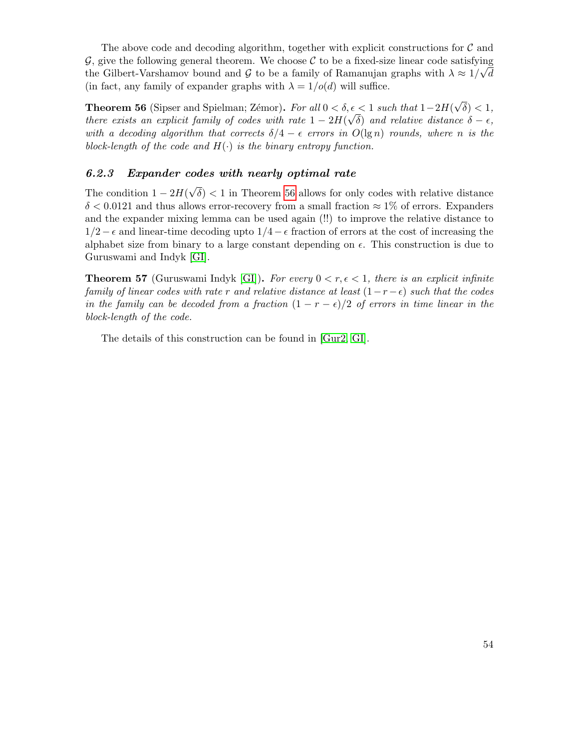The above code and decoding algorithm, together with explicit constructions for  $\mathcal C$  and  $G$ , give the following general theorem. We choose  $C$  to be a fixed-size linear code satisfying the Gilbert-Varshamov bound and G to be a family of Ramanujan graphs with  $\lambda \approx 1/\sqrt{d}$ (in fact, any family of expander graphs with  $\lambda = 1/\rho(d)$  will suffice.

<span id="page-53-0"></span>**Theorem 56** (Sipser and Spielman; Zémor). For all  $0 < \delta, \epsilon < 1$  such that  $1-2H($ √  $\delta, \epsilon < 1$  such that  $1 - 2H(\sqrt{\delta}) < 1$ , there exists an explicit family of codes with rate  $1-2H(\sqrt{\delta})$  and relative distance  $\delta-\epsilon$ , with a decoding algorithm that corrects  $\delta/4 - \epsilon$  errors in  $O(\lg n)$  rounds, where n is the block-length of the code and  $H(\cdot)$  is the binary entropy function.

#### 6.2.3 Expander codes with nearly optimal rate

The condition  $1 - 2H($ √  $\delta$  < 1 in Theorem [56](#page-53-0) allows for only codes with relative distance  $\delta$  < 0.0121 and thus allows error-recovery from a small fraction  $\approx$  1% of errors. Expanders and the expander mixing lemma can be used again (!!) to improve the relative distance to  $1/2-\epsilon$  and linear-time decoding upto  $1/4-\epsilon$  fraction of errors at the cost of increasing the alphabet size from binary to a large constant depending on  $\epsilon$ . This construction is due to Guruswami and Indyk [\[GI\]](#page-79-4).

**Theorem 57** (Guruswami Indyk [\[GI\]](#page-79-4)). For every  $0 < r, \epsilon < 1$ , there is an explicit infinite family of linear codes with rate r and relative distance at least  $(1-r-\epsilon)$  such that the codes in the family can be decoded from a fraction  $(1 - r - \epsilon)/2$  of errors in time linear in the block-length of the code.

The details of this construction can be found in [\[Gur2,](#page-79-3) [GI\]](#page-79-4).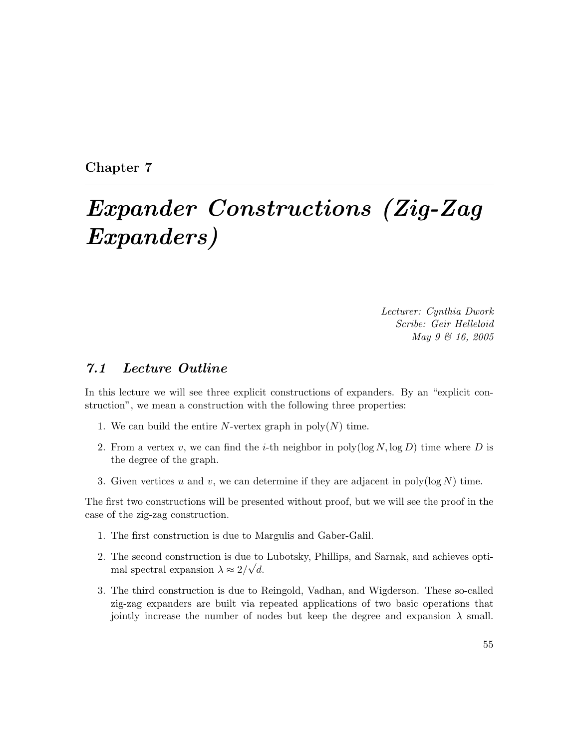Chapter 7

# Expander Constructions (Zig-Zag Expanders)

Lecturer: Cynthia Dwork Scribe: Geir Helleloid May 9 & 16, 2005

#### 7.1 Lecture Outline

In this lecture we will see three explicit constructions of expanders. By an "explicit construction", we mean a construction with the following three properties:

- 1. We can build the entire N-vertex graph in  $poly(N)$  time.
- 2. From a vertex v, we can find the *i*-th neighbor in poly( $\log N$ ,  $\log D$ ) time where D is the degree of the graph.
- 3. Given vertices u and v, we can determine if they are adjacent in poly( $log N$ ) time.

The first two constructions will be presented without proof, but we will see the proof in the case of the zig-zag construction.

- 1. The first construction is due to Margulis and Gaber-Galil.
- 2. The second construction is due to Lubotsky, Phillips, and Sarnak, and achieves optimal spectral expansion  $\lambda \approx 2/\sqrt{d}$ .
- 3. The third construction is due to Reingold, Vadhan, and Wigderson. These so-called zig-zag expanders are built via repeated applications of two basic operations that jointly increase the number of nodes but keep the degree and expansion  $\lambda$  small.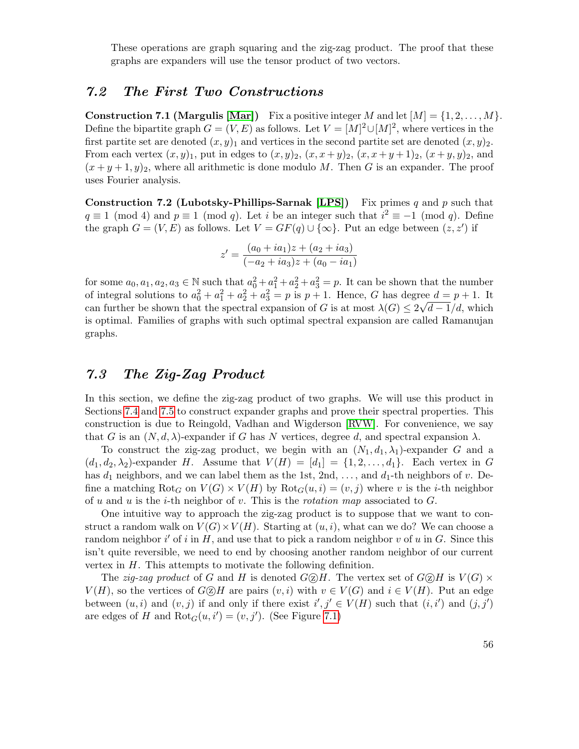These operations are graph squaring and the zig-zag product. The proof that these graphs are expanders will use the tensor product of two vectors.

#### 7.2 The First Two Constructions

**Construction 7.1 (Margulis [\[Mar\]](#page-80-1))** Fix a positive integer M and let  $[M] = \{1, 2, ..., M\}$ . Define the bipartite graph  $G = (V, E)$  as follows. Let  $V = [M]^2 \cup [M]^2$ , where vertices in the first partite set are denoted  $(x, y)_1$  and vertices in the second partite set are denoted  $(x, y)_2$ . From each vertex  $(x, y)_1$ , put in edges to  $(x, y)_2$ ,  $(x, x+y)_2$ ,  $(x, x+y+1)_2$ ,  $(x+y, y)_2$ , and  $(x+y+1, y)_2$ , where all arithmetic is done modulo M. Then G is an expander. The proof uses Fourier analysis.

**Construction 7.2 (Lubotsky-Phillips-Sarnak [\[LPS\]](#page-80-0))** Fix primes q and p such that  $q \equiv 1 \pmod{4}$  and  $p \equiv 1 \pmod{q}$ . Let i be an integer such that  $i^2 \equiv -1 \pmod{q}$ . Define the graph  $G = (V, E)$  as follows. Let  $V = GF(q) \cup {\infty}$ . Put an edge between  $(z, z')$  if

$$
z' = \frac{(a_0 + ia_1)z + (a_2 + ia_3)}{(-a_2 + ia_3)z + (a_0 - ia_1)}
$$

for some  $a_0, a_1, a_2, a_3 \in \mathbb{N}$  such that  $a_0^2 + a_1^2 + a_2^2 + a_3^2 = p$ . It can be shown that the number of integral solutions to  $a_0^2 + a_1^2 + a_2^2 + a_3^2 = p$  is  $p + 1$ . Hence, G has degree  $d = p + 1$ . It can further be shown that the spectral expansion of G is at most  $\lambda(G) \leq 2\sqrt{d-1/d}$ , which is optimal. Families of graphs with such optimal spectral expansion are called Ramanujan graphs.

### 7.3 The Zig-Zag Product

In this section, we define the zig-zag product of two graphs. We will use this product in Sections [7.4](#page-57-0) and [7.5](#page-57-1) to construct expander graphs and prove their spectral properties. This construction is due to Reingold, Vadhan and Wigderson [\[RVW\]](#page-80-2). For convenience, we say that G is an  $(N, d, \lambda)$ -expander if G has N vertices, degree d, and spectral expansion  $\lambda$ .

To construct the zig-zag product, we begin with an  $(N_1, d_1, \lambda_1)$ -expander G and a  $(d_1, d_2, \lambda_2)$ -expander H. Assume that  $V(H) = [d_1] = \{1, 2, \ldots, d_1\}$ . Each vertex in G has  $d_1$  neighbors, and we can label them as the 1st, 2nd, ..., and  $d_1$ -th neighbors of v. Define a matching Rot<sub>G</sub> on  $V(G) \times V(H)$  by Rot<sub>G</sub> $(u, i) = (v, j)$  where v is the *i*-th neighbor of u and u is the *i*-th neighbor of v. This is the *rotation map* associated to  $G$ .

One intuitive way to approach the zig-zag product is to suppose that we want to construct a random walk on  $V(G) \times V(H)$ . Starting at  $(u, i)$ , what can we do? We can choose a random neighbor  $i'$  of i in H, and use that to pick a random neighbor v of u in G. Since this isn't quite reversible, we need to end by choosing another random neighbor of our current vertex in H. This attempts to motivate the following definition.

The zig-zag product of G and H is denoted  $G \circled{Z} H$ . The vertex set of  $G \circled{Z} H$  is  $V(G) \times$  $V(H)$ , so the vertices of  $G \otimes H$  are pairs  $(v, i)$  with  $v \in V(G)$  and  $i \in V(H)$ . Put an edge between  $(u, i)$  and  $(v, j)$  if and only if there exist  $i', j' \in V(H)$  such that  $(i, i')$  and  $(j, j')$ are edges of H and  $Rot_G(u, i') = (v, j')$ . (See Figure [7.1\)](#page-56-0)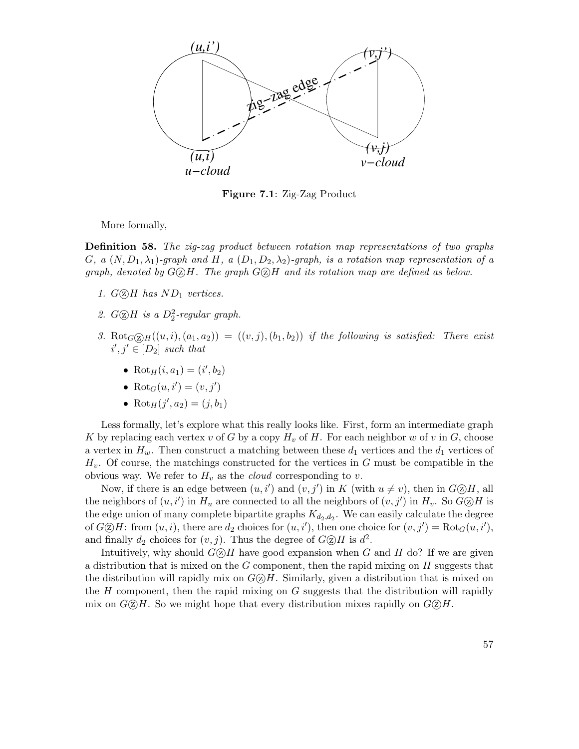

<span id="page-56-0"></span>Figure 7.1: Zig-Zag Product

More formally,

Definition 58. The zig-zag product between rotation map representations of two graphs G, a  $(N, D_1, \lambda_1)$ -graph and H, a  $(D_1, D_2, \lambda_2)$ -graph, is a rotation map representation of a graph, denoted by  $G \odot H$ . The graph  $G \odot H$  and its rotation map are defined as below.

- 1.  $G(\overline{z})$ H has  $ND_1$  vertices.
- 2.  $G \textcircled{2} H$  is a  $D_2^2$ -regular graph.
- 3. Rot $_G(\overline{z})_H((u, i), (a_1, a_2)) = ((v, j), (b_1, b_2))$  if the following is satisfied: There exist  $i', j' \in [D_2]$  such that
	- Rot<sub>H</sub> $(i, a_1) = (i', b_2)$
	- Rot $_G(u, i') = (v, j')$
	- Rot<sub>H</sub> $(j', a_2) = (j, b_1)$

Less formally, let's explore what this really looks like. First, form an intermediate graph K by replacing each vertex v of G by a copy  $H_v$  of H. For each neighbor w of v in G, choose a vertex in  $H_w$ . Then construct a matching between these  $d_1$  vertices and the  $d_1$  vertices of  $H_v$ . Of course, the matchings constructed for the vertices in G must be compatible in the obvious way. We refer to  $H_v$  as the *cloud* corresponding to v.

Now, if there is an edge between  $(u, i')$  and  $(v, j')$  in K (with  $u \neq v$ ), then in  $G \otimes H$ , all the neighbors of  $(u, i')$  in  $H_u$  are connected to all the neighbors of  $(v, j')$  in  $H_v$ . So  $G \otimes H$  is the edge union of many complete bipartite graphs  $K_{d_2,d_2}$ . We can easily calculate the degree of  $G \otimes H$ : from  $(u, i)$ , there are  $d_2$  choices for  $(u, i')$ , then one choice for  $(v, j') = Rot_G(u, i')$ , and finally  $d_2$  choices for  $(v, j)$ . Thus the degree of  $G \otimes H$  is  $d^2$ .

Intuitively, why should  $G \textcircled{2} H$  have good expansion when G and H do? If we are given a distribution that is mixed on the  $G$  component, then the rapid mixing on  $H$  suggests that the distribution will rapidly mix on  $G \circled B H$ . Similarly, given a distribution that is mixed on the  $H$  component, then the rapid mixing on  $G$  suggests that the distribution will rapidly mix on  $G \circled R H$ . So we might hope that every distribution mixes rapidly on  $G \circled R H$ .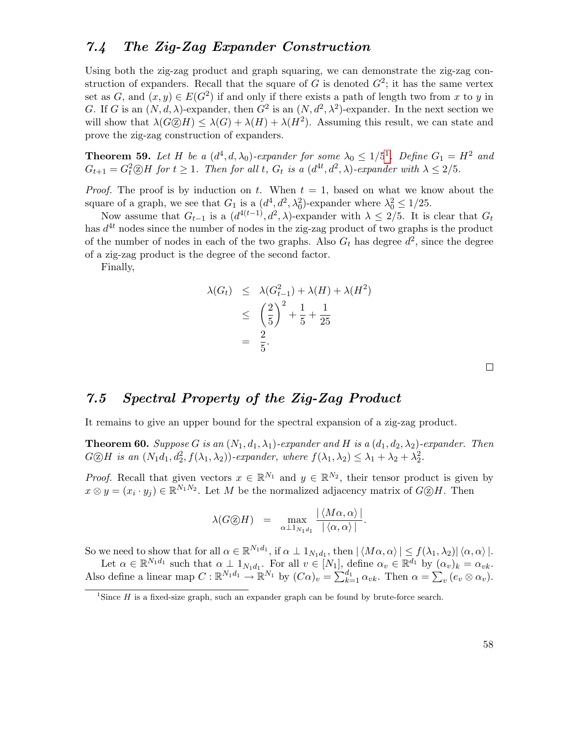#### <span id="page-57-0"></span>7.4 The Zig-Zag Expander Construction

Using both the zig-zag product and graph squaring, we can demonstrate the zig-zag construction of expanders. Recall that the square of G is denoted  $G^2$ ; it has the same vertex set as  $G$ , and  $(x, y) \in E(G^2)$  if and only if there exists a path of length two from x to y in G. If G is an  $(N, d, \lambda)$ -expander, then  $G^2$  is an  $(N, d^2, \lambda^2)$ -expander. In the next section we will show that  $\lambda(G \otimes H) \leq \lambda(G) + \lambda(H) + \lambda(H^2)$ . Assuming this result, we can state and prove the zig-zag construction of expanders.

**Theorem 59.** Let H be a  $(d^4, d, \lambda_0)$ -expander for some  $\lambda_0 \leq 1/5^1$  $\lambda_0 \leq 1/5^1$  $\lambda_0 \leq 1/5^1$ . Define  $G_1 = H^2$  and  $G_{t+1} = G_t^2 \otimes H$  for  $t \geq 1$ . Then for all t,  $G_t$  is a  $(d^{4t}, d^2, \lambda)$ -expander with  $\lambda \leq 2/5$ .

*Proof.* The proof is by induction on t. When  $t = 1$ , based on what we know about the square of a graph, we see that  $G_1$  is a  $(d^4, d^2, \lambda_0^2)$ -expander where  $\lambda_0^2 \leq 1/25$ .

Now assume that  $G_{t-1}$  is a  $(d^{4(t-1)}, d^2, \lambda)$ -expander with  $\lambda \leq 2/5$ . It is clear that  $G_t$ has  $d^{4t}$  nodes since the number of nodes in the zig-zag product of two graphs is the product of the number of nodes in each of the two graphs. Also  $G_t$  has degree  $d^2$ , since the degree of a zig-zag product is the degree of the second factor.

Finally,

$$
\lambda(G_t) \leq \lambda(G_{t-1}^2) + \lambda(H) + \lambda(H^2)
$$
  
\n
$$
\leq \left(\frac{2}{5}\right)^2 + \frac{1}{5} + \frac{1}{25}
$$
  
\n
$$
= \frac{2}{5}.
$$

 $\Box$ 

## <span id="page-57-1"></span>7.5 Spectral Property of the Zig-Zag Product

It remains to give an upper bound for the spectral expansion of a zig-zag product.

**Theorem 60.** Suppose G is an  $(N_1, d_1, \lambda_1)$ -expander and H is a  $(d_1, d_2, \lambda_2)$ -expander. Then  $G \otimes H$  is an  $(N_1d_1, d_2^2, f(\lambda_1, \lambda_2))$ -expander, where  $f(\lambda_1, \lambda_2) \leq \lambda_1 + \lambda_2 + \lambda_2^2$ .

*Proof.* Recall that given vectors  $x \in \mathbb{R}^{N_1}$  and  $y \in \mathbb{R}^{N_2}$ , their tensor product is given by  $x \otimes y = (x_i \cdot y_j) \in \mathbb{R}^{N_1 N_2}$ . Let M be the normalized adjacency matrix of  $G \otimes H$ . Then

$$
\lambda(G \circledS H) = \max_{\alpha \perp 1_{N_1 d_1}} \frac{|\langle M\alpha, \alpha \rangle|}{|\langle \alpha, \alpha \rangle|}.
$$

So we need to show that for all  $\alpha \in \mathbb{R}^{N_1d_1}$ , if  $\alpha \perp 1_{N_1d_1}$ , then  $|\langle M\alpha, \alpha \rangle| \leq f(\lambda_1, \lambda_2)|\langle \alpha, \alpha \rangle|$ .

Let  $\alpha \in \mathbb{R}^{N_1 d_1}$  such that  $\alpha \perp 1_{N_1 d_1}$ . For all  $v \in [N_1]$ , define  $\alpha_v \in \mathbb{R}^{d_1}$  by  $(\alpha_v)_k = \alpha_{vk}$ . Also define a linear map  $C: \mathbb{R}^{N_1 d_1} \to \mathbb{R}^{N_1}$  by  $(C\alpha)_v = \sum_{k=1}^{d_1} \alpha_{vk}$ . Then  $\alpha = \sum_v (e_v \otimes \alpha_v)$ .

<span id="page-57-2"></span><sup>&</sup>lt;sup>1</sup>Since  $H$  is a fixed-size graph, such an expander graph can be found by brute-force search.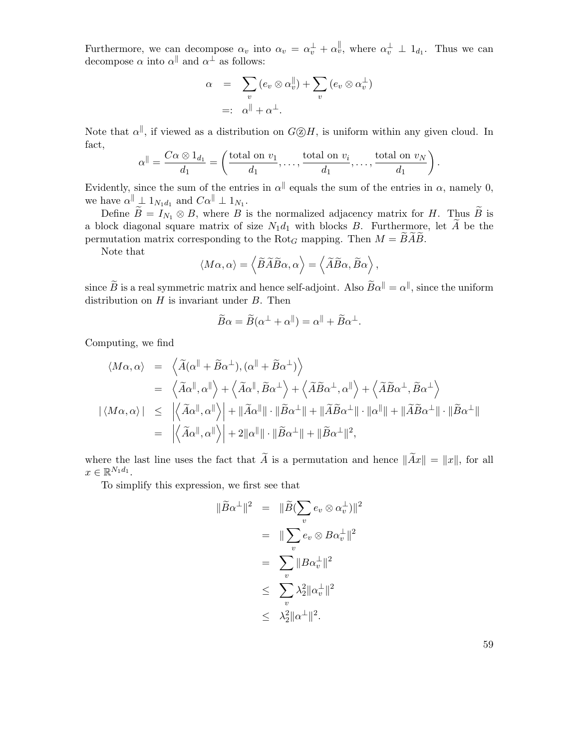Furthermore, we can decompose  $\alpha_v$  into  $\alpha_v = \alpha_v^{\perp} + \alpha_v^{\parallel}$ , where  $\alpha_v^{\perp} \perp 1_{d_1}$ . Thus we can decompose  $\alpha$  into  $\alpha^{\parallel}$  and  $\alpha^{\perp}$  as follows:

$$
\alpha = \sum_{v} (e_v \otimes \alpha_v^{\parallel}) + \sum_{v} (e_v \otimes \alpha_v^{\perp})
$$
  
=:  $\alpha^{\parallel} + \alpha^{\perp}$ .

Note that  $\alpha^{\parallel}$ , if viewed as a distribution on  $G \textcircled{2} H$ , is uniform within any given cloud. In fact,

$$
\alpha^{\parallel} = \frac{C\alpha \otimes 1_{d_1}}{d_1} = \left(\frac{\text{total on } v_1}{d_1}, \dots, \frac{\text{total on } v_i}{d_1}, \dots, \frac{\text{total on } v_N}{d_1}\right).
$$

Evidently, since the sum of the entries in  $\alpha^{\parallel}$  equals the sum of the entries in  $\alpha$ , namely 0, we have  $\alpha^{\parallel} \perp 1_{N_1d_1}$  and  $C\alpha^{\parallel} \perp 1_{N_1}$ .

Define  $\widetilde{B} = I_{N_1} \otimes B$ , where  $B$  is the normalized adjacency matrix for H. Thus  $\widetilde{B}$  is a block diagonal square matrix of size  $N_1d_1$  with blocks B. Furthermore, let  $\widetilde{A}$  be the permutation matrix corresponding to the Rot<sub>G</sub> mapping. Then  $M = \widetilde{BAB}$ .

Note that

$$
\langle M\alpha, \alpha \rangle = \langle \widetilde{B}\widetilde{A}\widetilde{B}\alpha, \alpha \rangle = \langle \widetilde{A}\widetilde{B}\alpha, \widetilde{B}\alpha \rangle,
$$

since  $\widetilde{B}$  is a real symmetric matrix and hence self-adjoint. Also  $\widetilde{B}\alpha^{||} = \alpha^{||}$ , since the uniform distribution on  $H$  is invariant under  $B$ . Then

$$
\widetilde{B}\alpha = \widetilde{B}(\alpha^{\perp} + \alpha^{\parallel}) = \alpha^{\parallel} + \widetilde{B}\alpha^{\perp}.
$$

Computing, we find

$$
\langle M\alpha, \alpha \rangle = \langle \widetilde{A}(\alpha^{\parallel} + \widetilde{B}\alpha^{\perp}), (\alpha^{\parallel} + \widetilde{B}\alpha^{\perp}) \rangle
$$
  
\n
$$
= \langle \widetilde{A}\alpha^{\parallel}, \alpha^{\parallel} \rangle + \langle \widetilde{A}\alpha^{\parallel}, \widetilde{B}\alpha^{\perp} \rangle + \langle \widetilde{A}\widetilde{B}\alpha^{\perp}, \alpha^{\parallel} \rangle + \langle \widetilde{A}\widetilde{B}\alpha^{\perp}, \widetilde{B}\alpha^{\perp} \rangle
$$
  
\n
$$
|\langle M\alpha, \alpha \rangle| \leq |\langle \widetilde{A}\alpha^{\parallel}, \alpha^{\parallel} \rangle| + ||\widetilde{A}\alpha^{\parallel}|| \cdot ||\widetilde{B}\alpha^{\perp}|| + ||\widetilde{A}\widetilde{B}\alpha^{\perp}|| \cdot ||\alpha^{\parallel}|| + ||\widetilde{A}\widetilde{B}\alpha^{\perp}|| \cdot ||\widetilde{B}\alpha^{\perp}||
$$
  
\n
$$
= |\langle \widetilde{A}\alpha^{\parallel}, \alpha^{\parallel} \rangle| + 2||\alpha^{\parallel}|| \cdot ||\widetilde{B}\alpha^{\perp}|| + ||\widetilde{B}\alpha^{\perp}||^2,
$$

where the last line uses the fact that  $\widetilde{A}$  is a permutation and hence  $\|\widetilde{A}x\| = \|x\|$ , for all  $x \in \mathbb{R}^{N_1 d_1}$ .

To simplify this expression, we first see that

$$
\|\widetilde{B}\alpha^{\perp}\|^2 = \|\widetilde{B}(\sum_{v} e_v \otimes \alpha_v^{\perp})\|^2
$$
  
= 
$$
\|\sum_{v} e_v \otimes B\alpha_v^{\perp}\|^2
$$
  
= 
$$
\sum_{v} \|B\alpha_v^{\perp}\|^2
$$
  

$$
\leq \sum_{v} \lambda_2^2 \|\alpha_v^{\perp}\|^2
$$
  

$$
\leq \lambda_2^2 \|\alpha^{\perp}\|^2.
$$

59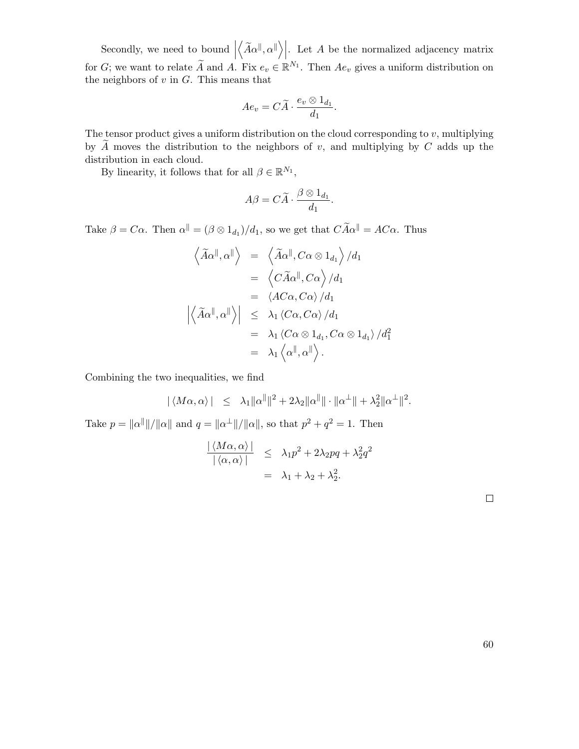Secondly, we need to bound  $\vert$  $\left\langle \widetilde{A}\alpha^{\parallel},\alpha^{\parallel}\right\rangle \right|$ . Let A be the normalized adjacency matrix for G; we want to relate  $\widetilde{A}$  and A. Fix  $e_v \in \mathbb{R}^{N_1}$ . Then  $Ae_v$  gives a uniform distribution on the neighbors of  $v$  in  $G$ . This means that

$$
Ae_v = C\widetilde{A} \cdot \frac{e_v \otimes 1_{d_1}}{d_1}.
$$

The tensor product gives a uniform distribution on the cloud corresponding to  $v$ , multiplying by  $\overline{A}$  moves the distribution to the neighbors of v, and multiplying by  $C$  adds up the distribution in each cloud.

By linearity, it follows that for all  $\beta \in \mathbb{R}^{N_1}$ ,

$$
A\beta = C\widetilde{A} \cdot \frac{\beta \otimes 1_{d_1}}{d_1}.
$$

Take  $\beta = C\alpha$ . Then  $\alpha^{\parallel} = (\beta \otimes 1_{d_1})/d_1$ , so we get that  $C\widetilde{A}\alpha^{\parallel} = AC\alpha$ . Thus

$$
\left\langle \widetilde{A}\alpha^{\parallel}, \alpha^{\parallel} \right\rangle = \left\langle \widetilde{A}\alpha^{\parallel}, C\alpha \otimes 1_{d_1} \right\rangle / d_1
$$
  
\n
$$
= \left\langle C\widetilde{A}\alpha^{\parallel}, C\alpha \right\rangle / d_1
$$
  
\n
$$
= \left\langle A C\alpha, C\alpha \right\rangle / d_1
$$
  
\n
$$
\left| \left\langle \widetilde{A}\alpha^{\parallel}, \alpha^{\parallel} \right\rangle \right| \leq \lambda_1 \left\langle C\alpha, C\alpha \right\rangle / d_1
$$
  
\n
$$
= \lambda_1 \left\langle C\alpha \otimes 1_{d_1}, C\alpha \otimes 1_{d_1} \right\rangle / d_1^2
$$
  
\n
$$
= \lambda_1 \left\langle \alpha^{\parallel}, \alpha^{\parallel} \right\rangle.
$$

Combining the two inequalities, we find

$$
|\langle M\alpha, \alpha \rangle| \leq \lambda_1 \|\alpha^{\parallel}\|^2 + 2\lambda_2 \|\alpha^{\parallel}\| \cdot \|\alpha^{\perp}\| + \lambda_2^2 \|\alpha^{\perp}\|^2.
$$

Take  $p = ||\alpha^{||}||/||\alpha||$  and  $q = ||\alpha^{+}||/||\alpha||$ , so that  $p^{2} + q^{2} = 1$ . Then

$$
\frac{|\langle M\alpha, \alpha \rangle|}{|\langle \alpha, \alpha \rangle|} \leq \lambda_1 p^2 + 2\lambda_2 pq + \lambda_2^2 q^2
$$
  
=  $\lambda_1 + \lambda_2 + \lambda_2^2$ .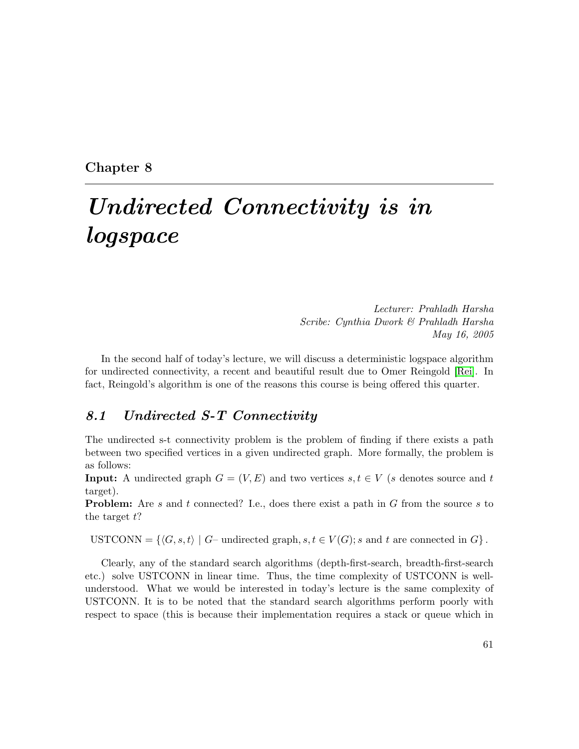Chapter 8

# Undirected Connectivity is in logspace

Lecturer: Prahladh Harsha Scribe: Cynthia Dwork & Prahladh Harsha May 16, 2005

In the second half of today's lecture, we will discuss a deterministic logspace algorithm for undirected connectivity, a recent and beautiful result due to Omer Reingold [\[Rei\]](#page-80-3). In fact, Reingold's algorithm is one of the reasons this course is being offered this quarter.

#### 8.1 Undirected S-T Connectivity

The undirected s-t connectivity problem is the problem of finding if there exists a path between two specified vertices in a given undirected graph. More formally, the problem is as follows:

**Input:** A undirected graph  $G = (V, E)$  and two vertices  $s, t \in V$  (s denotes source and t target).

**Problem:** Are s and t connected? I.e., does there exist a path in G from the source s to the target  $t$ ?

USTCONN =  $\{\langle G, s, t \rangle \mid G$ – undirected graph,  $s, t \in V(G); s$  and t are connected in  $G\}$ .

Clearly, any of the standard search algorithms (depth-first-search, breadth-first-search etc.) solve USTCONN in linear time. Thus, the time complexity of USTCONN is wellunderstood. What we would be interested in today's lecture is the same complexity of USTCONN. It is to be noted that the standard search algorithms perform poorly with respect to space (this is because their implementation requires a stack or queue which in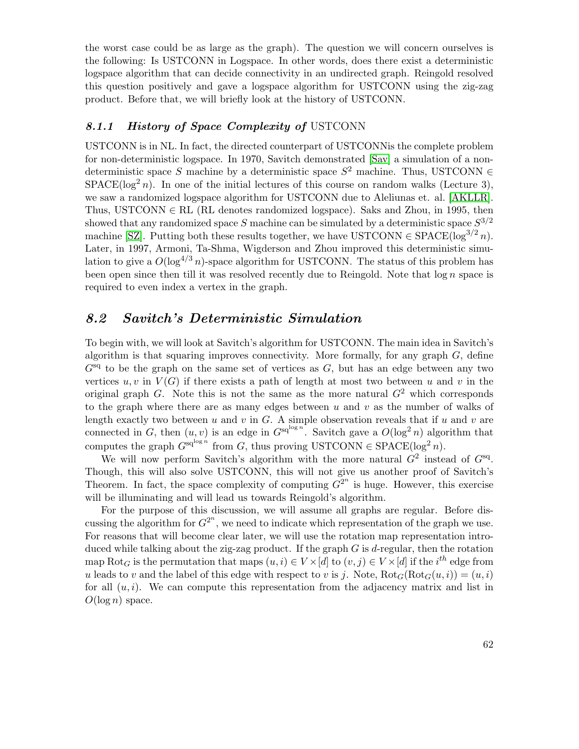the worst case could be as large as the graph). The question we will concern ourselves is the following: Is USTCONN in Logspace. In other words, does there exist a deterministic logspace algorithm that can decide connectivity in an undirected graph. Reingold resolved this question positively and gave a logspace algorithm for USTCONN using the zig-zag product. Before that, we will briefly look at the history of USTCONN.

#### 8.1.1 History of Space Complexity of USTCONN

USTCONN is in NL. In fact, the directed counterpart of USTCONNis the complete problem for non-deterministic logspace. In 1970, Savitch demonstrated [\[Sav\]](#page-81-4) a simulation of a nondeterministic space S machine by a deterministic space  $S^2$  machine. Thus, USTCONN  $\in$  $SPACE(log<sup>2</sup> n)$ . In one of the initial lectures of this course on random walks (Lecture 3), we saw a randomized logspace algorithm for USTCONN due to Aleliunas et. al. [\[AKLLR\]](#page-78-2). Thus, USTCONN  $\in$  RL (RL denotes randomized logspace). Saks and Zhou, in 1995, then showed that any randomized space S machine can be simulated by a deterministic space  $S^{3/2}$ machine [\[SZ\]](#page-81-5). Putting both these results together, we have USTCONN  $\in$  SPACE(log<sup>3/2</sup> n). Later, in 1997, Armoni, Ta-Shma, Wigderson and Zhou improved this deterministic simulation to give a  $O(\log^{4/3} n)$ -space algorithm for USTCONN. The status of this problem has been open since then till it was resolved recently due to Reingold. Note that  $\log n$  space is required to even index a vertex in the graph.

#### 8.2 Savitch's Deterministic Simulation

To begin with, we will look at Savitch's algorithm for USTCONN. The main idea in Savitch's algorithm is that squaring improves connectivity. More formally, for any graph  $G$ , define  $G<sup>sq</sup>$  to be the graph on the same set of vertices as  $G$ , but has an edge between any two vertices  $u, v$  in  $V(G)$  if there exists a path of length at most two between u and v in the original graph G. Note this is not the same as the more natural  $G<sup>2</sup>$  which corresponds to the graph where there are as many edges between  $u$  and  $v$  as the number of walks of length exactly two between  $u$  and  $v$  in  $G$ . A simple observation reveals that if  $u$  and  $v$  are connected in G, then  $(u, v)$  is an edge in  $G^{sq^{\log n}}$ . Savitch gave a  $O(\log^2 n)$  algorithm that computes the graph  $G^{\mathrm{sq}^{\log n}}$  from G, thus proving USTCONN  $\in$  SPACE(log<sup>2</sup> n).

We will now perform Savitch's algorithm with the more natural  $G^2$  instead of  $G^{\text{sq}}$ . Though, this will also solve USTCONN, this will not give us another proof of Savitch's Theorem. In fact, the space complexity of computing  $G^{2^n}$  is huge. However, this exercise will be illuminating and will lead us towards Reingold's algorithm.

For the purpose of this discussion, we will assume all graphs are regular. Before discussing the algorithm for  $G^{2^n}$ , we need to indicate which representation of the graph we use. For reasons that will become clear later, we will use the rotation map representation introduced while talking about the zig-zag product. If the graph  $G$  is d-regular, then the rotation map  $\text{Rot}_G$  is the permutation that maps  $(u, i) \in V \times [d]$  to  $(v, j) \in V \times [d]$  if the  $i^{th}$  edge from u leads to v and the label of this edge with respect to v is j. Note,  $Rot_G(Rot_G(u, i)) = (u, i)$ for all  $(u, i)$ . We can compute this representation from the adjacency matrix and list in  $O(\log n)$  space.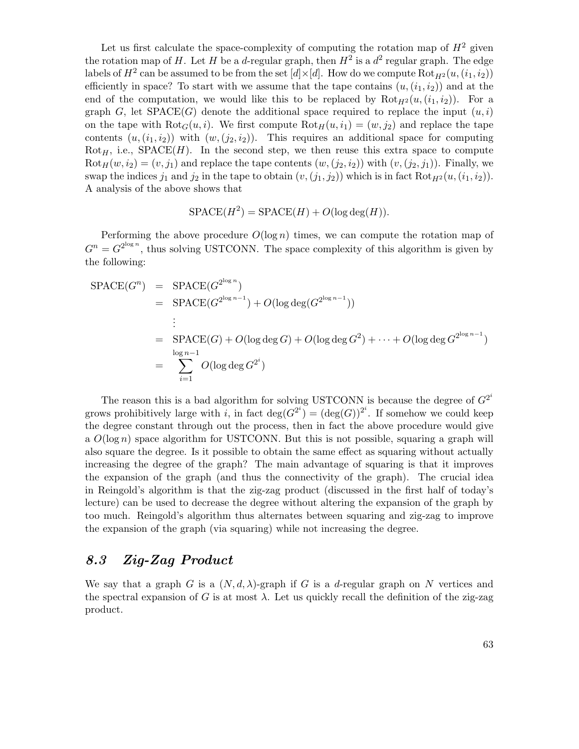Let us first calculate the space-complexity of computing the rotation map of  $H^2$  given the rotation map of H. Let H be a d-regular graph, then  $H^2$  is a  $d^2$  regular graph. The edge labels of  $H^2$  can be assumed to be from the set  $[d] \times [d]$ . How do we compute  $\mathrm{Rot}_{H^2}(u,(i_1,i_2))$ efficiently in space? To start with we assume that the tape contains  $(u,(i_1,i_2))$  and at the end of the computation, we would like this to be replaced by  $Rot_{H^2}(u,(i_1,i_2))$ . For a graph G, let  $SPACE(G)$  denote the additional space required to replace the input  $(u, i)$ on the tape with  $\text{Rot}_{G}(u, i)$ . We first compute  $\text{Rot}_{H}(u, i_{1}) = (w, j_{2})$  and replace the tape contents  $(u, (i_1, i_2))$  with  $(w, (j_2, i_2))$ . This requires an additional space for computing  $Rot<sub>H</sub>$ , i.e.,  $SPACE(H)$ . In the second step, we then reuse this extra space to compute  $Rot_H(w, i_2) = (v, j_1)$  and replace the tape contents  $(w, (j_2, i_2))$  with  $(v, (j_2, j_1))$ . Finally, we swap the indices  $j_1$  and  $j_2$  in the tape to obtain  $(v,(j_1, j_2))$  which is in fact  $Rot_{H^2}(u,(i_1, i_2))$ . A analysis of the above shows that

$$
SPACE(H2) = SPACE(H) + O(log deg(H)).
$$

Performing the above procedure  $O(\log n)$  times, we can compute the rotation map of  $G^n = G^{2^{\log n}}$ , thus solving USTCONN. The space complexity of this algorithm is given by the following:

$$
SPACE(G^n) = SPACE(G^{2^{\log n}})
$$
  
= SPACE(G^{2^{\log n-1}}) + O(log deg(G^{2^{\log n-1}}))  
:  
= SPACE(G) + O(log deg G) + O(log deg G<sup>2</sup>) + \cdots + O(log deg G^{2^{\log n-1}})  
= 
$$
\sum_{i=1}^{\log n-1} O(\log \deg G^{2^i})
$$

The reason this is a bad algorithm for solving USTCONN is because the degree of  $G^{2^i}$ grows prohibitively large with i, in fact  $deg(G^{2^i}) = (deg(G))^{2^i}$ . If somehow we could keep the degree constant through out the process, then in fact the above procedure would give a  $O(\log n)$  space algorithm for USTCONN. But this is not possible, squaring a graph will also square the degree. Is it possible to obtain the same effect as squaring without actually increasing the degree of the graph? The main advantage of squaring is that it improves the expansion of the graph (and thus the connectivity of the graph). The crucial idea in Reingold's algorithm is that the zig-zag product (discussed in the first half of today's lecture) can be used to decrease the degree without altering the expansion of the graph by too much. Reingold's algorithm thus alternates between squaring and zig-zag to improve the expansion of the graph (via squaring) while not increasing the degree.

#### 8.3 Zig-Zag Product

We say that a graph G is a  $(N, d, \lambda)$ -graph if G is a d-regular graph on N vertices and the spectral expansion of G is at most  $\lambda$ . Let us quickly recall the definition of the zig-zag product.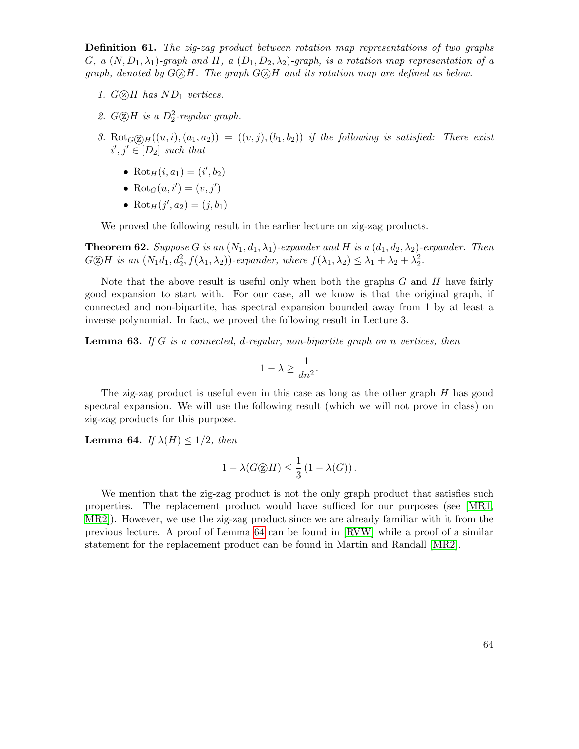Definition 61. The zig-zag product between rotation map representations of two graphs G, a  $(N, D_1, \lambda_1)$ -graph and H, a  $(D_1, D_2, \lambda_2)$ -graph, is a rotation map representation of a graph, denoted by  $G \odot H$ . The graph  $G \odot H$  and its rotation map are defined as below.

- 1.  $G(\overline{z})$ H has  $ND_1$  vertices.
- 2.  $G \textcircled{2} H$  is a  $D_2^2$ -regular graph.
- 3. Rot $_G(\overline{z})_H((u, i), (a_1, a_2)) = ((v, j), (b_1, b_2))$  if the following is satisfied: There exist  $i', j' \in [D_2]$  such that
	- Rot<sub>H</sub> $(i, a_1) = (i', b_2)$
	- Rot $_G(u, i') = (v, j')$
	- Rot<sub>H</sub> $(j', a_2) = (j, b_1)$

We proved the following result in the earlier lecture on zig-zag products.

**Theorem 62.** Suppose G is an  $(N_1, d_1, \lambda_1)$ -expander and H is a  $(d_1, d_2, \lambda_2)$ -expander. Then  $G \otimes H$  is an  $(N_1d_1, d_2^2, f(\lambda_1, \lambda_2))$ -expander, where  $f(\lambda_1, \lambda_2) \leq \lambda_1 + \lambda_2 + \lambda_2^2$ .

Note that the above result is useful only when both the graphs  $G$  and  $H$  have fairly good expansion to start with. For our case, all we know is that the original graph, if connected and non-bipartite, has spectral expansion bounded away from 1 by at least a inverse polynomial. In fact, we proved the following result in Lecture 3.

<span id="page-63-1"></span>**Lemma 63.** If G is a connected, d-regular, non-bipartite graph on n vertices, then

$$
1 - \lambda \ge \frac{1}{dn^2}.
$$

The zig-zag product is useful even in this case as long as the other graph H has good spectral expansion. We will use the following result (which we will not prove in class) on zig-zag products for this purpose.

<span id="page-63-0"></span>**Lemma 64.** If  $\lambda(H) \leq 1/2$ , then

$$
1 - \lambda(G \textcircled{2} H) \le \frac{1}{3} (1 - \lambda(G)).
$$

We mention that the zig-zag product is not the only graph product that satisfies such properties. The replacement product would have sufficed for our purposes (see [\[MR1,](#page-80-4) [MR2\]](#page-80-5)). However, we use the zig-zag product since we are already familiar with it from the previous lecture. A proof of Lemma [64](#page-63-0) can be found in [\[RVW\]](#page-80-2) while a proof of a similar statement for the replacement product can be found in Martin and Randall [\[MR2\]](#page-80-5).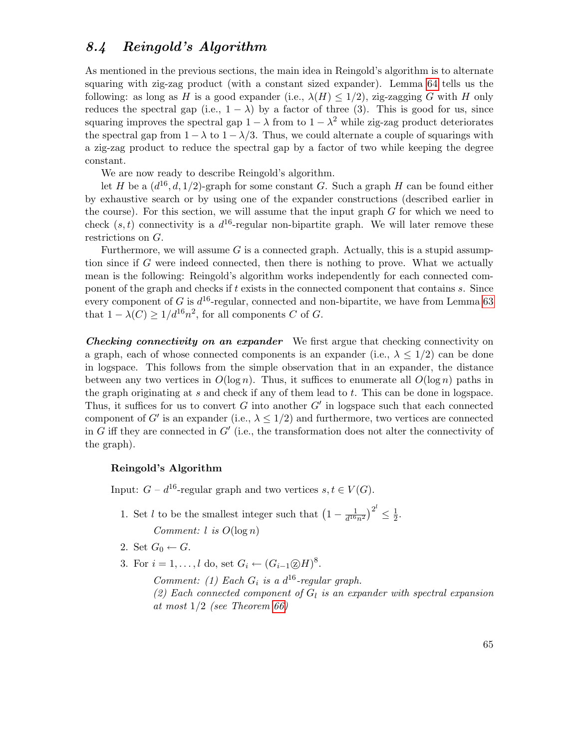### 8.4 Reingold's Algorithm

As mentioned in the previous sections, the main idea in Reingold's algorithm is to alternate squaring with zig-zag product (with a constant sized expander). Lemma [64](#page-63-0) tells us the following: as long as H is a good expander (i.e.,  $\lambda(H) \leq 1/2$ ), zig-zagging G with H only reduces the spectral gap (i.e.,  $1 - \lambda$ ) by a factor of three (3). This is good for us, since squaring improves the spectral gap  $1 - \lambda$  from to  $1 - \lambda^2$  while zig-zag product deteriorates the spectral gap from  $1 - \lambda$  to  $1 - \lambda/3$ . Thus, we could alternate a couple of squarings with a zig-zag product to reduce the spectral gap by a factor of two while keeping the degree constant.

We are now ready to describe Reingold's algorithm.

let H be a  $(d^{16}, d, 1/2)$ -graph for some constant G. Such a graph H can be found either by exhaustive search or by using one of the expander constructions (described earlier in the course). For this section, we will assume that the input graph  $G$  for which we need to check  $(s, t)$  connectivity is a  $d^{16}$ -regular non-bipartite graph. We will later remove these restrictions on G.

Furthermore, we will assume  $G$  is a connected graph. Actually, this is a stupid assumption since if G were indeed connected, then there is nothing to prove. What we actually mean is the following: Reingold's algorithm works independently for each connected component of the graph and checks if t exists in the connected component that contains s. Since every component of G is  $d^{16}$ -regular, connected and non-bipartite, we have from Lemma [63](#page-63-1) that  $1 - \lambda(C) \geq 1/d^{16} n^2$ , for all components C of G.

Checking connectivity on an expander We first argue that checking connectivity on a graph, each of whose connected components is an expander (i.e.,  $\lambda \leq 1/2$ ) can be done in logspace. This follows from the simple observation that in an expander, the distance between any two vertices in  $O(\log n)$ . Thus, it suffices to enumerate all  $O(\log n)$  paths in the graph originating at  $s$  and check if any of them lead to  $t$ . This can be done in logspace. Thus, it suffices for us to convert  $G$  into another  $G'$  in logspace such that each connected component of G' is an expander (i.e.,  $\lambda \leq 1/2$ ) and furthermore, two vertices are connected in G iff they are connected in  $G'$  (i.e., the transformation does not alter the connectivity of the graph).

#### Reingold's Algorithm

Input:  $G - d^{16}$ -regular graph and two vertices  $s, t \in V(G)$ .

- 1. Set l to be the smallest integer such that  $\left(1 \frac{1}{d^{16}}\right)$  $\frac{1}{d^{16}n^2}\big)^{2^l}\leq \frac{1}{2}$  $rac{1}{2}$ . Comment:  $l$  is  $O(\log n)$
- 2. Set  $G_0 \leftarrow G$ .
- 3. For  $i = 1, \ldots, l$  do, set  $G_i \leftarrow (G_{i-1} \textcircled{2} H)^8$ .

Comment: (1) Each  $G_i$  is a  $d^{16}$ -regular graph.

(2) Each connected component of  $G_l$  is an expander with spectral expansion at most 1/2 (see Theorem [66\)](#page-65-0)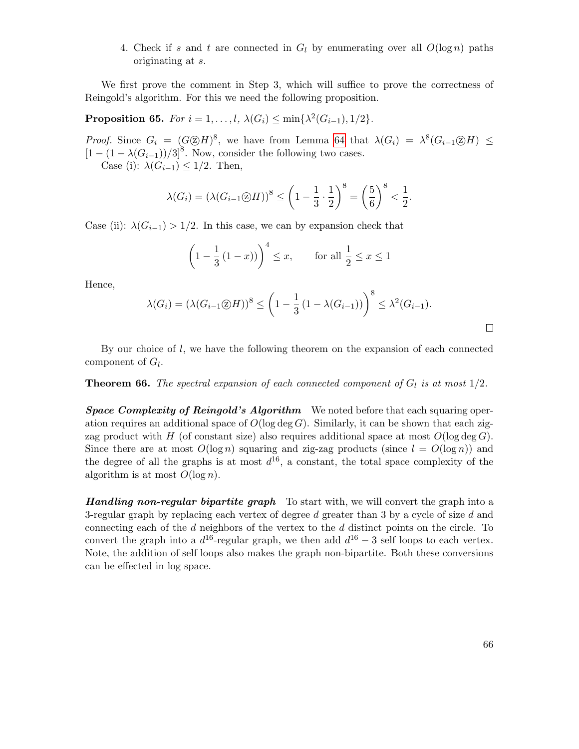4. Check if s and t are connected in  $G_l$  by enumerating over all  $O(\log n)$  paths originating at s.

We first prove the comment in Step 3, which will suffice to prove the correctness of Reingold's algorithm. For this we need the following proposition.

Proposition 65. For  $i = 1, ..., l$ ,  $\lambda(G_i) \le \min\{\lambda^2(G_{i-1}), 1/2\}$ .

*Proof.* Since  $G_i = (G \otimes H)^8$ , we have from Lemma [64](#page-63-0) that  $\lambda(G_i) = \lambda^8(G_{i-1} \otimes H) \le$  $[1 - (1 - \lambda(G_{i-1}))/3]^8$ . Now, consider the following two cases.

Case (i):  $\lambda(G_{i-1}) \leq 1/2$ . Then,

$$
\lambda(G_i) = \left(\lambda(G_{i-1}\textcircled{2}H)\right)^8 \le \left(1 - \frac{1}{3} \cdot \frac{1}{2}\right)^8 = \left(\frac{5}{6}\right)^8 < \frac{1}{2}.
$$

Case (ii):  $\lambda(G_{i-1}) > 1/2$ . In this case, we can by expansion check that

$$
\left(1 - \frac{1}{3}(1 - x)\right)^4 \le x
$$
, for all  $\frac{1}{2} \le x \le 1$ 

Hence,

$$
\lambda(G_i) = \left(\lambda(G_{i-1}\otimes H)\right)^8 \le \left(1 - \frac{1}{3}\left(1 - \lambda(G_{i-1})\right)\right)^8 \le \lambda^2(G_{i-1}).
$$

By our choice of  $l$ , we have the following theorem on the expansion of each connected component of  $G_l$ .

<span id="page-65-0"></span>**Theorem 66.** The spectral expansion of each connected component of  $G_l$  is at most  $1/2$ .

**Space Complexity of Reingold's Algorithm** We noted before that each squaring operation requires an additional space of  $O(\log \deg G)$ . Similarly, it can be shown that each zigzag product with H (of constant size) also requires additional space at most  $O(\log \deg G)$ . Since there are at most  $O(\log n)$  squaring and zig-zag products (since  $l = O(\log n)$ ) and the degree of all the graphs is at most  $d^{16}$ , a constant, the total space complexity of the algorithm is at most  $O(\log n)$ .

**Handling non-regular bipartite graph** To start with, we will convert the graph into a 3-regular graph by replacing each vertex of degree  $d$  greater than 3 by a cycle of size  $d$  and connecting each of the  $d$  neighbors of the vertex to the  $d$  distinct points on the circle. To convert the graph into a  $d^{16}$ -regular graph, we then add  $d^{16} - 3$  self loops to each vertex. Note, the addition of self loops also makes the graph non-bipartite. Both these conversions can be effected in log space.

 $\Box$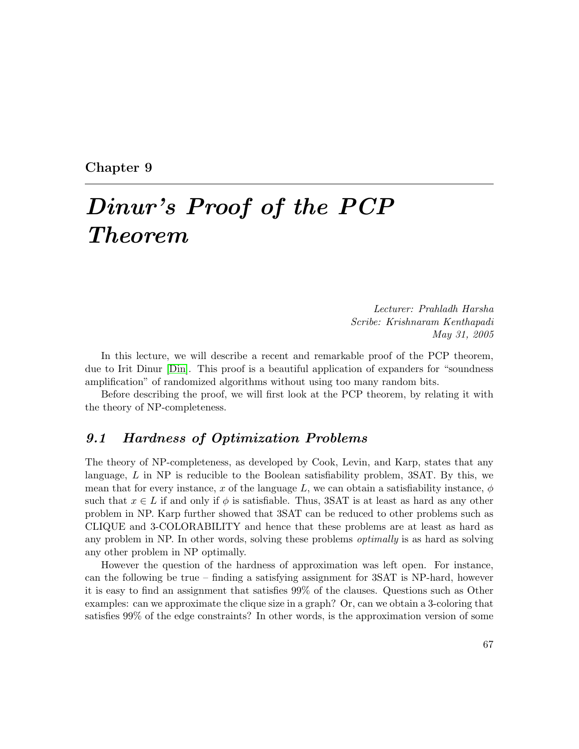Chapter 9

## Dinur's Proof of the PCP Theorem

Lecturer: Prahladh Harsha Scribe: Krishnaram Kenthapadi May 31, 2005

In this lecture, we will describe a recent and remarkable proof of the PCP theorem, due to Irit Dinur [\[Din\]](#page-79-5). This proof is a beautiful application of expanders for "soundness amplification" of randomized algorithms without using too many random bits.

Before describing the proof, we will first look at the PCP theorem, by relating it with the theory of NP-completeness.

#### 9.1 Hardness of Optimization Problems

The theory of NP-completeness, as developed by Cook, Levin, and Karp, states that any language,  $L$  in NP is reducible to the Boolean satisfiability problem,  $3SAT$ . By this, we mean that for every instance, x of the language L, we can obtain a satisfiability instance,  $\phi$ such that  $x \in L$  if and only if  $\phi$  is satisfiable. Thus, 3SAT is at least as hard as any other problem in NP. Karp further showed that 3SAT can be reduced to other problems such as CLIQUE and 3-COLORABILITY and hence that these problems are at least as hard as any problem in NP. In other words, solving these problems *optimally* is as hard as solving any other problem in NP optimally.

However the question of the hardness of approximation was left open. For instance, can the following be true – finding a satisfying assignment for  $3SAT$  is NP-hard, however it is easy to find an assignment that satisfies 99% of the clauses. Questions such as Other examples: can we approximate the clique size in a graph? Or, can we obtain a 3-coloring that satisfies 99% of the edge constraints? In other words, is the approximation version of some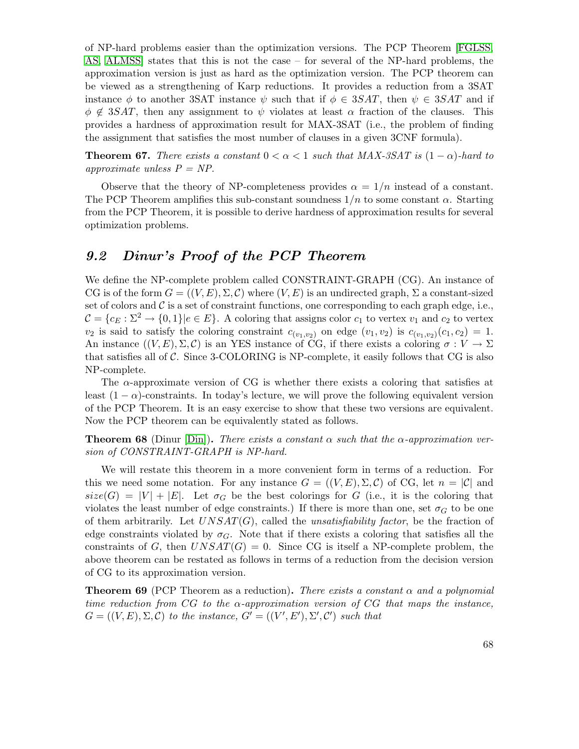of NP-hard problems easier than the optimization versions. The PCP Theorem [\[FGLSS,](#page-79-6) [AS,](#page-78-3) [ALMSS\]](#page-78-4) states that this is not the case – for several of the NP-hard problems, the approximation version is just as hard as the optimization version. The PCP theorem can be viewed as a strengthening of Karp reductions. It provides a reduction from a 3SAT instance  $\phi$  to another 3SAT instance  $\psi$  such that if  $\phi \in 3SAT$ , then  $\psi \in 3SAT$  and if  $\phi \notin 3SAT$ , then any assignment to  $\psi$  violates at least  $\alpha$  fraction of the clauses. This provides a hardness of approximation result for MAX-3SAT (i.e., the problem of finding the assignment that satisfies the most number of clauses in a given 3CNF formula).

**Theorem 67.** There exists a constant  $0 < \alpha < 1$  such that MAX-3SAT is  $(1 - \alpha)$ -hard to approximate unless  $P = NP$ .

Observe that the theory of NP-completeness provides  $\alpha = 1/n$  instead of a constant. The PCP Theorem amplifies this sub-constant soundness  $1/n$  to some constant  $\alpha$ . Starting from the PCP Theorem, it is possible to derive hardness of approximation results for several optimization problems.

### 9.2 Dinur's Proof of the PCP Theorem

We define the NP-complete problem called CONSTRAINT-GRAPH (CG). An instance of CG is of the form  $G = ((V, E), \Sigma, \mathcal{C})$  where  $(V, E)$  is an undirected graph,  $\Sigma$  a constant-sized set of colors and  $\mathcal C$  is a set of constraint functions, one corresponding to each graph edge, i.e.,  $\mathcal{C} = \{c_E : \Sigma^2 \to \{0,1\} | e \in E\}$ . A coloring that assigns color  $c_1$  to vertex  $v_1$  and  $c_2$  to vertex  $v_2$  is said to satisfy the coloring constraint  $c_{(v_1,v_2)}$  on edge  $(v_1, v_2)$  is  $c_{(v_1, v_2)}(c_1, c_2) = 1$ . An instance  $((V, E), \Sigma, \mathcal{C})$  is an YES instance of CG, if there exists a coloring  $\sigma : V \to \Sigma$ that satisfies all of  $\mathcal C$ . Since 3-COLORING is NP-complete, it easily follows that CG is also NP-complete.

The  $\alpha$ -approximate version of CG is whether there exists a coloring that satisfies at least  $(1 - \alpha)$ -constraints. In today's lecture, we will prove the following equivalent version of the PCP Theorem. It is an easy exercise to show that these two versions are equivalent. Now the PCP theorem can be equivalently stated as follows.

**Theorem 68** (Dinur [\[Din\]](#page-79-5)). There exists a constant  $\alpha$  such that the  $\alpha$ -approximation version of CONSTRAINT-GRAPH is NP-hard.

We will restate this theorem in a more convenient form in terms of a reduction. For this we need some notation. For any instance  $G = ((V, E), \Sigma, \mathcal{C})$  of CG, let  $n = |\mathcal{C}|$  and  $size(G) = |V| + |E|$ . Let  $\sigma_G$  be the best colorings for G (i.e., it is the coloring that violates the least number of edge constraints.) If there is more than one, set  $\sigma_G$  to be one of them arbitrarily. Let  $UNSAT(G)$ , called the *unsatisfiability factor*, be the fraction of edge constraints violated by  $\sigma_G$ . Note that if there exists a coloring that satisfies all the constraints of G, then  $UNSAT(G) = 0$ . Since CG is itself a NP-complete problem, the above theorem can be restated as follows in terms of a reduction from the decision version of CG to its approximation version.

<span id="page-67-0"></span>**Theorem 69** (PCP Theorem as a reduction). There exists a constant  $\alpha$  and a polynomial time reduction from CG to the  $\alpha$ -approximation version of CG that maps the instance,  $G = ((V, E), \Sigma, \mathcal{C})$  to the instance,  $G' = ((V', E'), \Sigma', \mathcal{C}')$  such that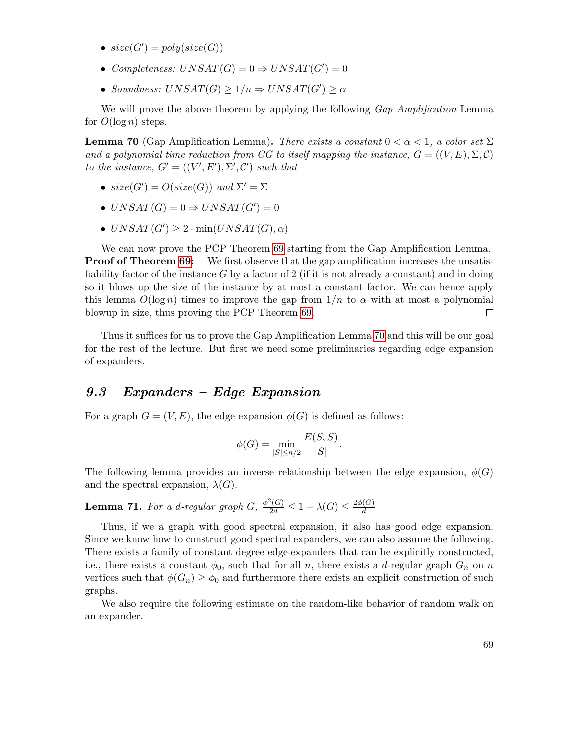- $size(G') = poly(size(G))$
- Completeness:  $UNSAT(G) = 0 \Rightarrow UNSAT(G') = 0$
- Soundness:  $UNSAT(G) \geq 1/n \Rightarrow UNSAT(G') \geq \alpha$

We will prove the above theorem by applying the following Gap Amplification Lemma for  $O(\log n)$  steps.

<span id="page-68-0"></span>**Lemma 70** (Gap Amplification Lemma). There exists a constant  $0 < \alpha < 1$ , a color set  $\Sigma$ and a polynomial time reduction from CG to itself mapping the instance,  $G = ((V, E), \Sigma, \mathcal{C})$ to the instance,  $G' = ((V', E'), \Sigma', C')$  such that

- $size(G') = O(size(G))$  and  $\Sigma' = \Sigma$
- $UNSAT(G) = 0 \Rightarrow UNSAT(G') = 0$
- $UNSAT(G') \geq 2 \cdot min(UNSAT(G), \alpha)$

We can now prove the PCP Theorem [69](#page-67-0) starting from the Gap Amplification Lemma. **Proof of Theorem [69:](#page-67-0)** We first observe that the gap amplification increases the unsatisfiability factor of the instance  $G$  by a factor of 2 (if it is not already a constant) and in doing so it blows up the size of the instance by at most a constant factor. We can hence apply this lemma  $O(\log n)$  times to improve the gap from  $1/n$  to  $\alpha$  with at most a polynomial blowup in size, thus proving the PCP Theorem [69.](#page-67-0)  $\Box$ 

Thus it suffices for us to prove the Gap Amplification Lemma [70](#page-68-0) and this will be our goal for the rest of the lecture. But first we need some preliminaries regarding edge expansion of expanders.

#### 9.3 Expanders – Edge Expansion

For a graph  $G = (V, E)$ , the edge expansion  $\phi(G)$  is defined as follows:

$$
\phi(G) = \min_{|S| \le n/2} \frac{E(S, S)}{|S|}.
$$

The following lemma provides an inverse relationship between the edge expansion,  $\phi(G)$ and the spectral expansion,  $\lambda(G)$ .

<span id="page-68-1"></span>**Lemma 71.** For a d-regular graph  $G$ ,  $\frac{\phi^2(G)}{2d} \leq 1 - \lambda(G) \leq \frac{2\phi(G)}{d}$ d

Thus, if we a graph with good spectral expansion, it also has good edge expansion. Since we know how to construct good spectral expanders, we can also assume the following. There exists a family of constant degree edge-expanders that can be explicitly constructed, i.e., there exists a constant  $\phi_0$ , such that for all n, there exists a d-regular graph  $G_n$  on n vertices such that  $\phi(G_n) \ge \phi_0$  and furthermore there exists an explicit construction of such graphs.

We also require the following estimate on the random-like behavior of random walk on an expander.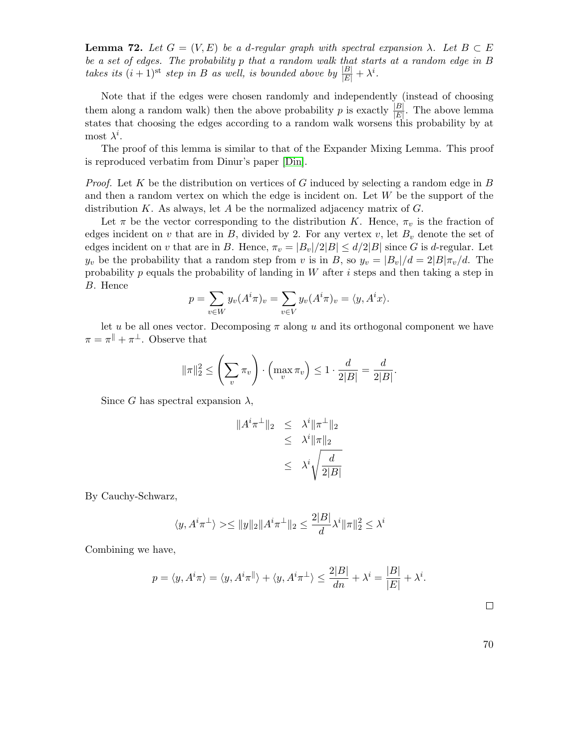**Lemma 72.** Let  $G = (V, E)$  be a d-regular graph with spectral expansion  $\lambda$ . Let  $B \subset E$ be a set of edges. The probability p that a random walk that starts at a random edge in B takes its  $(i + 1)$ <sup>st</sup> step in B as well, is bounded above by  $\frac{|B|}{|E|} + \lambda^i$ .

Note that if the edges were chosen randomly and independently (instead of choosing them along a random walk) then the above probability p is exactly  $\frac{|B|}{|E|}$ . The above lemma states that choosing the edges according to a random walk worsens this probability by at most  $\lambda^i$ .

The proof of this lemma is similar to that of the Expander Mixing Lemma. This proof is reproduced verbatim from Dinur's paper [\[Din\]](#page-79-5).

*Proof.* Let K be the distribution on vertices of G induced by selecting a random edge in B and then a random vertex on which the edge is incident on. Let W be the support of the distribution K. As always, let A be the normalized adjacency matrix of  $G$ .

Let  $\pi$  be the vector corresponding to the distribution K. Hence,  $\pi_v$  is the fraction of edges incident on v that are in  $B$ , divided by 2. For any vertex v, let  $B<sub>v</sub>$  denote the set of edges incident on v that are in B. Hence,  $\pi_v = |B_v|/2|B| \le d/2|B|$  since G is d-regular. Let  $y_v$  be the probability that a random step from v is in B, so  $y_v = |B_v|/d = 2|B|\pi_v/d$ . The probability p equals the probability of landing in  $W$  after i steps and then taking a step in B. Hence

$$
p = \sum_{v \in W} y_v(A^i \pi)_v = \sum_{v \in V} y_v(A^i \pi)_v = \langle y, A^i x \rangle.
$$

let u be all ones vector. Decomposing  $\pi$  along u and its orthogonal component we have  $\pi = \pi^{\parallel} + \pi^{\perp}$ . Observe that

$$
\|\pi\|_2^2 \le \left(\sum_v \pi_v\right) \cdot \left(\max_v \pi_v\right) \le 1 \cdot \frac{d}{2|B|} = \frac{d}{2|B|}
$$

.

Since G has spectral expansion  $\lambda$ ,

$$
||Ai \pi\perp||_2 \leq \lambdai ||\pi\perp||_2
$$
  
\n
$$
\leq \lambdai ||\pi||_2
$$
  
\n
$$
\leq \lambdai \sqrt{\frac{d}{2|B|}}
$$

By Cauchy-Schwarz,

$$
\langle y, A^i \pi^\perp \rangle \ge \|\|y\|_2 \|A^i \pi^\perp\|_2 \le \frac{2|B|}{d} \lambda^i \|\pi\|_2^2 \le \lambda^i
$$

Combining we have,

$$
p = \langle y, A^i \pi \rangle = \langle y, A^i \pi \mathbb{I} \rangle + \langle y, A^i \pi \mathbb{I} \rangle \le \frac{2|B|}{dn} + \lambda^i = \frac{|B|}{|E|} + \lambda^i.
$$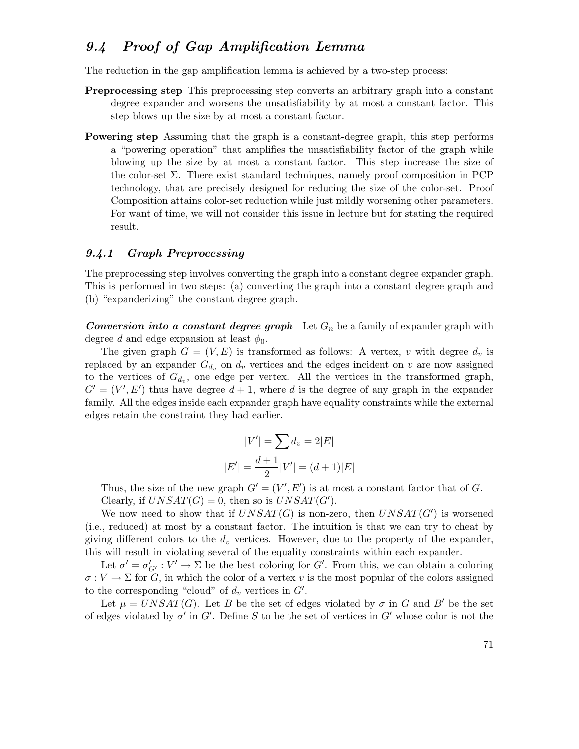## 9.4 Proof of Gap Amplification Lemma

The reduction in the gap amplification lemma is achieved by a two-step process:

- Preprocessing step This preprocessing step converts an arbitrary graph into a constant degree expander and worsens the unsatisfiability by at most a constant factor. This step blows up the size by at most a constant factor.
- Powering step Assuming that the graph is a constant-degree graph, this step performs a "powering operation" that amplifies the unsatisfiability factor of the graph while blowing up the size by at most a constant factor. This step increase the size of the color-set  $\Sigma$ . There exist standard techniques, namely proof composition in PCP technology, that are precisely designed for reducing the size of the color-set. Proof Composition attains color-set reduction while just mildly worsening other parameters. For want of time, we will not consider this issue in lecture but for stating the required result.

#### 9.4.1 Graph Preprocessing

The preprocessing step involves converting the graph into a constant degree expander graph. This is performed in two steps: (a) converting the graph into a constant degree graph and (b) "expanderizing" the constant degree graph.

**Conversion into a constant degree graph** Let  $G_n$  be a family of expander graph with degree d and edge expansion at least  $\phi_0$ .

The given graph  $G = (V, E)$  is transformed as follows: A vertex, v with degree  $d_v$  is replaced by an expander  $G_{d_v}$  on  $d_v$  vertices and the edges incident on v are now assigned to the vertices of  $G_{d_v}$ , one edge per vertex. All the vertices in the transformed graph,  $G' = (V', E')$  thus have degree  $d + 1$ , where d is the degree of any graph in the expander family. All the edges inside each expander graph have equality constraints while the external edges retain the constraint they had earlier.

$$
|V'| = \sum d_v = 2|E|
$$
  

$$
|E'| = \frac{d+1}{2}|V'| = (d+1)|E|
$$

Thus, the size of the new graph  $G' = (V', E')$  is at most a constant factor that of G. Clearly, if  $UNSAT(G) = 0$ , then so is  $UNSAT(G')$ .

We now need to show that if  $UNSAT(G)$  is non-zero, then  $UNSAT(G')$  is worsened (i.e., reduced) at most by a constant factor. The intuition is that we can try to cheat by giving different colors to the  $d_v$  vertices. However, due to the property of the expander, this will result in violating several of the equality constraints within each expander.

Let  $\sigma' = \sigma'_{G'} : V' \to \Sigma$  be the best coloring for G'. From this, we can obtain a coloring  $\sigma: V \to \Sigma$  for G, in which the color of a vertex v is the most popular of the colors assigned to the corresponding "cloud" of  $d_v$  vertices in  $G'$ .

Let  $\mu = UNSAT(G)$ . Let B be the set of edges violated by  $\sigma$  in G and B' be the set of edges violated by  $\sigma'$  in G'. Define S to be the set of vertices in G' whose color is not the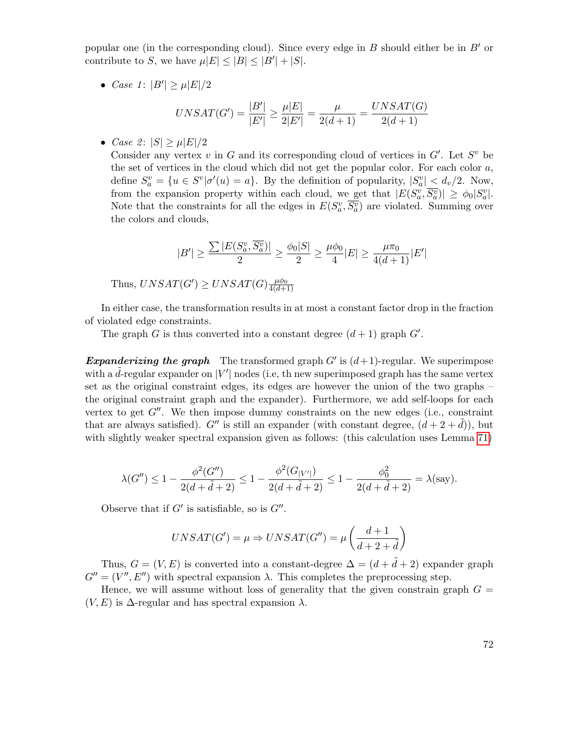popular one (in the corresponding cloud). Since every edge in  $B$  should either be in  $B'$  or contribute to S, we have  $\mu|E| \leq |B| \leq |B'| + |S|$ .

• *Case 1*:  $|B'| \ge \mu |E|/2$ 

$$
UNSAT(G') = \frac{|B'|}{|E'|} \ge \frac{\mu|E|}{2|E'|} = \frac{\mu}{2(d+1)} = \frac{UNSAT(G)}{2(d+1)}
$$

• Case 2:  $|S| > \mu |E|/2$ 

Consider any vertex  $v$  in  $G$  and its corresponding cloud of vertices in  $G'$ . Let  $S<sup>v</sup>$  be the set of vertices in the cloud which did not get the popular color. For each color  $a$ , define  $S_a^v = \{u \in S^v | \sigma'(u) = a\}$ . By the definition of popularity,  $|S_a^v| < d_v/2$ . Now, from the expansion property within each cloud, we get that  $|E(S_a^v, \overline{S_a^v})| \geq \phi_0 |S_a^v|$ . Note that the constraints for all the edges in  $E(S_a^v, \overline{S_a^v})$  are violated. Summing over the colors and clouds,

$$
|B'| \geq \frac{\sum |E(S_a^v, \overline{S_a^v})|}{2} \geq \frac{\phi_0|S|}{2} \geq \frac{\mu \phi_0}{4} |E| \geq \frac{\mu \pi_0}{4(d+1)} |E'|
$$

Thus,  $UNSAT(G') \geq UNSAT(G) \frac{\mu \phi_0}{4(d+1)}$  $4(d+1)$ 

In either case, the transformation results in at most a constant factor drop in the fraction of violated edge constraints.

The graph G is thus converted into a constant degree  $(d+1)$  graph  $G'$ .

**Expanderizing the graph** The transformed graph  $G'$  is  $(d+1)$ -regular. We superimpose with a  $\tilde{d}$ -regular expander on  $|V'|$  nodes (i.e, th new superimposed graph has the same vertex set as the original constraint edges, its edges are however the union of the two graphs – the original constraint graph and the expander). Furthermore, we add self-loops for each vertex to get  $G''$ . We then impose dummy constraints on the new edges (i.e., constraint that are always satisfied). G'' is still an expander (with constant degree,  $(d+2+\tilde{d})$ ), but with slightly weaker spectral expansion given as follows: (this calculation uses Lemma [71\)](#page-68-1)

$$
\lambda(G'') \le 1 - \frac{\phi^2(G'')}{2(d + \tilde{d} + 2)} \le 1 - \frac{\phi^2(G_{|V'|})}{2(d + \tilde{d} + 2)} \le 1 - \frac{\phi_0^2}{2(d + \tilde{d} + 2)} = \lambda(\text{say}).
$$

Observe that if  $G'$  is satisfiable, so is  $G''$ .

$$
UNSAT(G') = \mu \Rightarrow UNSAT(G'') = \mu \left( \frac{d+1}{d+2+\tilde{d}} \right)
$$

Thus,  $G = (V, E)$  is converted into a constant-degree  $\Delta = (d + \tilde{d} + 2)$  expander graph  $G'' = (V'', E'')$  with spectral expansion  $\lambda$ . This completes the preprocessing step.

Hence, we will assume without loss of generality that the given constrain graph  $G =$  $(V, E)$  is  $\Delta$ -regular and has spectral expansion  $\lambda$ .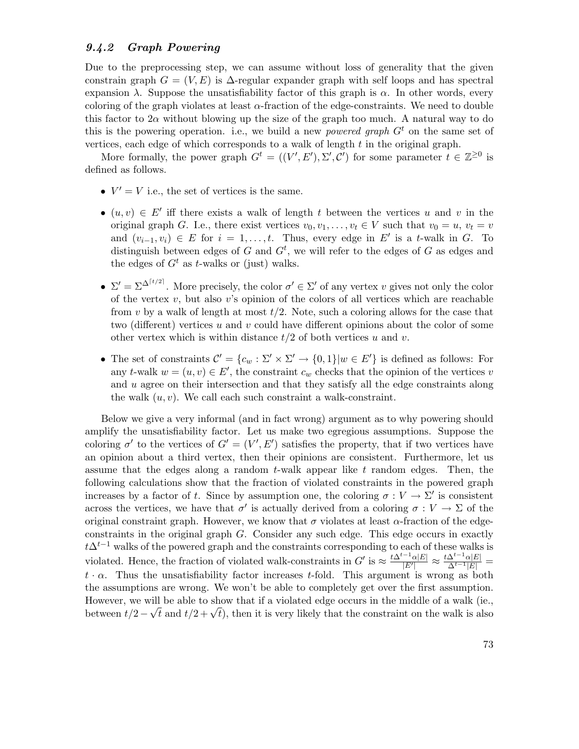#### 9.4.2 Graph Powering

Due to the preprocessing step, we can assume without loss of generality that the given constrain graph  $G = (V, E)$  is  $\Delta$ -regular expander graph with self loops and has spectral expansion  $\lambda$ . Suppose the unsatisfiability factor of this graph is  $\alpha$ . In other words, every coloring of the graph violates at least  $\alpha$ -fraction of the edge-constraints. We need to double this factor to  $2\alpha$  without blowing up the size of the graph too much. A natural way to do this is the powering operation. i.e., we build a new *powered graph*  $G<sup>t</sup>$  on the same set of vertices, each edge of which corresponds to a walk of length  $t$  in the original graph.

More formally, the power graph  $G^t = ((V', E'), \Sigma', C')$  for some parameter  $t \in \mathbb{Z}^{\geq 0}$  is defined as follows.

- $V' = V$  i.e., the set of vertices is the same.
- $(u, v) \in E'$  iff there exists a walk of length t between the vertices u and v in the original graph G. I.e., there exist vertices  $v_0, v_1, \ldots, v_t \in V$  such that  $v_0 = u, v_t = v$ and  $(v_{i-1}, v_i) \in E$  for  $i = 1, \ldots, t$ . Thus, every edge in E' is a t-walk in G. To distinguish between edges of G and  $G<sup>t</sup>$ , we will refer to the edges of G as edges and the edges of  $G<sup>t</sup>$  as t-walks or (just) walks.
- $\Sigma' = \Sigma^{\Delta^{\lceil t/2 \rceil}}$ . More precisely, the color  $\sigma' \in \Sigma'$  of any vertex v gives not only the color of the vertex  $v$ , but also  $v$ 's opinion of the colors of all vertices which are reachable from v by a walk of length at most  $t/2$ . Note, such a coloring allows for the case that two (different) vertices u and v could have different opinions about the color of some other vertex which is within distance  $t/2$  of both vertices u and v.
- The set of constraints  $\mathcal{C}' = \{c_w : \Sigma' \times \Sigma' \to \{0,1\} | w \in E' \}$  is defined as follows: For any t-walk  $w = (u, v) \in E'$ , the constraint  $c_w$  checks that the opinion of the vertices v and  $u$  agree on their intersection and that they satisfy all the edge constraints along the walk  $(u, v)$ . We call each such constraint a walk-constraint.

Below we give a very informal (and in fact wrong) argument as to why powering should amplify the unsatisfiability factor. Let us make two egregious assumptions. Suppose the coloring  $\sigma'$  to the vertices of  $G' = (V', E')$  satisfies the property, that if two vertices have an opinion about a third vertex, then their opinions are consistent. Furthermore, let us assume that the edges along a random  $t$ -walk appear like  $t$  random edges. Then, the following calculations show that the fraction of violated constraints in the powered graph increases by a factor of t. Since by assumption one, the coloring  $\sigma: V \to \Sigma'$  is consistent across the vertices, we have that  $\sigma'$  is actually derived from a coloring  $\sigma: V \to \Sigma$  of the original constraint graph. However, we know that  $\sigma$  violates at least  $\alpha$ -fraction of the edgeconstraints in the original graph G. Consider any such edge. This edge occurs in exactly  $t\Delta^{t-1}$  walks of the powered graph and the constraints corresponding to each of these walks is violated. Hence, the fraction of violated walk-constraints in  $G'$  is  $\approx \frac{t\Delta^{t-1}\alpha|E|}{|E'|}$  $\frac{e^{-1}\alpha|E|}{|E'|}\approx \frac{t\Delta^{t-1}\alpha|E|}{\Delta^{t-1}|E|}=$  $t \cdot \alpha$ . Thus the unsatisfiability factor increases t-fold. This argument is wrong as both the assumptions are wrong. We won't be able to completely get over the first assumption. However, we will be able to show that if a violated edge occurs in the middle of a walk (ie., between t/2 –  $\sqrt{t}$  and t/2 +  $\sqrt{t}$ ), then it is very likely that the constraint on the walk is also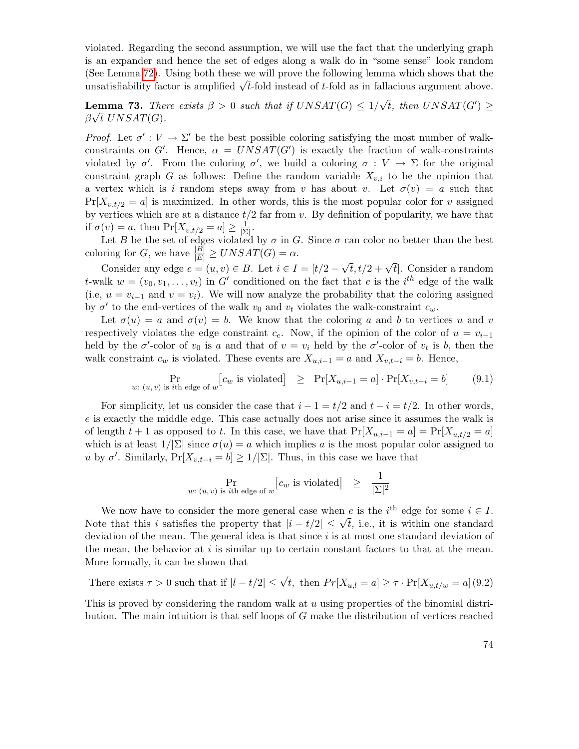violated. Regarding the second assumption, we will use the fact that the underlying graph is an expander and hence the set of edges along a walk do in "some sense" look random (See Lemma [72\)](#page-68-0). Using both these we will prove the following lemma which shows that the (see Lemma  $72$ ). Using both these we will prove the following lemma which shows that the unsatisfiability factor is amplified  $\sqrt{t}$ -fold instead of t-fold as in fallacious argument above.

<span id="page-73-2"></span>**Lemma 73.** There exists  $\beta > 0$  such that if  $UNSAT(G) \leq 1/$ emma 73. There exists  $\beta > 0$  such that if  $UNSAT(G) \leq 1/\sqrt{t}$ , then  $UNSAT(G') \geq$  $\beta\sqrt{t}$  UNSAT(G).

Proof. Let  $\sigma' : V \to \Sigma'$  be the best possible coloring satisfying the most number of walkconstraints on G'. Hence,  $\alpha = UNSAT(G')$  is exactly the fraction of walk-constraints violated by  $\sigma'$ . From the coloring  $\sigma'$ , we build a coloring  $\sigma: V \to \Sigma$  for the original constraint graph G as follows: Define the random variable  $X_{v,i}$  to be the opinion that a vertex which is i random steps away from v has about v. Let  $\sigma(v) = a$  such that  $Pr[X_{v,t/2} = a]$  is maximized. In other words, this is the most popular color for v assigned by vertices which are at a distance  $t/2$  far from v. By definition of popularity, we have that if  $\sigma(v) = a$ , then  $\Pr[X_{v,t/2} = a] \ge \frac{1}{|S|}$  $\frac{1}{|\Sigma|}$ .

Let B be the set of edges violated by  $\sigma$  in G. Since  $\sigma$  can color no better than the best coloring for G, we have  $\frac{|B|}{|E|} \geq UNSAT(G) = \alpha$ .

Consider any edge  $e = (u, v) \in B$ . Let  $i \in I = [t/2 - \mathbb{R}]$  $\sqrt{t}$ ,  $t/2 + \sqrt{t}$ . Consider a random t-walk  $w = (v_0, v_1, \ldots, v_t)$  in G' conditioned on the fact that e is the i<sup>th</sup> edge of the walk (i.e,  $u = v_{i-1}$  and  $v = v_i$ ). We will now analyze the probability that the coloring assigned by  $\sigma'$  to the end-vertices of the walk  $v_0$  and  $v_t$  violates the walk-constraint  $c_w$ .

Let  $\sigma(u) = a$  and  $\sigma(v) = b$ . We know that the coloring a and b to vertices u and v respectively violates the edge constraint  $c_e$ . Now, if the opinion of the color of  $u = v_{i-1}$ held by the  $\sigma'$ -color of  $v_0$  is a and that of  $v = v_i$  held by the  $\sigma'$ -color of  $v_t$  is b, then the walk constraint  $c_w$  is violated. These events are  $X_{u,i-1} = a$  and  $X_{v,t-i} = b$ . Hence,

<span id="page-73-0"></span>
$$
\Pr_{w: (u, v) \text{ is } i\text{th edge of } w} [c_w \text{ is violated}] \ge \Pr[X_{u,i-1} = a] \cdot \Pr[X_{v,t-i} = b] \tag{9.1}
$$

For simplicity, let us consider the case that  $i - 1 = t/2$  and  $t - i = t/2$ . In other words, e is exactly the middle edge. This case actually does not arise since it assumes the walk is of length  $t + 1$  as opposed to t. In this case, we have that  $Pr[X_{u,i-1} = a] = Pr[X_{u,t/2} = a]$ which is at least  $1/|\Sigma|$  since  $\sigma(u) = a$  which implies a is the most popular color assigned to u by  $\sigma'$ . Similarly,  $Pr[X_{v,t-i} = b] \ge 1/|\Sigma|$ . Thus, in this case we have that

$$
\Pr_{w: (u, v) \text{ is } i\text{th edge of } w} [c_w \text{ is violated}] \geq \frac{1}{|\Sigma|^2}
$$

We now have to consider the more general case when e is the  $i^{\text{th}}$  edge for some  $i \in I$ . We now have to consider the more general case when e is the  $i$  edge for some  $i \in I$ .<br>Note that this i satisfies the property that  $|i - t/2| \leq \sqrt{t}$ , i.e., it is within one standard deviation of the mean. The general idea is that since  $i$  is at most one standard deviation of the mean, the behavior at  $i$  is similar up to certain constant factors to that at the mean. More formally, it can be shown that

There exists 
$$
\tau > 0
$$
 such that if  $|l - t/2| \le \sqrt{t}$ , then  $Pr[X_{u,l} = a] \ge \tau \cdot Pr[X_{u,t/w} = a](9.2)$ 

<span id="page-73-1"></span>This is proved by considering the random walk at  $u$  using properties of the binomial distribution. The main intuition is that self loops of G make the distribution of vertices reached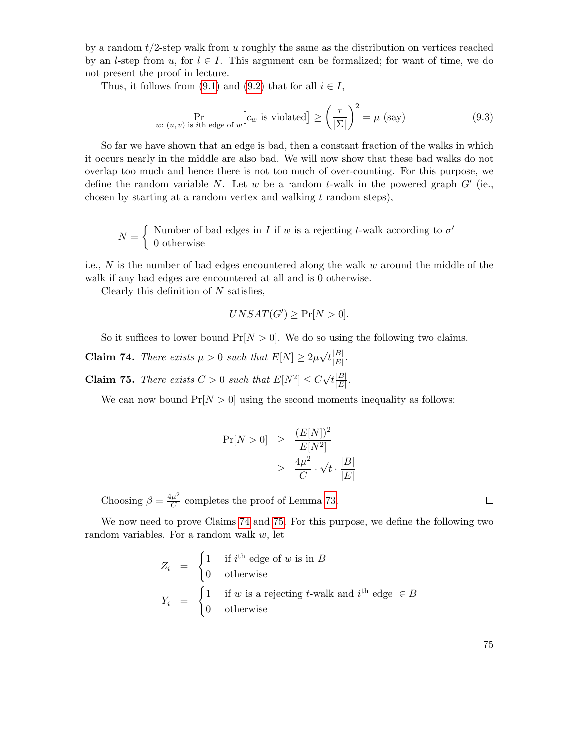by a random  $t/2$ -step walk from u roughly the same as the distribution on vertices reached by an l-step from u, for  $l \in I$ . This argument can be formalized; for want of time, we do not present the proof in lecture.

Thus, it follows from [\(9.1\)](#page-73-0) and [\(9.2\)](#page-73-1) that for all  $i \in I$ ,

<span id="page-74-2"></span>
$$
\Pr_{w: (u,v) \text{ is } i\text{th edge of } w} [c_w \text{ is violated}] \ge \left(\frac{\tau}{|\Sigma|}\right)^2 = \mu \text{ (say)}
$$
\n(9.3)

So far we have shown that an edge is bad, then a constant fraction of the walks in which it occurs nearly in the middle are also bad. We will now show that these bad walks do not overlap too much and hence there is not too much of over-counting. For this purpose, we define the random variable N. Let w be a random t-walk in the powered graph  $G'$  (ie., chosen by starting at a random vertex and walking  $t$  random steps),

$$
N = \begin{cases} \text{ Number of bad edges in } I \text{ if } w \text{ is a rejecting } t\text{-walk according to } \sigma' \\ 0 \text{ otherwise} \end{cases}
$$

i.e.,  $N$  is the number of bad edges encountered along the walk  $w$  around the middle of the walk if any bad edges are encountered at all and is 0 otherwise.

Clearly this definition of  $N$  satisfies,

$$
UNSAT(G') \ge \Pr[N > 0].
$$

So it suffices to lower bound  $Pr[N > 0]$ . We do so using the following two claims.

<span id="page-74-0"></span>**Claim 74.** There exists  $\mu > 0$  such that  $E[N] \geq 2\mu$ √  $\overline{t}\frac{|B|}{|E|}$  $\frac{|D|}{|E|}$  .

<span id="page-74-1"></span>**Claim 75.** There exists  $C > 0$  such that  $E[N^2] \leq C$ √  $\overline{t}\frac{|B|}{|E|}$  $\frac{|B|}{|E|}$ .

We can now bound  $Pr[N > 0]$  using the second moments inequality as follows:

$$
Pr[N > 0] \ge \frac{(E[N])^2}{E[N^2]}
$$
  

$$
\ge \frac{4\mu^2}{C} \cdot \sqrt{t} \cdot \frac{|B|}{|E|}
$$

Choosing  $\beta = \frac{4\mu^2}{C}$  $\frac{\mu^2}{C}$  completes the proof of Lemma [73.](#page-73-2)

We now need to prove Claims [74](#page-74-0) and [75.](#page-74-1) For this purpose, we define the following two random variables. For a random walk  $w$ , let

$$
Z_i = \begin{cases} 1 & \text{if } i^{\text{th}} \text{ edge of } w \text{ is in } B \\ 0 & \text{otherwise} \end{cases}
$$
  

$$
Y_i = \begin{cases} 1 & \text{if } w \text{ is a rejecting } t\text{-walk and } i^{\text{th}} \text{ edge } \in B \\ 0 & \text{otherwise} \end{cases}
$$

 $\Box$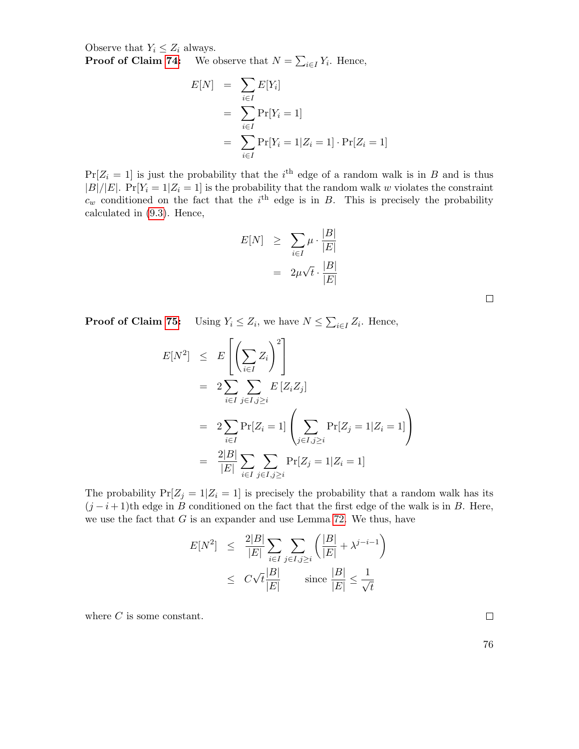Observe that  $Y_i \leq Z_i$  always.

**Proof of Claim [74:](#page-74-0)** We observe that  $N = \sum_{i \in I} Y_i$ . Hence,

$$
E[N] = \sum_{i \in I} E[Y_i]
$$
  
= 
$$
\sum_{i \in I} \Pr[Y_i = 1]
$$
  
= 
$$
\sum_{i \in I} \Pr[Y_i = 1 | Z_i = 1] \cdot \Pr[Z_i = 1]
$$

 $Pr[Z_i = 1]$  is just the probability that the i<sup>th</sup> edge of a random walk is in B and is thus  $|B|/|E|$ .  $Pr[Y_i = 1 | Z_i = 1]$  is the probability that the random walk w violates the constraint  $c_w$  conditioned on the fact that the i<sup>th</sup> edge is in B. This is precisely the probability calculated in [\(9.3\)](#page-74-2). Hence,

$$
E[N] \geq \sum_{i \in I} \mu \cdot \frac{|B|}{|E|}
$$

$$
= 2\mu\sqrt{t} \cdot \frac{|B|}{|E|}
$$

**Proof of Claim [75:](#page-74-1)** Using  $Y_i \leq Z_i$ , we have  $N \leq \sum_{i \in I} Z_i$ . Hence,

$$
E[N^2] \leq E\left[\left(\sum_{i\in I} Z_i\right)^2\right]
$$
  
=  $2\sum_{i\in I} \sum_{j\in I, j\geq i} E[Z_i Z_j]$   
=  $2\sum_{i\in I} \Pr[Z_i = 1] \left(\sum_{j\in I, j\geq i} \Pr[Z_j = 1 | Z_i = 1]\right)$   
=  $\frac{2|B|}{|E|} \sum_{i\in I} \sum_{j\in I, j\geq i} \Pr[Z_j = 1 | Z_i = 1]$ 

The probability  $Pr[Z_j = 1 | Z_i = 1]$  is precisely the probability that a random walk has its  $(j - i + 1)$ th edge in B conditioned on the fact that the first edge of the walk is in B. Here, we use the fact that  $G$  is an expander and use Lemma [72.](#page-68-0) We thus, have

$$
E[N^2] \leq \frac{2|B|}{|E|} \sum_{i \in I} \sum_{j \in I, j \geq i} \left( \frac{|B|}{|E|} + \lambda^{j-i-1} \right)
$$
  

$$
\leq C\sqrt{t} \frac{|B|}{|E|} \qquad \text{since } \frac{|B|}{|E|} \leq \frac{1}{\sqrt{t}}
$$

where  $C$  is some constant.

 $\Box$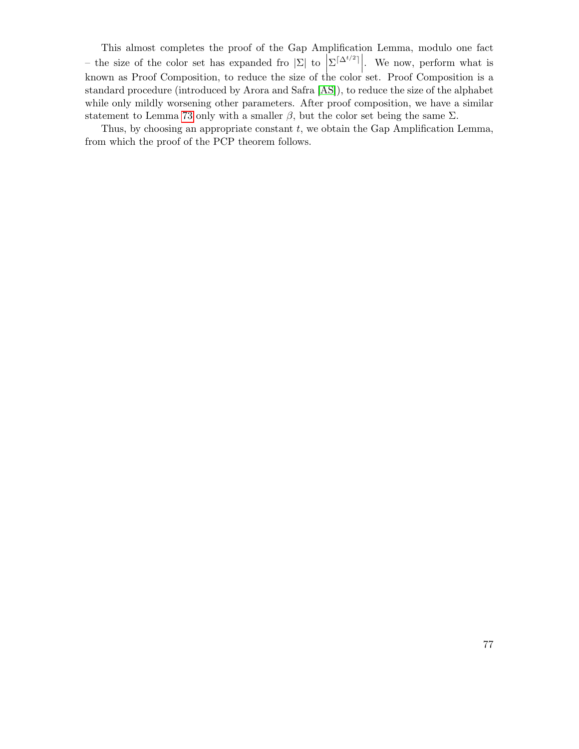This almost completes the proof of the Gap Amplification Lemma, modulo one fact – the size of the color set has expanded fro  $|\Sigma|$  to  $|\Sigma|^{\Delta^{t/2}}|$ . We now, perform what is known as Proof Composition, to reduce the size of the color set. Proof Composition is a standard procedure (introduced by Arora and Safra [\[AS\]](#page-78-0)), to reduce the size of the alphabet while only mildly worsening other parameters. After proof composition, we have a similar statement to Lemma [73](#page-73-2) only with a smaller  $\beta$ , but the color set being the same  $\Sigma$ .

Thus, by choosing an appropriate constant  $t$ , we obtain the Gap Amplification Lemma, from which the proof of the PCP theorem follows.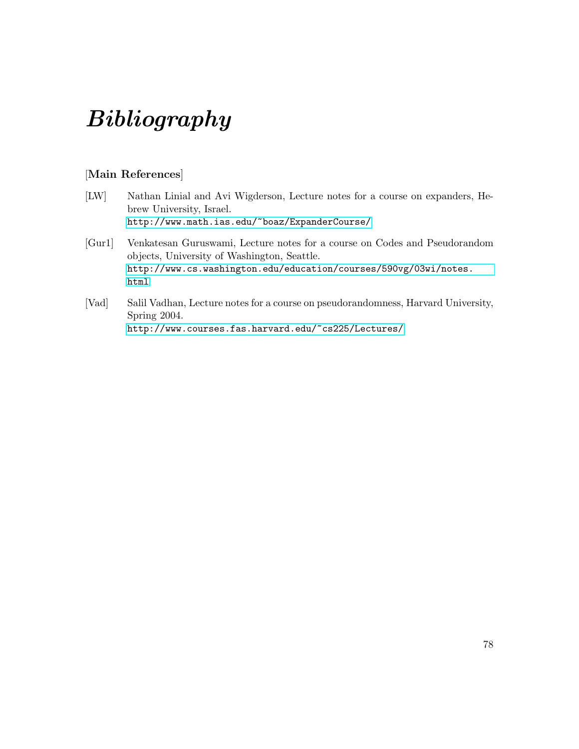# Bibliography

## [Main References]

- [LW] Nathan Linial and Avi Wigderson, Lecture notes for a course on expanders, Hebrew University, Israel. <http://www.math.ias.edu/~boaz/ExpanderCourse/>
- [Gur1] Venkatesan Guruswami, Lecture notes for a course on Codes and Pseudorandom objects, University of Washington, Seattle. [http://www.cs.washington.edu/education/courses/590vg/03wi/notes.](http://www.cs.washington.edu/education/courses/590vg/03wi/notes.html) [html](http://www.cs.washington.edu/education/courses/590vg/03wi/notes.html)
- [Vad] Salil Vadhan, Lecture notes for a course on pseudorandomness, Harvard University, Spring 2004. <http://www.courses.fas.harvard.edu/~cs225/Lectures/>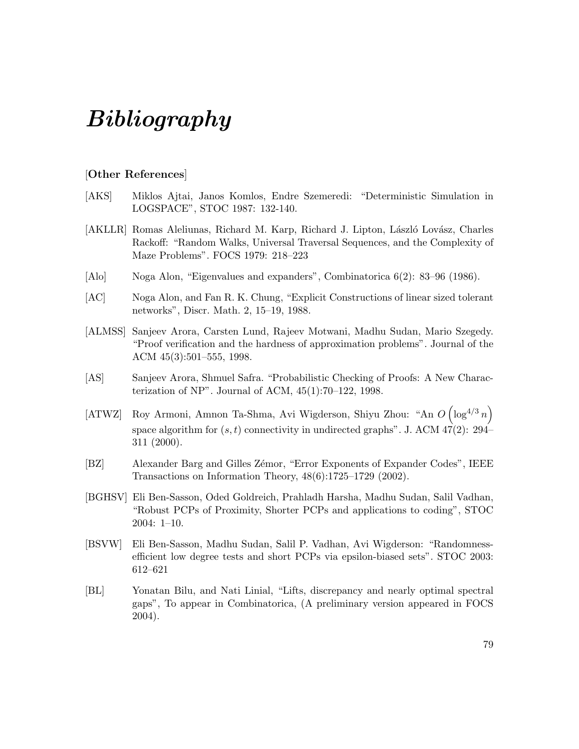## Bibliography

### [Other References]

- [AKS] Miklos Ajtai, Janos Komlos, Endre Szemeredi: "Deterministic Simulation in LOGSPACE", STOC 1987: 132-140.
- [AKLLR] Romas Aleliunas, Richard M. Karp, Richard J. Lipton, László Lovász, Charles Rackoff: "Random Walks, Universal Traversal Sequences, and the Complexity of Maze Problems". FOCS 1979: 218–223
- [Alo] Noga Alon, "Eigenvalues and expanders", Combinatorica 6(2): 83–96 (1986).
- [AC] Noga Alon, and Fan R. K. Chung, "Explicit Constructions of linear sized tolerant networks", Discr. Math. 2, 15–19, 1988.
- [ALMSS] Sanjeev Arora, Carsten Lund, Rajeev Motwani, Madhu Sudan, Mario Szegedy. "Proof verification and the hardness of approximation problems". Journal of the ACM 45(3):501–555, 1998.
- <span id="page-78-0"></span>[AS] Sanjeev Arora, Shmuel Safra. "Probabilistic Checking of Proofs: A New Characterization of NP". Journal of ACM, 45(1):70–122, 1998.
- [ATWZ] Roy Armoni, Amnon Ta-Shma, Avi Wigderson, Shiyu Zhou: "An  $O\left(\log^{4/3} n\right)$ space algorithm for  $(s, t)$  connectivity in undirected graphs". J. ACM  $47(2)$ : 294– 311 (2000).
- [BZ] Alexander Barg and Gilles Zémor, "Error Exponents of Expander Codes", IEEE Transactions on Information Theory, 48(6):1725–1729 (2002).
- [BGHSV] Eli Ben-Sasson, Oded Goldreich, Prahladh Harsha, Madhu Sudan, Salil Vadhan, "Robust PCPs of Proximity, Shorter PCPs and applications to coding", STOC 2004: 1–10.
- [BSVW] Eli Ben-Sasson, Madhu Sudan, Salil P. Vadhan, Avi Wigderson: "Randomnessefficient low degree tests and short PCPs via epsilon-biased sets". STOC 2003: 612–621
- [BL] Yonatan Bilu, and Nati Linial, "Lifts, discrepancy and nearly optimal spectral gaps", To appear in Combinatorica, (A preliminary version appeared in FOCS 2004).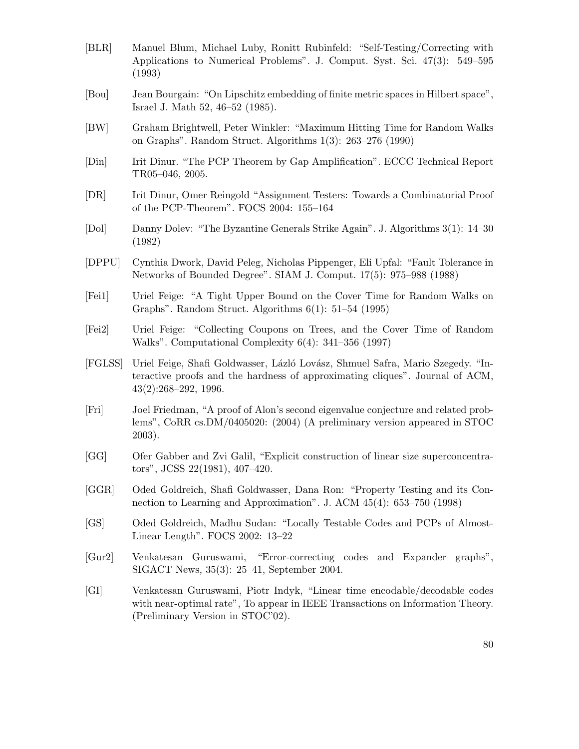- [BLR] Manuel Blum, Michael Luby, Ronitt Rubinfeld: "Self-Testing/Correcting with Applications to Numerical Problems". J. Comput. Syst. Sci. 47(3): 549–595 (1993)
- [Bou] Jean Bourgain: "On Lipschitz embedding of finite metric spaces in Hilbert space", Israel J. Math 52, 46–52 (1985).
- [BW] Graham Brightwell, Peter Winkler: "Maximum Hitting Time for Random Walks on Graphs". Random Struct. Algorithms 1(3): 263–276 (1990)
- [Din] Irit Dinur. "The PCP Theorem by Gap Amplification". ECCC Technical Report TR05–046, 2005.
- [DR] Irit Dinur, Omer Reingold "Assignment Testers: Towards a Combinatorial Proof of the PCP-Theorem". FOCS 2004: 155–164
- [Dol] Danny Dolev: "The Byzantine Generals Strike Again". J. Algorithms 3(1): 14–30 (1982)
- [DPPU] Cynthia Dwork, David Peleg, Nicholas Pippenger, Eli Upfal: "Fault Tolerance in Networks of Bounded Degree". SIAM J. Comput. 17(5): 975–988 (1988)
- [Fei1] Uriel Feige: "A Tight Upper Bound on the Cover Time for Random Walks on Graphs". Random Struct. Algorithms 6(1): 51–54 (1995)
- [Fei2] Uriel Feige: "Collecting Coupons on Trees, and the Cover Time of Random Walks". Computational Complexity 6(4): 341–356 (1997)
- [FGLSS] Uriel Feige, Shafi Goldwasser, L´azl´o Lov´asz, Shmuel Safra, Mario Szegedy. "Interactive proofs and the hardness of approximating cliques". Journal of ACM, 43(2):268–292, 1996.
- [Fri] Joel Friedman, "A proof of Alon's second eigenvalue conjecture and related problems", CoRR cs.DM/0405020: (2004) (A preliminary version appeared in STOC 2003).
- [GG] Ofer Gabber and Zvi Galil, "Explicit construction of linear size superconcentrators", JCSS 22(1981), 407–420.
- [GGR] Oded Goldreich, Shafi Goldwasser, Dana Ron: "Property Testing and its Connection to Learning and Approximation". J. ACM 45(4): 653–750 (1998)
- [GS] Oded Goldreich, Madhu Sudan: "Locally Testable Codes and PCPs of Almost-Linear Length". FOCS 2002: 13–22
- [Gur2] Venkatesan Guruswami, "Error-correcting codes and Expander graphs", SIGACT News, 35(3): 25–41, September 2004.
- [GI] Venkatesan Guruswami, Piotr Indyk, "Linear time encodable/decodable codes with near-optimal rate", To appear in IEEE Transactions on Information Theory. (Preliminary Version in STOC'02).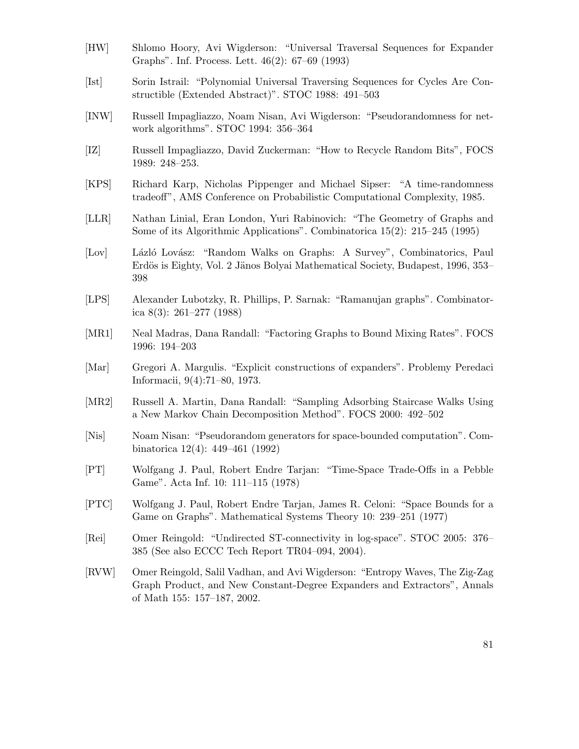- [HW] Shlomo Hoory, Avi Wigderson: "Universal Traversal Sequences for Expander Graphs". Inf. Process. Lett. 46(2): 67–69 (1993)
- [Ist] Sorin Istrail: "Polynomial Universal Traversing Sequences for Cycles Are Constructible (Extended Abstract)". STOC 1988: 491–503
- [INW] Russell Impagliazzo, Noam Nisan, Avi Wigderson: "Pseudorandomness for network algorithms". STOC 1994: 356–364
- [IZ] Russell Impagliazzo, David Zuckerman: "How to Recycle Random Bits", FOCS 1989: 248–253.
- [KPS] Richard Karp, Nicholas Pippenger and Michael Sipser: "A time-randomness tradeoff", AMS Conference on Probabilistic Computational Complexity, 1985.
- [LLR] Nathan Linial, Eran London, Yuri Rabinovich: "The Geometry of Graphs and Some of its Algorithmic Applications". Combinatorica 15(2): 215–245 (1995)
- [Lov] Lázló Lovász: "Random Walks on Graphs: A Survey", Combinatorics, Paul Erdös is Eighty, Vol. 2 Jänos Bolyai Mathematical Society, Budapest, 1996, 353– 398
- [LPS] Alexander Lubotzky, R. Phillips, P. Sarnak: "Ramanujan graphs". Combinatorica 8(3): 261–277 (1988)
- [MR1] Neal Madras, Dana Randall: "Factoring Graphs to Bound Mixing Rates". FOCS 1996: 194–203
- [Mar] Gregori A. Margulis. "Explicit constructions of expanders". Problemy Peredaci Informacii, 9(4):71–80, 1973.
- [MR2] Russell A. Martin, Dana Randall: "Sampling Adsorbing Staircase Walks Using a New Markov Chain Decomposition Method". FOCS 2000: 492–502
- [Nis] Noam Nisan: "Pseudorandom generators for space-bounded computation". Combinatorica 12(4): 449–461 (1992)
- [PT] Wolfgang J. Paul, Robert Endre Tarjan: "Time-Space Trade-Offs in a Pebble Game". Acta Inf. 10: 111–115 (1978)
- [PTC] Wolfgang J. Paul, Robert Endre Tarjan, James R. Celoni: "Space Bounds for a Game on Graphs". Mathematical Systems Theory 10: 239–251 (1977)
- [Rei] Omer Reingold: "Undirected ST-connectivity in log-space". STOC 2005: 376– 385 (See also ECCC Tech Report TR04–094, 2004).
- [RVW] Omer Reingold, Salil Vadhan, and Avi Wigderson: "Entropy Waves, The Zig-Zag Graph Product, and New Constant-Degree Expanders and Extractors", Annals of Math 155: 157–187, 2002.